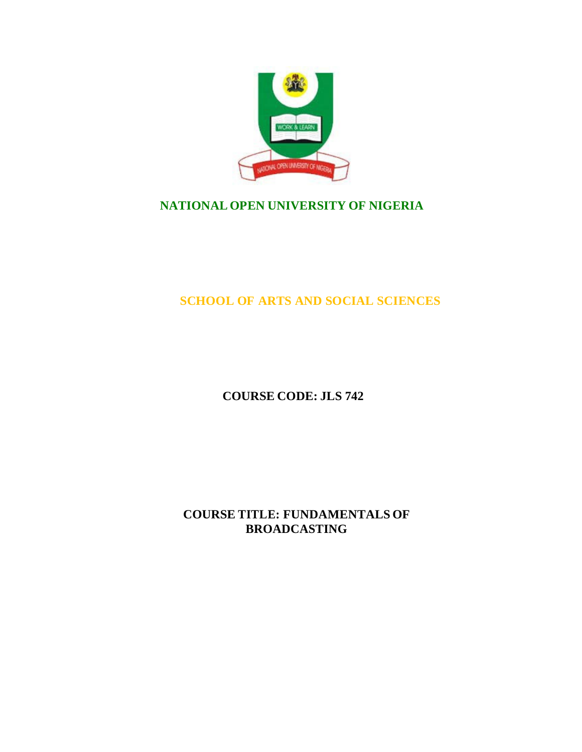

# **NATIONAL OPEN UNIVERSITY OF NIGERIA**

**SCHOOL OF ARTS AND SOCIAL SCIENCES**

**COURSE CODE: JLS 742**

**COURSE TITLE: FUNDAMENTALS OF BROADCASTING**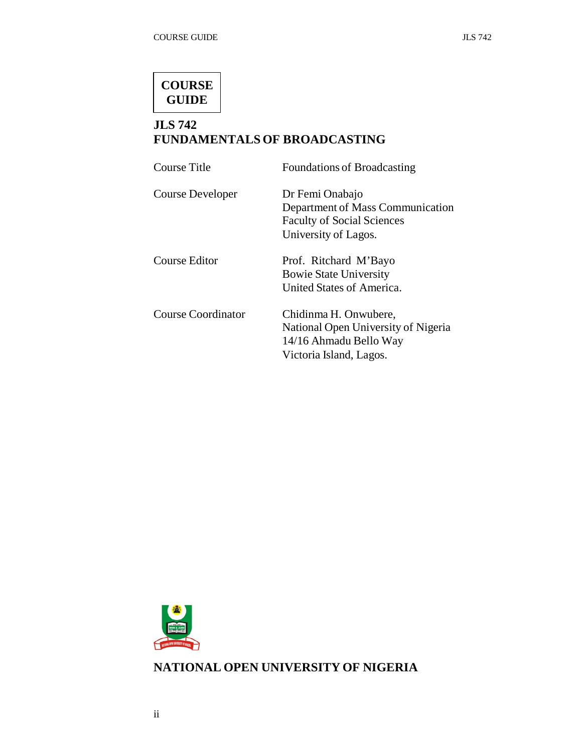

# **JLS 742 FUNDAMENTALS OF BROADCASTING**

| Foundations of Broadcasting                                                                                       |
|-------------------------------------------------------------------------------------------------------------------|
| Dr Femi Onabajo<br>Department of Mass Communication<br><b>Faculty of Social Sciences</b><br>University of Lagos.  |
| Prof. Ritchard M'Bayo<br><b>Bowie State University</b><br>United States of America.                               |
| Chidinma H. Onwubere,<br>National Open University of Nigeria<br>14/16 Ahmadu Bello Way<br>Victoria Island, Lagos. |
|                                                                                                                   |



# **NATIONAL OPEN UNIVERSITY OF NIGERIA**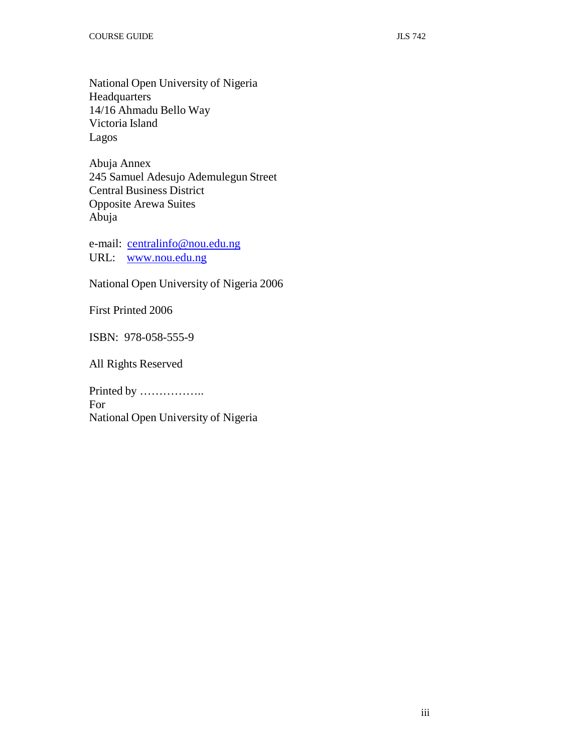National Open University of Nigeria **Headquarters** 14/16 Ahmadu Bello Way Victoria Island Lagos

Abuja Annex 245 Samuel Adesujo Ademulegun Street Central Business District Opposite Arewa Suites Abuja

e-mail: centralinfo@nou.edu.ng URL: www.nou.edu.ng

National Open University of Nigeria 2006

First Printed 2006

ISBN: 978-058-555-9

All Rights Reserved

Printed by …………….. For National Open University of Nigeria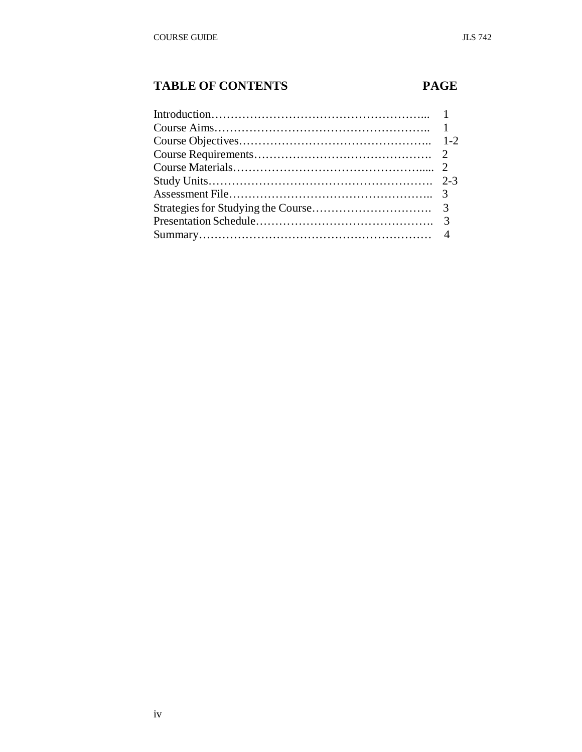# **TABLE OF CONTENTS PAGE**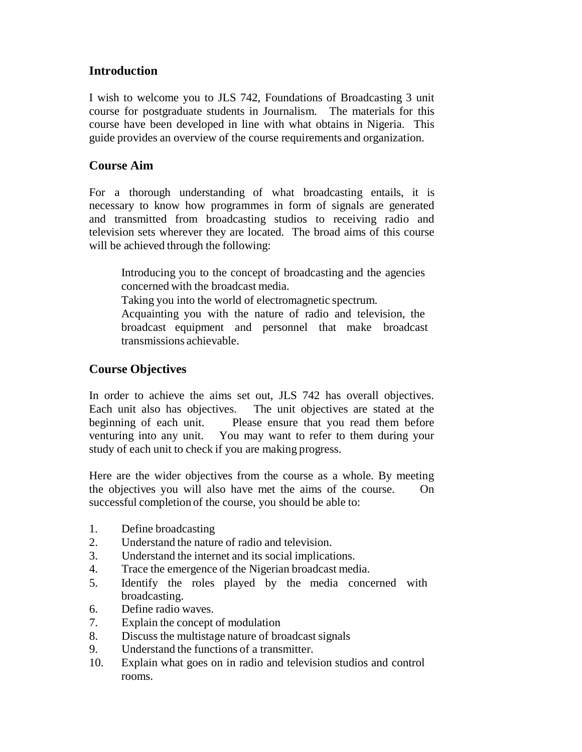# **Introduction**

I wish to welcome you to JLS 742, Foundations of Broadcasting 3 unit course for postgraduate students in Journalism. The materials for this course have been developed in line with what obtains in Nigeria. This guide provides an overview of the course requirements and organization.

# **Course Aim**

For a thorough understanding of what broadcasting entails, it is necessary to know how programmes in form of signals are generated and transmitted from broadcasting studios to receiving radio and television sets wherever they are located. The broad aims of this course will be achieved through the following:

Introducing you to the concept of broadcasting and the agencies concerned with the broadcast media.

Taking you into the world of electromagnetic spectrum.

Acquainting you with the nature of radio and television, the broadcast equipment and personnel that make broadcast transmissions achievable.

# **Course Objectives**

In order to achieve the aims set out, JLS 742 has overall objectives. Each unit also has objectives. The unit objectives are stated at the beginning of each unit. Please ensure that you read them before venturing into any unit. You may want to refer to them during your study of each unit to check if you are making progress.

Here are the wider objectives from the course as a whole. By meeting the objectives you will also have met the aims of the course. On successful completion of the course, you should be able to:

- 1. Define broadcasting
- 2. Understand the nature of radio and television.
- 3. Understand the internet and its social implications.
- 4. Trace the emergence of the Nigerian broadcast media.
- 5. Identify the roles played by the media concerned with broadcasting.
- 6. Define radio waves.
- 7. Explain the concept of modulation
- 8. Discuss the multistage nature of broadcast signals
- 9. Understand the functions of a transmitter.
- 10. Explain what goes on in radio and television studios and control rooms.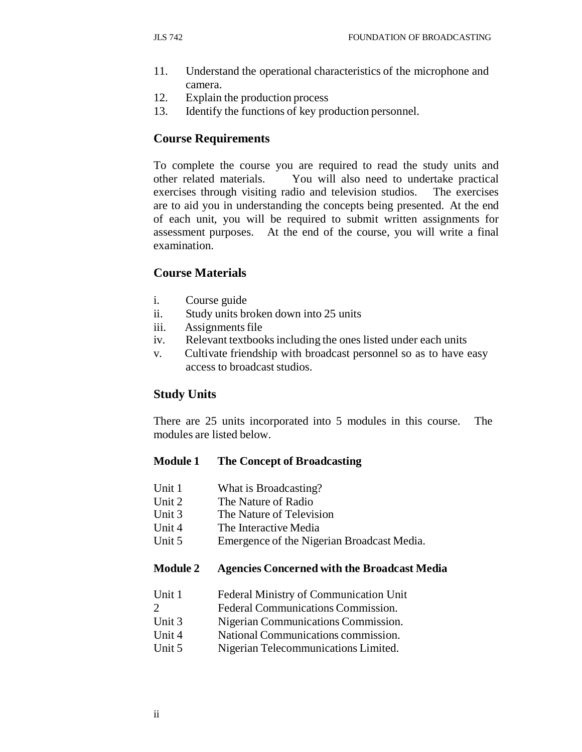- 11. Understand the operational characteristics of the microphone and camera.
- 12. Explain the production process
- 13. Identify the functions of key production personnel.

### **Course Requirements**

To complete the course you are required to read the study units and other related materials. You will also need to undertake practical exercises through visiting radio and television studios. The exercises are to aid you in understanding the concepts being presented. At the end of each unit, you will be required to submit written assignments for assessment purposes. At the end of the course, you will write a final examination.

### **Course Materials**

- i. Course guide
- ii. Study units broken down into 25 units
- iii. Assignments file
- iv. Relevant textbooks including the ones listed under each units
- v. Cultivate friendship with broadcast personnel so as to have easy access to broadcast studios.

#### **Study Units**

There are 25 units incorporated into 5 modules in this course. The modules are listed below.

#### **Module 1 The Concept of Broadcasting**

- Unit 1 What is Broadcasting?
- Unit 2 The Nature of Radio
- Unit 3 The Nature of Television
- Unit 4 The Interactive Media
- Unit 5 Emergence of the Nigerian Broadcast Media.

#### **Module 2 Agencies Concerned with the Broadcast Media**

- Unit 1 Federal Ministry of Communication Unit
- 2 Federal Communications Commission.
- Unit 3 Nigerian Communications Commission.
- Unit 4 National Communications commission.
- Unit 5 Nigerian Telecommunications Limited.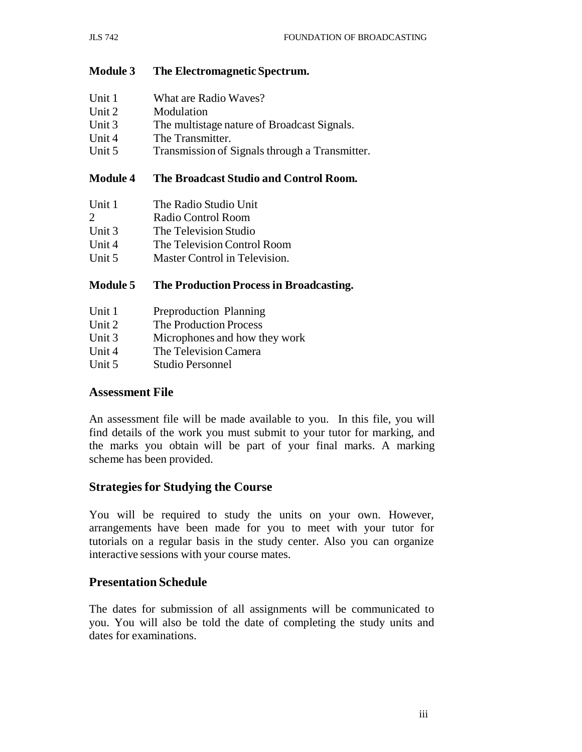## **Module 3 The Electromagnetic Spectrum.**

| Unit 1 | What are Radio Waves?                          |
|--------|------------------------------------------------|
| Unit 2 | Modulation                                     |
| Unit 3 | The multistage nature of Broadcast Signals.    |
| Unit 4 | The Transmitter.                               |
| Unit 5 | Transmission of Signals through a Transmitter. |
|        |                                                |

## **Module 4 The Broadcast Studio and Control Room.**

| Unit 1        | The Radio Studio Unit         |
|---------------|-------------------------------|
| $\mathcal{D}$ | Radio Control Room            |
| Unit 3        | The Television Studio         |
| Unit $4$      | The Television Control Room   |
| Unit 5        | Master Control in Television. |

## **Module 5 The Production Process in Broadcasting.**

| Unit 1 | Preproduction Planning        |
|--------|-------------------------------|
| Unit 2 | The Production Process        |
| Unit 3 | Microphones and how they work |
| Unit 4 | The Television Camera         |
| Unit 5 | Studio Personnel              |

## **Assessment File**

An assessment file will be made available to you. In this file, you will find details of the work you must submit to your tutor for marking, and the marks you obtain will be part of your final marks. A marking scheme has been provided.

## **Strategies for Studying the Course**

You will be required to study the units on your own. However, arrangements have been made for you to meet with your tutor for tutorials on a regular basis in the study center. Also you can organize interactive sessions with your course mates.

## **Presentation Schedule**

The dates for submission of all assignments will be communicated to you. You will also be told the date of completing the study units and dates for examinations.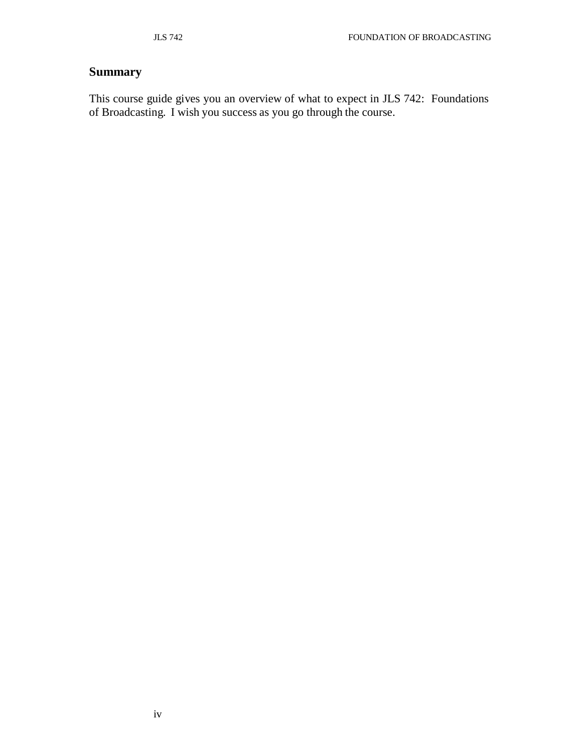# **Summary**

This course guide gives you an overview of what to expect in JLS 742: Foundations of Broadcasting. I wish you success as you go through the course.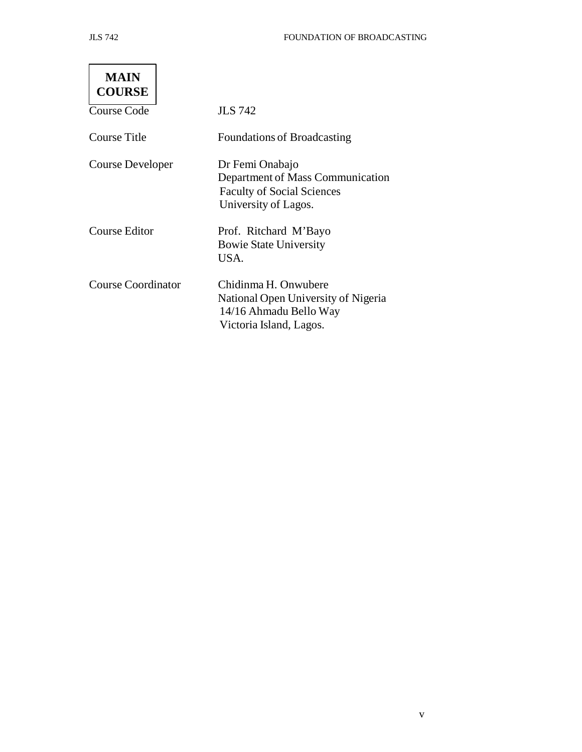v

 $\overline{\phantom{0}}$ 

| <b>MAIN</b><br><b>COURSE</b> |                                                                                                                  |
|------------------------------|------------------------------------------------------------------------------------------------------------------|
| <b>Course Code</b>           | <b>JLS</b> 742                                                                                                   |
| Course Title                 | <b>Foundations of Broadcasting</b>                                                                               |
| Course Developer             | Dr Femi Onabajo<br>Department of Mass Communication<br><b>Faculty of Social Sciences</b><br>University of Lagos. |
| <b>Course Editor</b>         | Prof. Ritchard M'Bayo<br><b>Bowie State University</b><br>USA.                                                   |
| <b>Course Coordinator</b>    | Chidinma H. Onwubere<br>National Open University of Nigeria<br>14/16 Ahmadu Bello Way<br>Victoria Island, Lagos. |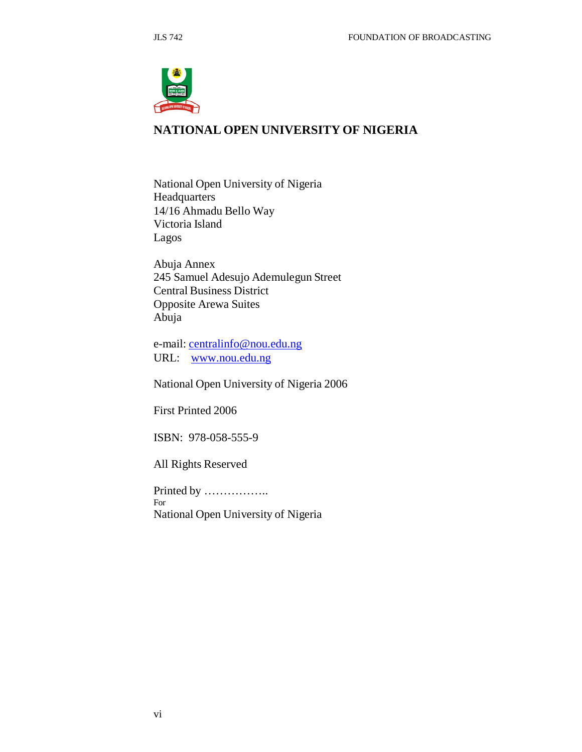

# **NATIONAL OPEN UNIVERSITY OF NIGERIA**

National Open University of Nigeria Headquarters 14/16 Ahmadu Bello Way Victoria Island Lagos

Abuja Annex 245 Samuel Adesujo Ademulegun Street Central Business District Opposite Arewa Suites Abuja

e-mail: centralinfo@nou.edu.ng URL: www.nou.edu.ng

National Open University of Nigeria 2006

First Printed 2006

ISBN: 978-058-555-9

All Rights Reserved

Printed by …………….. For National Open University of Nigeria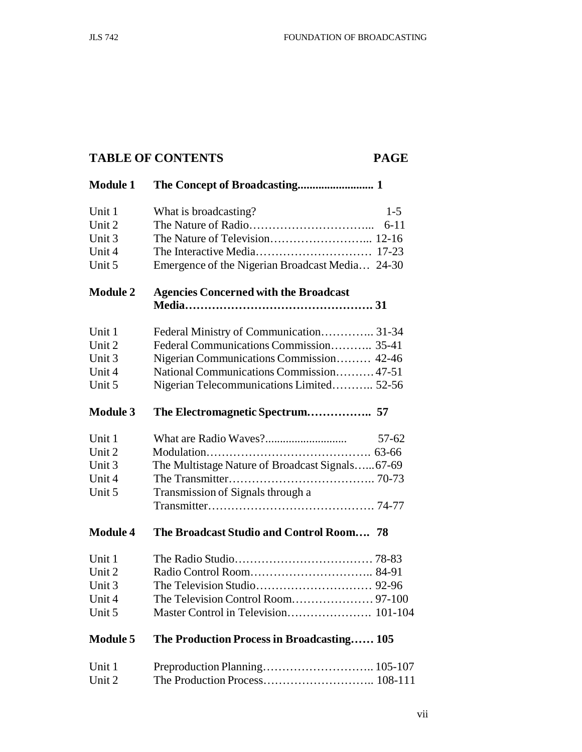# **TABLE OF CONTENTS PAGE**

| <b>Module 1</b> |                                                 |  |
|-----------------|-------------------------------------------------|--|
| Unit 1          | What is broadcasting?<br>$1 - 5$                |  |
| Unit 2          | $6 - 11$                                        |  |
| Unit 3          |                                                 |  |
| Unit 4          |                                                 |  |
| Unit 5          | Emergence of the Nigerian Broadcast Media 24-30 |  |
| <b>Module 2</b> | <b>Agencies Concerned with the Broadcast</b>    |  |
|                 |                                                 |  |
| Unit 1          | Federal Ministry of Communication 31-34         |  |
| Unit 2          | Federal Communications Commission 35-41         |  |
| Unit 3          | Nigerian Communications Commission 42-46        |  |
| Unit 4          | National Communications Commission 47-51        |  |
| Unit 5          | Nigerian Telecommunications Limited 52-56       |  |
| <b>Module 3</b> |                                                 |  |
| Unit 1          | 57-62                                           |  |
| Unit 2          |                                                 |  |
| Unit 3          | The Multistage Nature of Broadcast Signals67-69 |  |
| Unit 4          |                                                 |  |
| Unit 5          | Transmission of Signals through a               |  |
|                 |                                                 |  |
| <b>Module 4</b> | The Broadcast Studio and Control Room 78        |  |
| Unit 1          |                                                 |  |
| Unit 2          |                                                 |  |
| Unit 3          |                                                 |  |
| Unit 4          |                                                 |  |
| Unit 5          |                                                 |  |
| <b>Module 5</b> | The Production Process in Broadcasting 105      |  |
| Unit 1          |                                                 |  |
| Unit 2          |                                                 |  |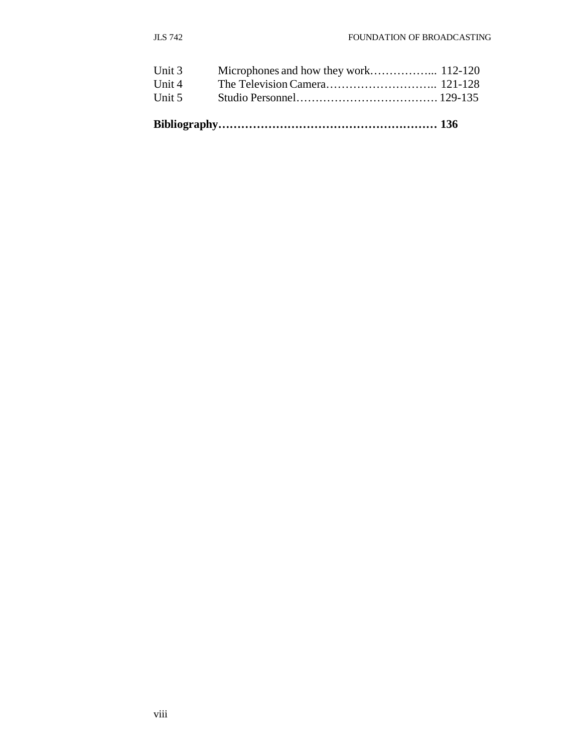| Unit 5 |  |
|--------|--|
| Unit 4 |  |
| Unit 3 |  |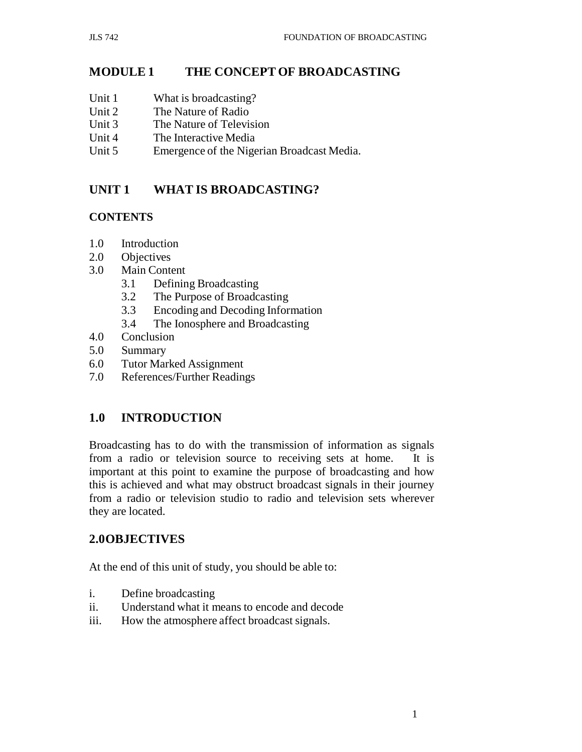# **MODULE 1 THE CONCEPT OF BROADCASTING**

- Unit 1 What is broadcasting?
- Unit 2 The Nature of Radio
- Unit 3 The Nature of Television
- Unit 4 The Interactive Media
- Unit 5 Emergence of the Nigerian Broadcast Media.

# **UNIT 1 WHAT IS BROADCASTING?**

## **CONTENTS**

- 1.0 Introduction
- 2.0 Objectives
- 3.0 Main Content
	- 3.1 Defining Broadcasting
	- 3.2 The Purpose of Broadcasting
	- 3.3 Encoding and Decoding Information
	- 3.4 The Ionosphere and Broadcasting
- 4.0 Conclusion
- 5.0 Summary
- 6.0 Tutor Marked Assignment
- 7.0 References/Further Readings

# **1.0 INTRODUCTION**

Broadcasting has to do with the transmission of information as signals from a radio or television source to receiving sets at home. It is important at this point to examine the purpose of broadcasting and how this is achieved and what may obstruct broadcast signals in their journey from a radio or television studio to radio and television sets wherever they are located.

# **2.0OBJECTIVES**

At the end of this unit of study, you should be able to:

- i. Define broadcasting
- ii. Understand what it means to encode and decode
- iii. How the atmosphere affect broadcast signals.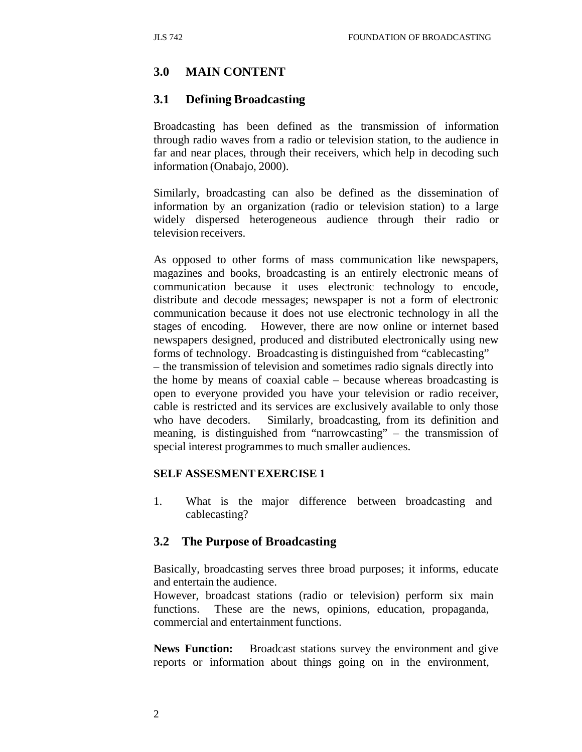## **3.0 MAIN CONTENT**

## **3.1 Defining Broadcasting**

Broadcasting has been defined as the transmission of information through radio waves from a radio or television station, to the audience in far and near places, through their receivers, which help in decoding such information (Onabajo, 2000).

Similarly, broadcasting can also be defined as the dissemination of information by an organization (radio or television station) to a large widely dispersed heterogeneous audience through their radio or television receivers.

As opposed to other forms of mass communication like newspapers, magazines and books, broadcasting is an entirely electronic means of communication because it uses electronic technology to encode, distribute and decode messages; newspaper is not a form of electronic communication because it does not use electronic technology in all the stages of encoding. However, there are now online or internet based newspapers designed, produced and distributed electronically using new forms of technology. Broadcasting is distinguished from "cablecasting" – the transmission of television and sometimes radio signals directly into the home by means of coaxial cable – because whereas broadcasting is open to everyone provided you have your television or radio receiver, cable is restricted and its services are exclusively available to only those who have decoders. Similarly, broadcasting, from its definition and meaning, is distinguished from "narrowcasting" – the transmission of special interest programmes to much smaller audiences.

#### **SELF ASSESMENT EXERCISE 1**

1. What is the major difference between broadcasting and cablecasting?

#### **3.2 The Purpose of Broadcasting**

Basically, broadcasting serves three broad purposes; it informs, educate and entertain the audience.

However, broadcast stations (radio or television) perform six main functions. These are the news, opinions, education, propaganda, commercial and entertainment functions.

**News Function:** Broadcast stations survey the environment and give reports or information about things going on in the environment,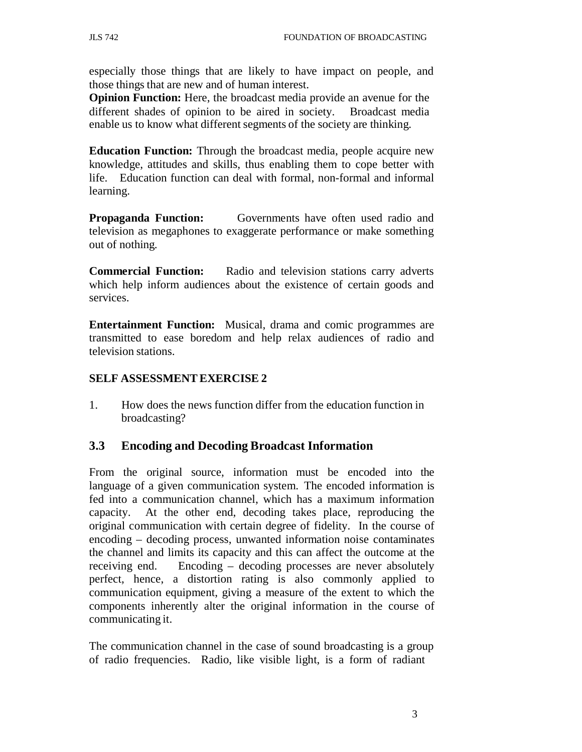especially those things that are likely to have impact on people, and those things that are new and of human interest.

**Opinion Function:** Here, the broadcast media provide an avenue for the different shades of opinion to be aired in society. Broadcast media enable us to know what different segments of the society are thinking.

**Education Function:** Through the broadcast media, people acquire new knowledge, attitudes and skills, thus enabling them to cope better with life. Education function can deal with formal, non-formal and informal learning.

**Propaganda Function:** Governments have often used radio and television as megaphones to exaggerate performance or make something out of nothing.

**Commercial Function:** Radio and television stations carry adverts which help inform audiences about the existence of certain goods and services.

**Entertainment Function:** Musical, drama and comic programmes are transmitted to ease boredom and help relax audiences of radio and television stations.

#### **SELF ASSESSMENT EXERCISE 2**

1. How does the news function differ from the education function in broadcasting?

## **3.3 Encoding and Decoding Broadcast Information**

From the original source, information must be encoded into the language of a given communication system. The encoded information is fed into a communication channel, which has a maximum information capacity. At the other end, decoding takes place, reproducing the original communication with certain degree of fidelity. In the course of encoding – decoding process, unwanted information noise contaminates the channel and limits its capacity and this can affect the outcome at the receiving end. Encoding – decoding processes are never absolutely perfect, hence, a distortion rating is also commonly applied to communication equipment, giving a measure of the extent to which the components inherently alter the original information in the course of communicating it.

The communication channel in the case of sound broadcasting is a group of radio frequencies. Radio, like visible light, is a form of radiant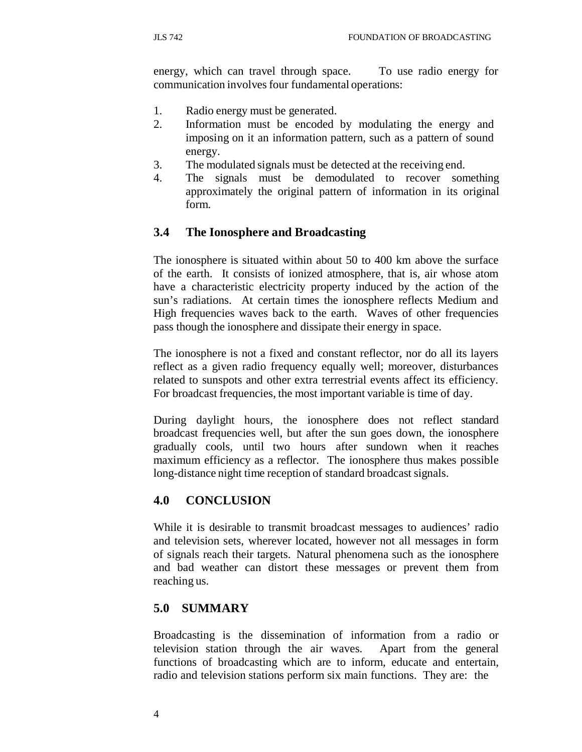energy, which can travel through space. To use radio energy for communication involves four fundamental operations:

- 1. Radio energy must be generated.
- 2. Information must be encoded by modulating the energy and imposing on it an information pattern, such as a pattern of sound energy.
- 3. The modulated signals must be detected at the receiving end.
- 4. The signals must be demodulated to recover something approximately the original pattern of information in its original form.

# **3.4 The Ionosphere and Broadcasting**

The ionosphere is situated within about 50 to 400 km above the surface of the earth. It consists of ionized atmosphere, that is, air whose atom have a characteristic electricity property induced by the action of the sun's radiations. At certain times the ionosphere reflects Medium and High frequencies waves back to the earth. Waves of other frequencies pass though the ionosphere and dissipate their energy in space.

The ionosphere is not a fixed and constant reflector, nor do all its layers reflect as a given radio frequency equally well; moreover, disturbances related to sunspots and other extra terrestrial events affect its efficiency. For broadcast frequencies, the most important variable is time of day.

During daylight hours, the ionosphere does not reflect standard broadcast frequencies well, but after the sun goes down, the ionosphere gradually cools, until two hours after sundown when it reaches maximum efficiency as a reflector. The ionosphere thus makes possible long-distance night time reception of standard broadcast signals.

# **4.0 CONCLUSION**

While it is desirable to transmit broadcast messages to audiences' radio and television sets, wherever located, however not all messages in form of signals reach their targets. Natural phenomena such as the ionosphere and bad weather can distort these messages or prevent them from reaching us.

# **5.0 SUMMARY**

Broadcasting is the dissemination of information from a radio or television station through the air waves. Apart from the general functions of broadcasting which are to inform, educate and entertain, radio and television stations perform six main functions. They are: the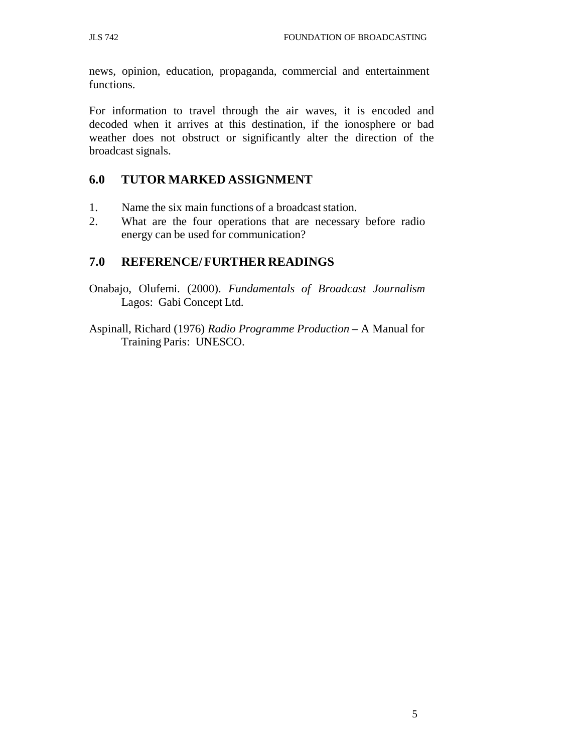news, opinion, education, propaganda, commercial and entertainment functions.

For information to travel through the air waves, it is encoded and decoded when it arrives at this destination, if the ionosphere or bad weather does not obstruct or significantly alter the direction of the broadcast signals.

## **6.0 TUTOR MARKED ASSIGNMENT**

- 1. Name the six main functions of a broadcast station.
- 2. What are the four operations that are necessary before radio energy can be used for communication?

## **7.0 REFERENCE/ FURTHER READINGS**

- Onabajo, Olufemi. (2000). *Fundamentals of Broadcast Journalism* Lagos: Gabi Concept Ltd.
- Aspinall, Richard (1976) *Radio Programme Production*  A Manual for Training Paris: UNESCO.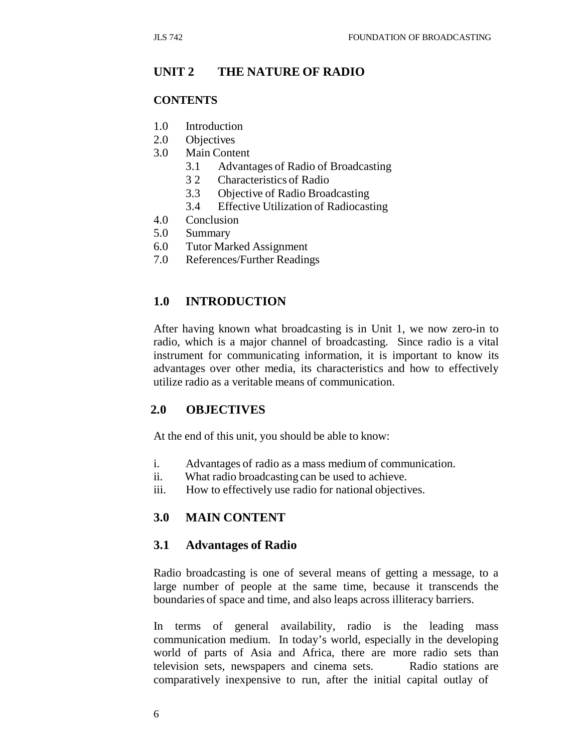## **UNIT 2 THE NATURE OF RADIO**

#### **CONTENTS**

- 1.0 Introduction
- 2.0 Objectives
- 3.0 Main Content
	- 3.1 Advantages of Radio of Broadcasting
	- 3 2 Characteristics of Radio
	- 3.3 Objective of Radio Broadcasting
	- 3.4 Effective Utilization of Radiocasting
- 4.0 Conclusion
- 5.0 Summary
- 6.0 Tutor Marked Assignment
- 7.0 References/Further Readings

### **1.0 INTRODUCTION**

After having known what broadcasting is in Unit 1, we now zero-in to radio, which is a major channel of broadcasting. Since radio is a vital instrument for communicating information, it is important to know its advantages over other media, its characteristics and how to effectively utilize radio as a veritable means of communication.

#### **2.0 OBJECTIVES**

At the end of this unit, you should be able to know:

- i. Advantages of radio as a mass medium of communication.
- ii. What radio broadcasting can be used to achieve.
- iii. How to effectively use radio for national objectives.

#### **3.0 MAIN CONTENT**

#### **3.1 Advantages of Radio**

Radio broadcasting is one of several means of getting a message, to a large number of people at the same time, because it transcends the boundaries of space and time, and also leaps across illiteracy barriers.

In terms of general availability, radio is the leading mass communication medium. In today's world, especially in the developing world of parts of Asia and Africa, there are more radio sets than television sets, newspapers and cinema sets. Radio stations are comparatively inexpensive to run, after the initial capital outlay of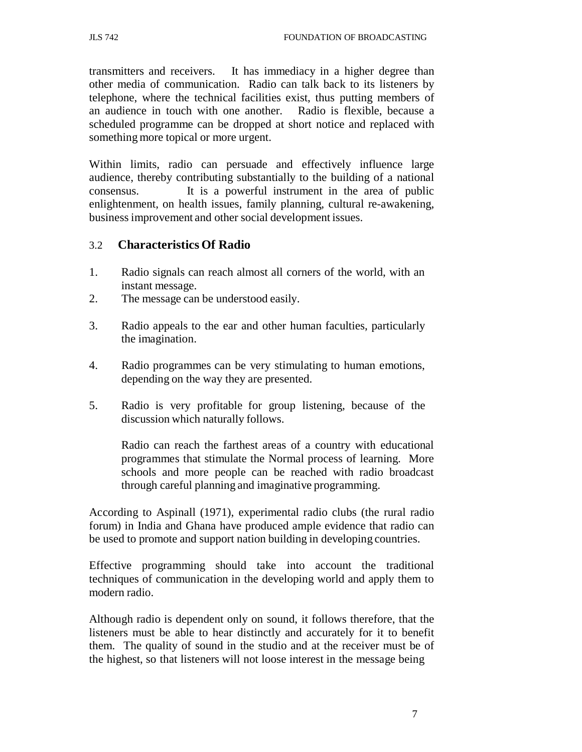transmitters and receivers. It has immediacy in a higher degree than other media of communication. Radio can talk back to its listeners by telephone, where the technical facilities exist, thus putting members of an audience in touch with one another. Radio is flexible, because a scheduled programme can be dropped at short notice and replaced with something more topical or more urgent.

Within limits, radio can persuade and effectively influence large audience, thereby contributing substantially to the building of a national consensus. It is a powerful instrument in the area of public enlightenment, on health issues, family planning, cultural re-awakening, business improvement and other social development issues.

## 3.2 **Characteristics Of Radio**

- 1. Radio signals can reach almost all corners of the world, with an instant message.
- 2. The message can be understood easily.
- 3. Radio appeals to the ear and other human faculties, particularly the imagination.
- 4. Radio programmes can be very stimulating to human emotions, depending on the way they are presented.
- 5. Radio is very profitable for group listening, because of the discussion which naturally follows.

Radio can reach the farthest areas of a country with educational programmes that stimulate the Normal process of learning. More schools and more people can be reached with radio broadcast through careful planning and imaginative programming.

According to Aspinall (1971), experimental radio clubs (the rural radio forum) in India and Ghana have produced ample evidence that radio can be used to promote and support nation building in developing countries.

Effective programming should take into account the traditional techniques of communication in the developing world and apply them to modern radio.

Although radio is dependent only on sound, it follows therefore, that the listeners must be able to hear distinctly and accurately for it to benefit them. The quality of sound in the studio and at the receiver must be of the highest, so that listeners will not loose interest in the message being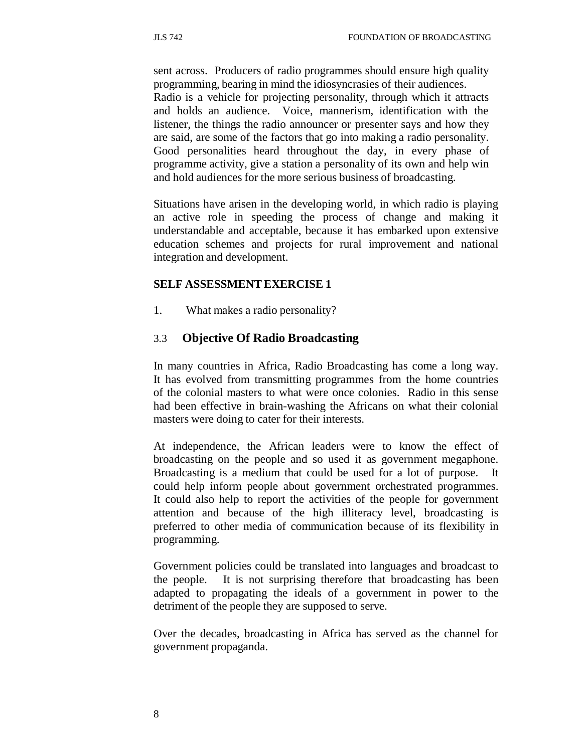sent across. Producers of radio programmes should ensure high quality programming, bearing in mind the idiosyncrasies of their audiences. Radio is a vehicle for projecting personality, through which it attracts and holds an audience. Voice, mannerism, identification with the listener, the things the radio announcer or presenter says and how they are said, are some of the factors that go into making a radio personality. Good personalities heard throughout the day, in every phase of programme activity, give a station a personality of its own and help win and hold audiences for the more serious business of broadcasting.

Situations have arisen in the developing world, in which radio is playing an active role in speeding the process of change and making it understandable and acceptable, because it has embarked upon extensive education schemes and projects for rural improvement and national integration and development.

#### **SELF ASSESSMENT EXERCISE 1**

1. What makes a radio personality?

#### 3.3 **Objective Of Radio Broadcasting**

In many countries in Africa, Radio Broadcasting has come a long way. It has evolved from transmitting programmes from the home countries of the colonial masters to what were once colonies. Radio in this sense had been effective in brain-washing the Africans on what their colonial masters were doing to cater for their interests.

At independence, the African leaders were to know the effect of broadcasting on the people and so used it as government megaphone. Broadcasting is a medium that could be used for a lot of purpose. It could help inform people about government orchestrated programmes. It could also help to report the activities of the people for government attention and because of the high illiteracy level, broadcasting is preferred to other media of communication because of its flexibility in programming.

Government policies could be translated into languages and broadcast to the people. It is not surprising therefore that broadcasting has been adapted to propagating the ideals of a government in power to the detriment of the people they are supposed to serve.

Over the decades, broadcasting in Africa has served as the channel for government propaganda.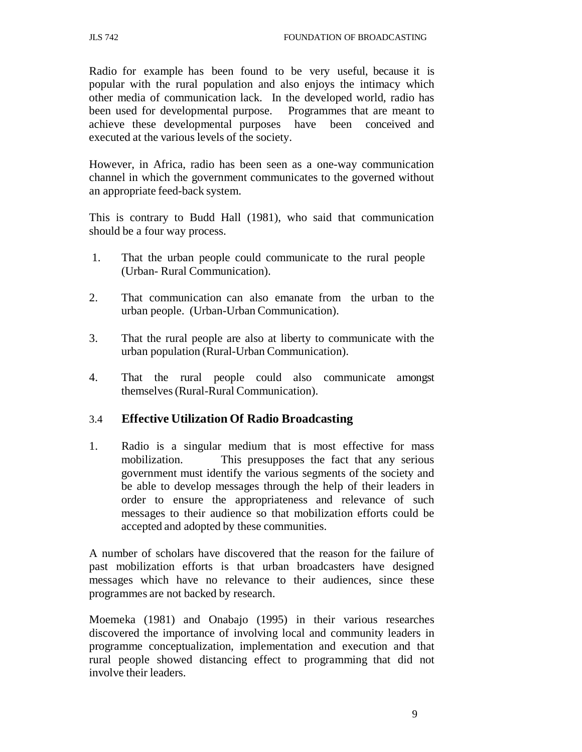Radio for example has been found to be very useful, because it is popular with the rural population and also enjoys the intimacy which other media of communication lack. In the developed world, radio has been used for developmental purpose. Programmes that are meant to achieve these developmental purposes have been conceived and executed at the various levels of the society.

However, in Africa, radio has been seen as a one-way communication channel in which the government communicates to the governed without an appropriate feed-back system.

This is contrary to Budd Hall (1981), who said that communication should be a four way process.

- 1. That the urban people could communicate to the rural people (Urban- Rural Communication).
- 2. That communication can also emanate from the urban to the urban people. (Urban-Urban Communication).
- 3. That the rural people are also at liberty to communicate with the urban population (Rural-Urban Communication).
- 4. That the rural people could also communicate amongst themselves (Rural-Rural Communication).

## 3.4 **Effective Utilization Of Radio Broadcasting**

1. Radio is a singular medium that is most effective for mass mobilization. This presupposes the fact that any serious government must identify the various segments of the society and be able to develop messages through the help of their leaders in order to ensure the appropriateness and relevance of such messages to their audience so that mobilization efforts could be accepted and adopted by these communities.

A number of scholars have discovered that the reason for the failure of past mobilization efforts is that urban broadcasters have designed messages which have no relevance to their audiences, since these programmes are not backed by research.

Moemeka (1981) and Onabajo (1995) in their various researches discovered the importance of involving local and community leaders in programme conceptualization, implementation and execution and that rural people showed distancing effect to programming that did not involve their leaders.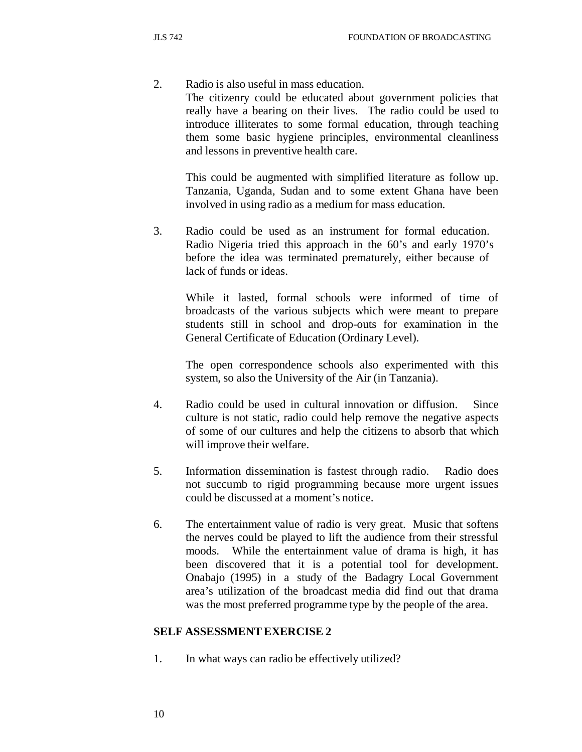2. Radio is also useful in mass education.

The citizenry could be educated about government policies that really have a bearing on their lives. The radio could be used to introduce illiterates to some formal education, through teaching them some basic hygiene principles, environmental cleanliness and lessons in preventive health care.

This could be augmented with simplified literature as follow up. Tanzania, Uganda, Sudan and to some extent Ghana have been involved in using radio as a medium for mass education.

3. Radio could be used as an instrument for formal education. Radio Nigeria tried this approach in the 60's and early 1970's before the idea was terminated prematurely, either because of lack of funds or ideas.

While it lasted, formal schools were informed of time of broadcasts of the various subjects which were meant to prepare students still in school and drop-outs for examination in the General Certificate of Education (Ordinary Level).

The open correspondence schools also experimented with this system, so also the University of the Air (in Tanzania).

- 4. Radio could be used in cultural innovation or diffusion. Since culture is not static, radio could help remove the negative aspects of some of our cultures and help the citizens to absorb that which will improve their welfare.
- 5. Information dissemination is fastest through radio. Radio does not succumb to rigid programming because more urgent issues could be discussed at a moment's notice.
- 6. The entertainment value of radio is very great. Music that softens the nerves could be played to lift the audience from their stressful moods. While the entertainment value of drama is high, it has been discovered that it is a potential tool for development. Onabajo (1995) in a study of the Badagry Local Government area's utilization of the broadcast media did find out that drama was the most preferred programme type by the people of the area.

#### **SELF ASSESSMENT EXERCISE 2**

1. In what ways can radio be effectively utilized?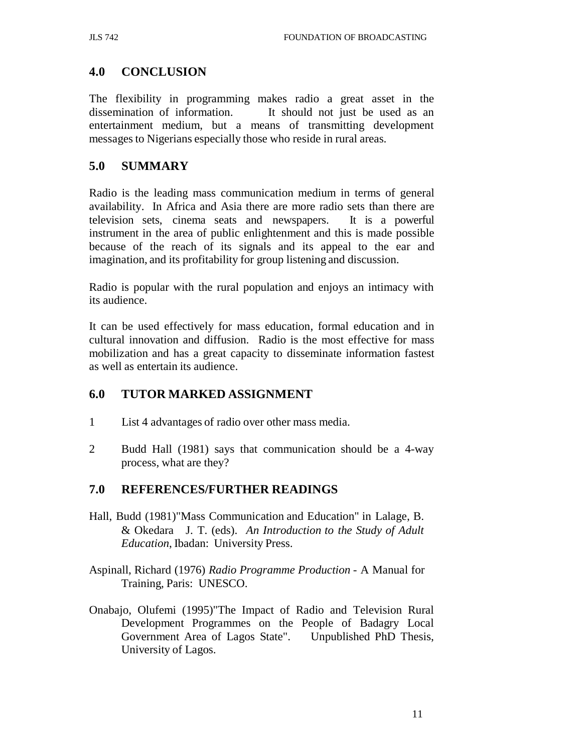# **4.0 CONCLUSION**

The flexibility in programming makes radio a great asset in the dissemination of information. It should not just be used as an entertainment medium, but a means of transmitting development messages to Nigerians especially those who reside in rural areas.

# **5.0 SUMMARY**

Radio is the leading mass communication medium in terms of general availability. In Africa and Asia there are more radio sets than there are television sets, cinema seats and newspapers. It is a powerful instrument in the area of public enlightenment and this is made possible because of the reach of its signals and its appeal to the ear and imagination, and its profitability for group listening and discussion.

Radio is popular with the rural population and enjoys an intimacy with its audience.

It can be used effectively for mass education, formal education and in cultural innovation and diffusion. Radio is the most effective for mass mobilization and has a great capacity to disseminate information fastest as well as entertain its audience.

# **6.0 TUTOR MARKED ASSIGNMENT**

- 1 List 4 advantages of radio over other mass media.
- 2 Budd Hall (1981) says that communication should be a 4-way process, what are they?

# **7.0 REFERENCES/FURTHER READINGS**

- Hall, Budd (1981)"Mass Communication and Education" in Lalage, B. & Okedara J. T. (eds). *An Introduction to the Study of Adult Education*, Ibadan: University Press.
- Aspinall, Richard (1976) *Radio Programme Production*  A Manual for Training, Paris: UNESCO.
- Onabajo, Olufemi (1995)"The Impact of Radio and Television Rural Development Programmes on the People of Badagry Local Government Area of Lagos State". Unpublished PhD Thesis, University of Lagos.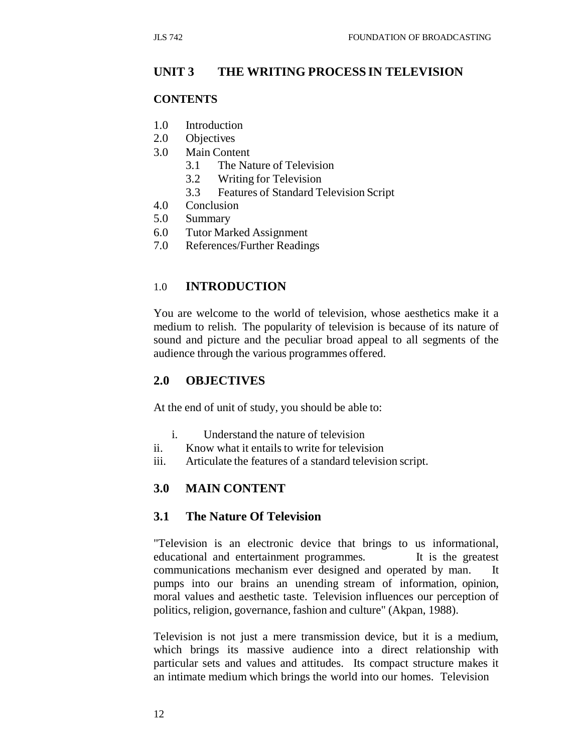### **UNIT 3 THE WRITING PROCESS IN TELEVISION**

#### **CONTENTS**

- 1.0 Introduction
- 2.0 Objectives
- 3.0 Main Content
	- 3.1 The Nature of Television
	- 3.2 Writing for Television
	- 3.3 Features of Standard Television Script
- 4.0 Conclusion
- 5.0 Summary
- 6.0 Tutor Marked Assignment
- 7.0 References/Further Readings

### 1.0 **INTRODUCTION**

You are welcome to the world of television, whose aesthetics make it a medium to relish. The popularity of television is because of its nature of sound and picture and the peculiar broad appeal to all segments of the audience through the various programmes offered.

#### **2.0 OBJECTIVES**

At the end of unit of study, you should be able to:

- i. Understand the nature of television
- ii. Know what it entails to write for television
- iii. Articulate the features of a standard television script.

#### **3.0 MAIN CONTENT**

#### **3.1 The Nature Of Television**

"Television is an electronic device that brings to us informational, educational and entertainment programmes. It is the greatest communications mechanism ever designed and operated by man. It pumps into our brains an unending stream of information, opinion, moral values and aesthetic taste. Television influences our perception of politics, religion, governance, fashion and culture" (Akpan, 1988).

Television is not just a mere transmission device, but it is a medium, which brings its massive audience into a direct relationship with particular sets and values and attitudes. Its compact structure makes it an intimate medium which brings the world into our homes. Television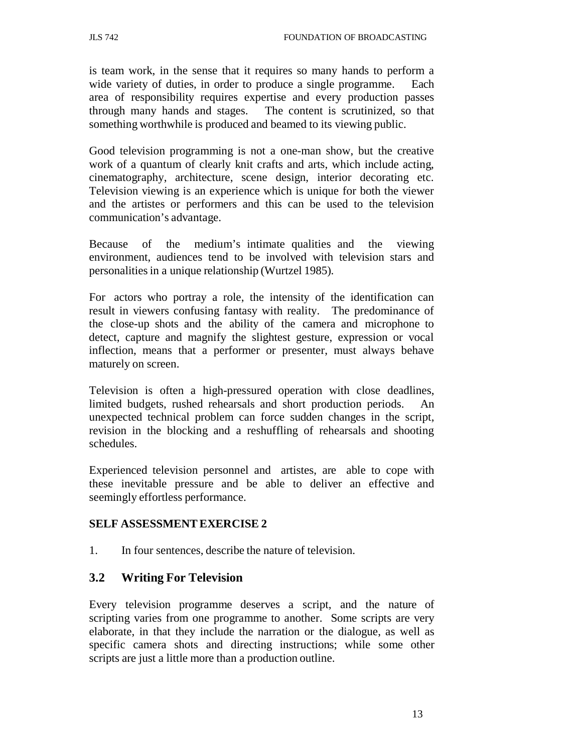is team work, in the sense that it requires so many hands to perform a wide variety of duties, in order to produce a single programme. Each area of responsibility requires expertise and every production passes through many hands and stages. The content is scrutinized, so that something worthwhile is produced and beamed to its viewing public.

Good television programming is not a one-man show, but the creative work of a quantum of clearly knit crafts and arts, which include acting, cinematography, architecture, scene design, interior decorating etc. Television viewing is an experience which is unique for both the viewer and the artistes or performers and this can be used to the television communication's advantage.

Because of the medium's intimate qualities and the viewing environment, audiences tend to be involved with television stars and personalities in a unique relationship (Wurtzel 1985).

For actors who portray a role, the intensity of the identification can result in viewers confusing fantasy with reality. The predominance of the close-up shots and the ability of the camera and microphone to detect, capture and magnify the slightest gesture, expression or vocal inflection, means that a performer or presenter, must always behave maturely on screen.

Television is often a high-pressured operation with close deadlines, limited budgets, rushed rehearsals and short production periods. unexpected technical problem can force sudden changes in the script, revision in the blocking and a reshuffling of rehearsals and shooting schedules.

Experienced television personnel and artistes, are able to cope with these inevitable pressure and be able to deliver an effective and seemingly effortless performance.

#### **SELF ASSESSMENT EXERCISE 2**

1. In four sentences, describe the nature of television.

#### **3.2 Writing For Television**

Every television programme deserves a script, and the nature of scripting varies from one programme to another. Some scripts are very elaborate, in that they include the narration or the dialogue, as well as specific camera shots and directing instructions; while some other scripts are just a little more than a production outline.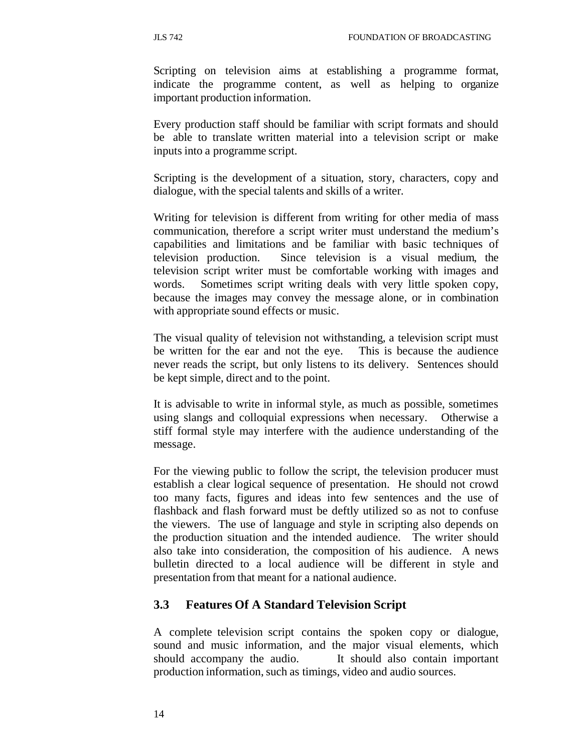Scripting on television aims at establishing a programme format, indicate the programme content, as well as helping to organize important production information.

Every production staff should be familiar with script formats and should be able to translate written material into a television script or make inputs into a programme script.

Scripting is the development of a situation, story, characters, copy and dialogue, with the special talents and skills of a writer.

Writing for television is different from writing for other media of mass communication, therefore a script writer must understand the medium's capabilities and limitations and be familiar with basic techniques of television production. Since television is a visual medium, the television script writer must be comfortable working with images and words. Sometimes script writing deals with very little spoken copy, because the images may convey the message alone, or in combination with appropriate sound effects or music.

The visual quality of television not withstanding, a television script must be written for the ear and not the eye. This is because the audience never reads the script, but only listens to its delivery. Sentences should be kept simple, direct and to the point.

It is advisable to write in informal style, as much as possible, sometimes using slangs and colloquial expressions when necessary. Otherwise a stiff formal style may interfere with the audience understanding of the message.

For the viewing public to follow the script, the television producer must establish a clear logical sequence of presentation. He should not crowd too many facts, figures and ideas into few sentences and the use of flashback and flash forward must be deftly utilized so as not to confuse the viewers. The use of language and style in scripting also depends on the production situation and the intended audience. The writer should also take into consideration, the composition of his audience. A news bulletin directed to a local audience will be different in style and presentation from that meant for a national audience.

## **3.3 Features Of A Standard Television Script**

A complete television script contains the spoken copy or dialogue, sound and music information, and the major visual elements, which should accompany the audio. It should also contain important production information, such as timings, video and audio sources.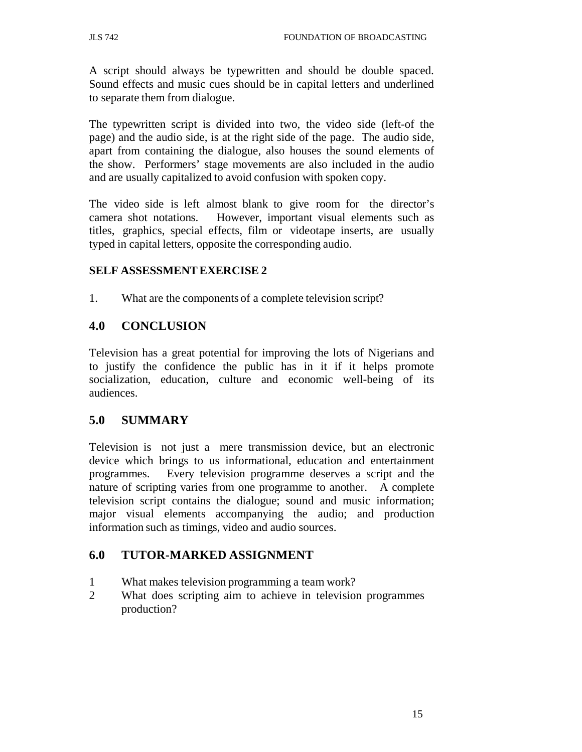A script should always be typewritten and should be double spaced. Sound effects and music cues should be in capital letters and underlined to separate them from dialogue.

The typewritten script is divided into two, the video side (left-of the page) and the audio side, is at the right side of the page. The audio side, apart from containing the dialogue, also houses the sound elements of the show. Performers' stage movements are also included in the audio and are usually capitalized to avoid confusion with spoken copy.

The video side is left almost blank to give room for the director's camera shot notations. However, important visual elements such as titles, graphics, special effects, film or videotape inserts, are usually typed in capital letters, opposite the corresponding audio.

#### **SELF ASSESSMENT EXERCISE 2**

1. What are the components of a complete television script?

## **4.0 CONCLUSION**

Television has a great potential for improving the lots of Nigerians and to justify the confidence the public has in it if it helps promote socialization, education, culture and economic well-being of its audiences.

## **5.0 SUMMARY**

Television is not just a mere transmission device, but an electronic device which brings to us informational, education and entertainment programmes. Every television programme deserves a script and the nature of scripting varies from one programme to another. A complete television script contains the dialogue; sound and music information; major visual elements accompanying the audio; and production information such as timings, video and audio sources.

## **6.0 TUTOR-MARKED ASSIGNMENT**

- 1 What makes television programming a team work?
- 2 What does scripting aim to achieve in television programmes production?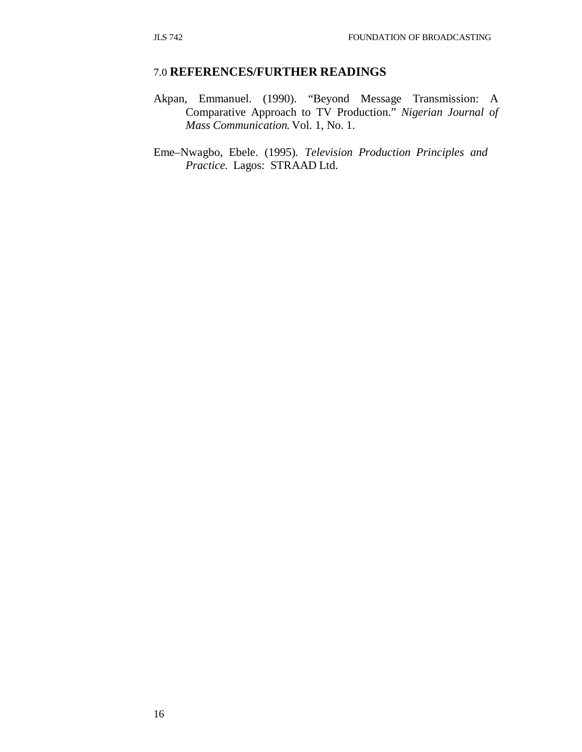#### 7.0 **REFERENCES/FURTHER READINGS**

Akpan, Emmanuel. (1990). "Beyond Message Transmission: A Comparative Approach to TV Production." *Nigerian Journal of Mass Communication.* Vol. 1, No. 1.

Eme–Nwagbo, Ebele. (1995). *Television Production Principles and Practice.* Lagos: STRAAD Ltd.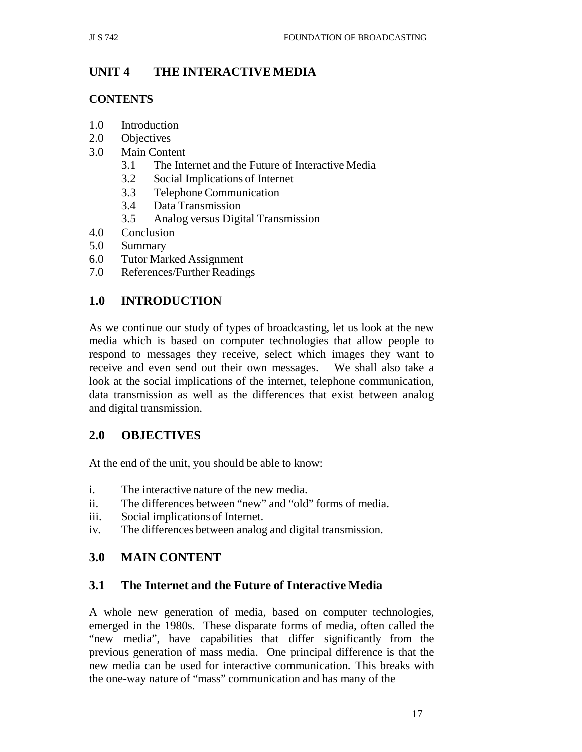# **UNIT 4 THE INTERACTIVE MEDIA**

## **CONTENTS**

- 1.0 Introduction
- 2.0 Objectives
- 3.0 Main Content
	- 3.1 The Internet and the Future of Interactive Media
	- 3.2 Social Implications of Internet
	- 3.3 Telephone Communication
	- 3.4 Data Transmission
	- 3.5 Analog versus Digital Transmission
- 4.0 Conclusion
- 5.0 Summary
- 6.0 Tutor Marked Assignment
- 7.0 References/Further Readings

# **1.0 INTRODUCTION**

As we continue our study of types of broadcasting, let us look at the new media which is based on computer technologies that allow people to respond to messages they receive, select which images they want to receive and even send out their own messages. We shall also take a look at the social implications of the internet, telephone communication, data transmission as well as the differences that exist between analog and digital transmission.

# **2.0 OBJECTIVES**

At the end of the unit, you should be able to know:

- i. The interactive nature of the new media.
- ii. The differences between "new" and "old" forms of media.
- iii. Social implications of Internet.
- iv. The differences between analog and digital transmission.

# **3.0 MAIN CONTENT**

# **3.1 The Internet and the Future of Interactive Media**

A whole new generation of media, based on computer technologies, emerged in the 1980s. These disparate forms of media, often called the "new media", have capabilities that differ significantly from the previous generation of mass media. One principal difference is that the new media can be used for interactive communication. This breaks with the one-way nature of "mass" communication and has many of the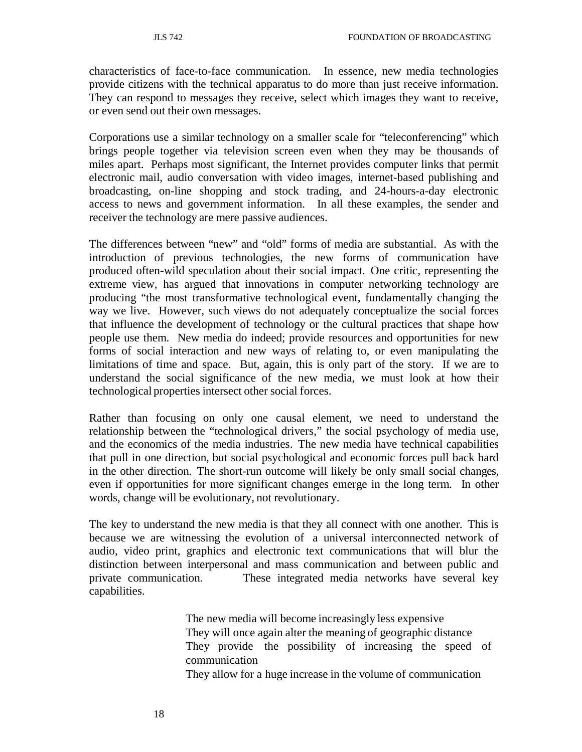characteristics of face-to-face communication. In essence, new media technologies provide citizens with the technical apparatus to do more than just receive information. They can respond to messages they receive, select which images they want to receive, or even send out their own messages.

Corporations use a similar technology on a smaller scale for "teleconferencing" which brings people together via television screen even when they may be thousands of miles apart. Perhaps most significant, the Internet provides computer links that permit electronic mail, audio conversation with video images, internet-based publishing and broadcasting, on-line shopping and stock trading, and 24-hours-a-day electronic access to news and government information. In all these examples, the sender and receiver the technology are mere passive audiences.

The differences between "new" and "old" forms of media are substantial. As with the introduction of previous technologies, the new forms of communication have produced often-wild speculation about their social impact. One critic, representing the extreme view, has argued that innovations in computer networking technology are producing "the most transformative technological event, fundamentally changing the way we live. However, such views do not adequately conceptualize the social forces that influence the development of technology or the cultural practices that shape how people use them. New media do indeed; provide resources and opportunities for new forms of social interaction and new ways of relating to, or even manipulating the limitations of time and space. But, again, this is only part of the story. If we are to understand the social significance of the new media, we must look at how their technological properties intersect other social forces.

Rather than focusing on only one causal element, we need to understand the relationship between the "technological drivers," the social psychology of media use, and the economics of the media industries. The new media have technical capabilities that pull in one direction, but social psychological and economic forces pull back hard in the other direction. The short-run outcome will likely be only small social changes, even if opportunities for more significant changes emerge in the long term. In other words, change will be evolutionary, not revolutionary.

The key to understand the new media is that they all connect with one another. This is because we are witnessing the evolution of a universal interconnected network of audio, video print, graphics and electronic text communications that will blur the distinction between interpersonal and mass communication and between public and private communication. These integrated media networks have several key capabilities.

> The new media will become increasingly less expensive They will once again alter the meaning of geographic distance They provide the possibility of increasing the speed of communication

They allow for a huge increase in the volume of communication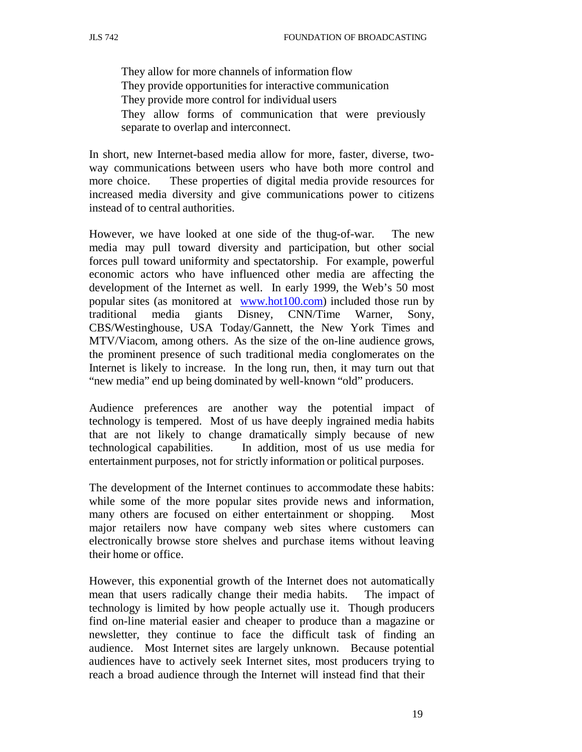They allow for more channels of information flow They provide opportunities for interactive communication They provide more control for individual users They allow forms of communication that were previously separate to overlap and interconnect.

In short, new Internet-based media allow for more, faster, diverse, twoway communications between users who have both more control and more choice. These properties of digital media provide resources for increased media diversity and give communications power to citizens instead of to central authorities.

However, we have looked at one side of the thug-of-war. The new media may pull toward diversity and participation, but other social forces pull toward uniformity and spectatorship. For example, powerful economic actors who have influenced other media are affecting the development of the Internet as well. In early 1999, the Web's 50 most popular sites (as monitored at www.hot100.com) included those run by traditional media giants Disney, CNN/Time Warner, Sony, CBS/Westinghouse, USA Today/Gannett, the New York Times and MTV/Viacom, among others. As the size of the on-line audience grows, the prominent presence of such traditional media conglomerates on the Internet is likely to increase. In the long run, then, it may turn out that "new media" end up being dominated by well-known "old" producers.

Audience preferences are another way the potential impact of technology is tempered. Most of us have deeply ingrained media habits that are not likely to change dramatically simply because of new technological capabilities. In addition, most of us use media for entertainment purposes, not for strictly information or political purposes.

The development of the Internet continues to accommodate these habits: while some of the more popular sites provide news and information, many others are focused on either entertainment or shopping. Most major retailers now have company web sites where customers can electronically browse store shelves and purchase items without leaving their home or office.

However, this exponential growth of the Internet does not automatically mean that users radically change their media habits. The impact of technology is limited by how people actually use it. Though producers find on-line material easier and cheaper to produce than a magazine or newsletter, they continue to face the difficult task of finding an audience. Most Internet sites are largely unknown. Because potential audiences have to actively seek Internet sites, most producers trying to reach a broad audience through the Internet will instead find that their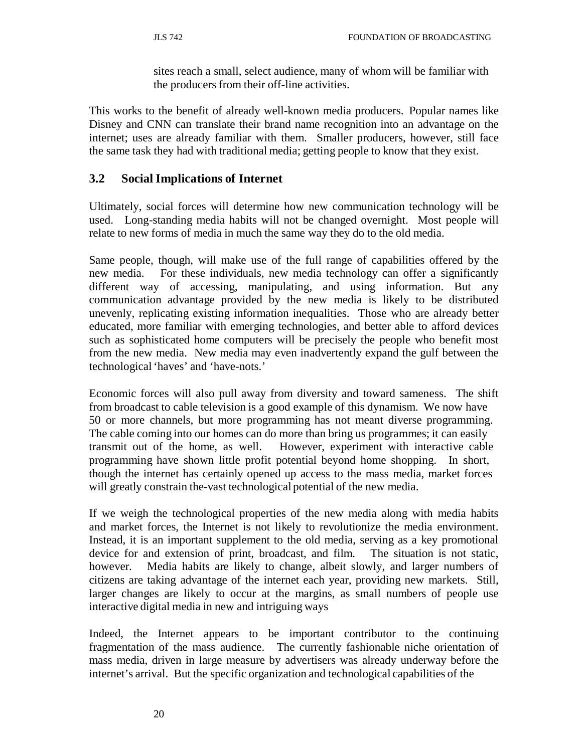sites reach a small, select audience, many of whom will be familiar with the producers from their off-line activities.

This works to the benefit of already well-known media producers. Popular names like Disney and CNN can translate their brand name recognition into an advantage on the internet; uses are already familiar with them. Smaller producers, however, still face the same task they had with traditional media; getting people to know that they exist.

# **3.2 Social Implications of Internet**

Ultimately, social forces will determine how new communication technology will be used. Long-standing media habits will not be changed overnight. Most people will relate to new forms of media in much the same way they do to the old media.

Same people, though, will make use of the full range of capabilities offered by the new media. For these individuals, new media technology can offer a significantly different way of accessing, manipulating, and using information. But any communication advantage provided by the new media is likely to be distributed unevenly, replicating existing information inequalities. Those who are already better educated, more familiar with emerging technologies, and better able to afford devices such as sophisticated home computers will be precisely the people who benefit most from the new media. New media may even inadvertently expand the gulf between the technological 'haves' and 'have-nots.'

Economic forces will also pull away from diversity and toward sameness. The shift from broadcast to cable television is a good example of this dynamism. We now have 50 or more channels, but more programming has not meant diverse programming. The cable coming into our homes can do more than bring us programmes; it can easily transmit out of the home, as well. However, experiment with interactive cable programming have shown little profit potential beyond home shopping. In short, though the internet has certainly opened up access to the mass media, market forces will greatly constrain the-vast technological potential of the new media.

If we weigh the technological properties of the new media along with media habits and market forces, the Internet is not likely to revolutionize the media environment. Instead, it is an important supplement to the old media, serving as a key promotional device for and extension of print, broadcast, and film. The situation is not static, however. Media habits are likely to change, albeit slowly, and larger numbers of citizens are taking advantage of the internet each year, providing new markets. Still, larger changes are likely to occur at the margins, as small numbers of people use interactive digital media in new and intriguing ways

Indeed, the Internet appears to be important contributor to the continuing fragmentation of the mass audience. The currently fashionable niche orientation of mass media, driven in large measure by advertisers was already underway before the internet's arrival. But the specific organization and technological capabilities of the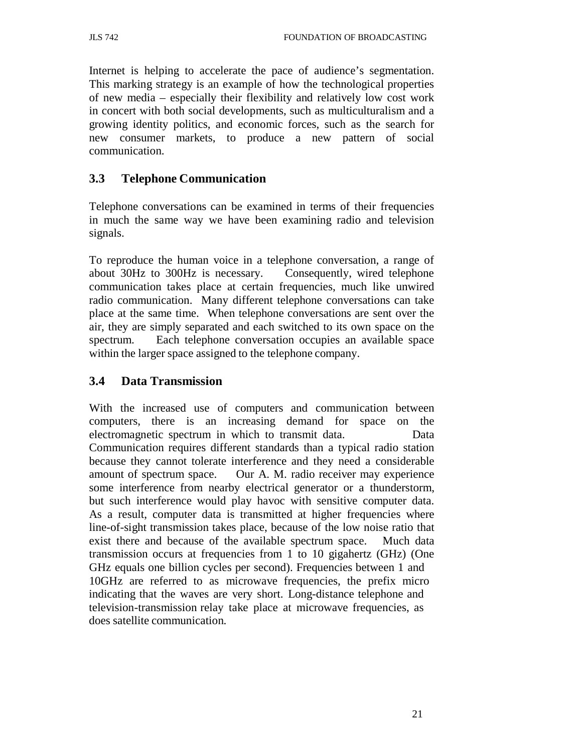Internet is helping to accelerate the pace of audience's segmentation. This marking strategy is an example of how the technological properties of new media – especially their flexibility and relatively low cost work in concert with both social developments, such as multiculturalism and a growing identity politics, and economic forces, such as the search for new consumer markets, to produce a new pattern of social communication.

# **3.3 Telephone Communication**

Telephone conversations can be examined in terms of their frequencies in much the same way we have been examining radio and television signals.

To reproduce the human voice in a telephone conversation, a range of about 30Hz to 300Hz is necessary. Consequently, wired telephone communication takes place at certain frequencies, much like unwired radio communication. Many different telephone conversations can take place at the same time. When telephone conversations are sent over the air, they are simply separated and each switched to its own space on the spectrum. Each telephone conversation occupies an available space within the larger space assigned to the telephone company.

# **3.4 Data Transmission**

With the increased use of computers and communication between computers, there is an increasing demand for space on the electromagnetic spectrum in which to transmit data. Data Communication requires different standards than a typical radio station because they cannot tolerate interference and they need a considerable amount of spectrum space. Our A. M. radio receiver may experience some interference from nearby electrical generator or a thunderstorm, but such interference would play havoc with sensitive computer data. As a result, computer data is transmitted at higher frequencies where line-of-sight transmission takes place, because of the low noise ratio that exist there and because of the available spectrum space. Much data transmission occurs at frequencies from 1 to 10 gigahertz (GHz) (One GHz equals one billion cycles per second). Frequencies between 1 and 10GHz are referred to as microwave frequencies, the prefix micro indicating that the waves are very short. Long-distance telephone and television-transmission relay take place at microwave frequencies, as does satellite communication.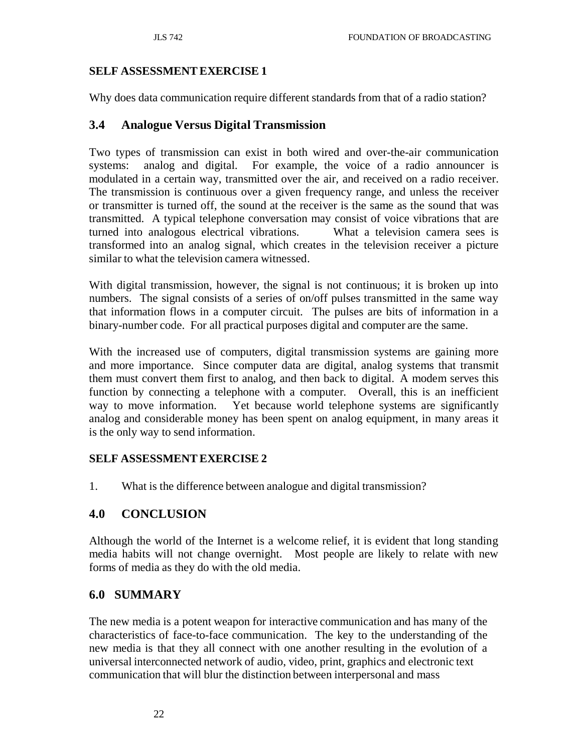## **SELF ASSESSMENT EXERCISE 1**

Why does data communication require different standards from that of a radio station?

## **3.4 Analogue Versus Digital Transmission**

Two types of transmission can exist in both wired and over-the-air communication systems: analog and digital. For example, the voice of a radio announcer is modulated in a certain way, transmitted over the air, and received on a radio receiver. The transmission is continuous over a given frequency range, and unless the receiver or transmitter is turned off, the sound at the receiver is the same as the sound that was transmitted. A typical telephone conversation may consist of voice vibrations that are turned into analogous electrical vibrations. What a television camera sees is transformed into an analog signal, which creates in the television receiver a picture similar to what the television camera witnessed.

With digital transmission, however, the signal is not continuous; it is broken up into numbers. The signal consists of a series of on/off pulses transmitted in the same way that information flows in a computer circuit. The pulses are bits of information in a binary-number code. For all practical purposes digital and computer are the same.

With the increased use of computers, digital transmission systems are gaining more and more importance. Since computer data are digital, analog systems that transmit them must convert them first to analog, and then back to digital. A modem serves this function by connecting a telephone with a computer. Overall, this is an inefficient way to move information. Yet because world telephone systems are significantly analog and considerable money has been spent on analog equipment, in many areas it is the only way to send information.

## **SELF ASSESSMENT EXERCISE 2**

1. What is the difference between analogue and digital transmission?

# **4.0 CONCLUSION**

Although the world of the Internet is a welcome relief, it is evident that long standing media habits will not change overnight. Most people are likely to relate with new forms of media as they do with the old media.

# **6.0 SUMMARY**

The new media is a potent weapon for interactive communication and has many of the characteristics of face-to-face communication. The key to the understanding of the new media is that they all connect with one another resulting in the evolution of a universal interconnected network of audio, video, print, graphics and electronic text communication that will blur the distinction between interpersonal and mass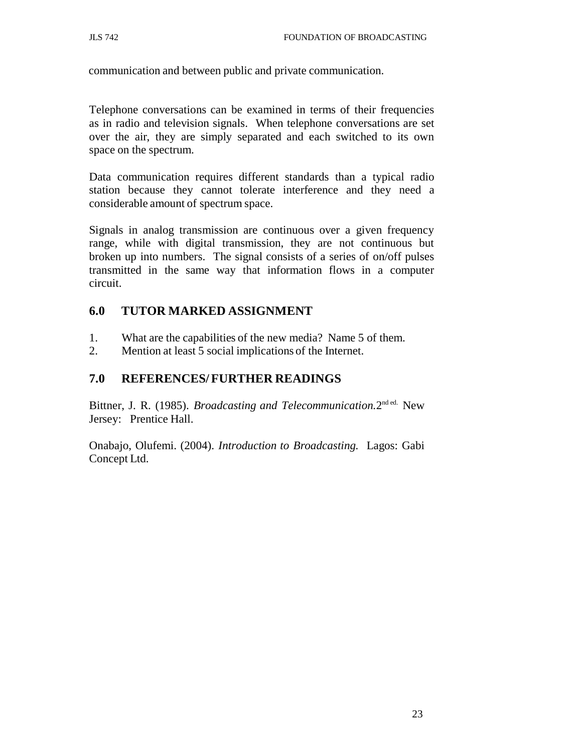communication and between public and private communication.

Telephone conversations can be examined in terms of their frequencies as in radio and television signals. When telephone conversations are set over the air, they are simply separated and each switched to its own space on the spectrum.

Data communication requires different standards than a typical radio station because they cannot tolerate interference and they need a considerable amount of spectrum space.

Signals in analog transmission are continuous over a given frequency range, while with digital transmission, they are not continuous but broken up into numbers. The signal consists of a series of on/off pulses transmitted in the same way that information flows in a computer circuit.

# **6.0 TUTOR MARKED ASSIGNMENT**

- 1. What are the capabilities of the new media? Name 5 of them.
- 2. Mention at least 5 social implications of the Internet.

# **7.0 REFERENCES/ FURTHER READINGS**

Bittner, J. R. (1985). *Broadcasting and Telecommunication.*2nd ed. New Jersey: Prentice Hall.

Onabajo, Olufemi. (2004). *Introduction to Broadcasting.* Lagos: Gabi Concept Ltd.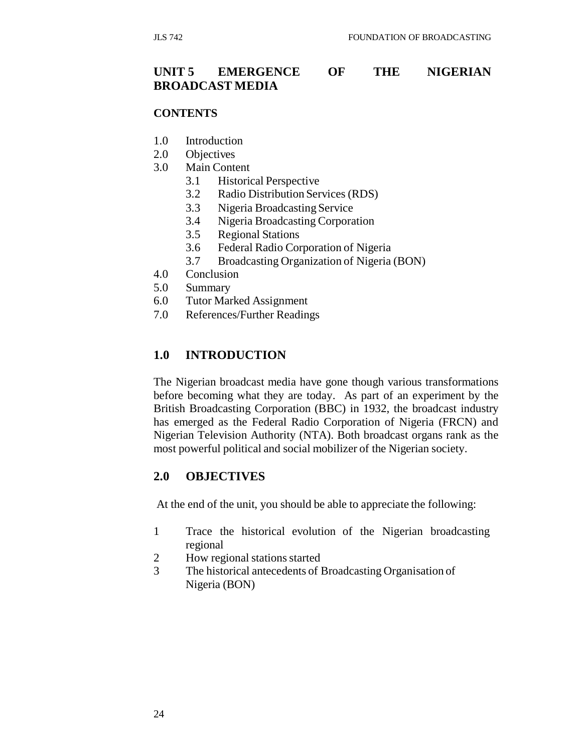## **UNIT 5 EMERGENCE OF THE NIGERIAN BROADCAST MEDIA**

#### **CONTENTS**

- 1.0 Introduction
- 2.0 Objectives
- 3.0 Main Content
	- 3.1 Historical Perspective
	- 3.2 Radio Distribution Services (RDS)
	- 3.3 Nigeria Broadcasting Service
	- 3.4 Nigeria Broadcasting Corporation
	- 3.5 Regional Stations
	- 3.6 Federal Radio Corporation of Nigeria
	- 3.7 Broadcasting Organization of Nigeria (BON)
- 4.0 Conclusion
- 5.0 Summary
- 6.0 Tutor Marked Assignment
- 7.0 References/Further Readings

### **1.0 INTRODUCTION**

The Nigerian broadcast media have gone though various transformations before becoming what they are today. As part of an experiment by the British Broadcasting Corporation (BBC) in 1932, the broadcast industry has emerged as the Federal Radio Corporation of Nigeria (FRCN) and Nigerian Television Authority (NTA). Both broadcast organs rank as the most powerful political and social mobilizer of the Nigerian society.

## **2.0 OBJECTIVES**

At the end of the unit, you should be able to appreciate the following:

- 1 Trace the historical evolution of the Nigerian broadcasting regional
- 2 How regional stations started
- 3 The historical antecedents of Broadcasting Organisation of Nigeria (BON)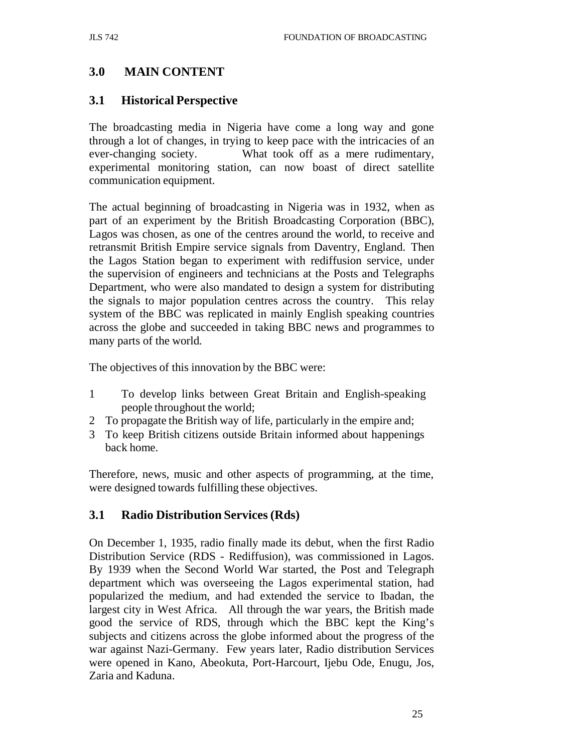# **3.0 MAIN CONTENT**

## **3.1 Historical Perspective**

The broadcasting media in Nigeria have come a long way and gone through a lot of changes, in trying to keep pace with the intricacies of an ever-changing society. What took off as a mere rudimentary, experimental monitoring station, can now boast of direct satellite communication equipment.

The actual beginning of broadcasting in Nigeria was in 1932, when as part of an experiment by the British Broadcasting Corporation (BBC), Lagos was chosen, as one of the centres around the world, to receive and retransmit British Empire service signals from Daventry, England. Then the Lagos Station began to experiment with rediffusion service, under the supervision of engineers and technicians at the Posts and Telegraphs Department, who were also mandated to design a system for distributing the signals to major population centres across the country. This relay system of the BBC was replicated in mainly English speaking countries across the globe and succeeded in taking BBC news and programmes to many parts of the world.

The objectives of this innovation by the BBC were:

- 1 To develop links between Great Britain and English-speaking people throughout the world;
- 2 To propagate the British way of life, particularly in the empire and;
- 3 To keep British citizens outside Britain informed about happenings back home.

Therefore, news, music and other aspects of programming, at the time, were designed towards fulfilling these objectives.

## **3.1 Radio Distribution Services (Rds)**

On December 1, 1935, radio finally made its debut, when the first Radio Distribution Service (RDS - Rediffusion), was commissioned in Lagos. By 1939 when the Second World War started, the Post and Telegraph department which was overseeing the Lagos experimental station, had popularized the medium, and had extended the service to Ibadan, the largest city in West Africa. All through the war years, the British made good the service of RDS, through which the BBC kept the King's subjects and citizens across the globe informed about the progress of the war against Nazi-Germany. Few years later, Radio distribution Services were opened in Kano, Abeokuta, Port-Harcourt, Ijebu Ode, Enugu, Jos, Zaria and Kaduna.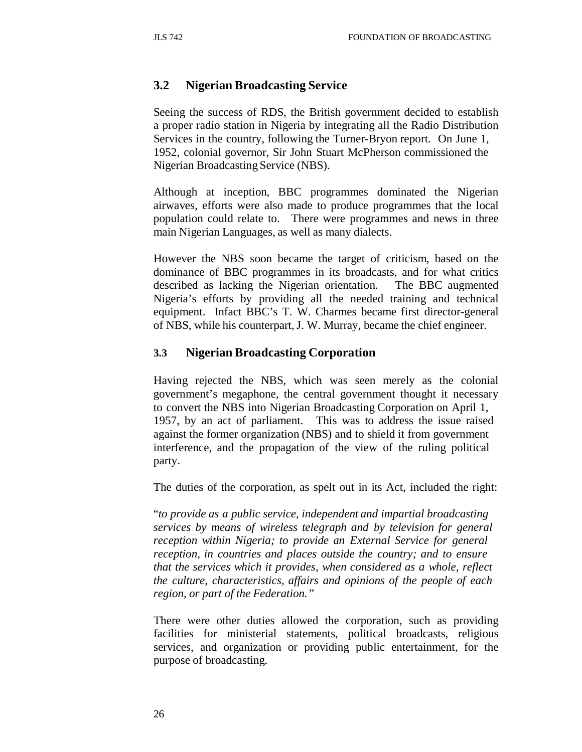# **3.2 Nigerian Broadcasting Service**

Seeing the success of RDS, the British government decided to establish a proper radio station in Nigeria by integrating all the Radio Distribution Services in the country, following the Turner-Bryon report. On June 1, 1952, colonial governor, Sir John Stuart McPherson commissioned the Nigerian Broadcasting Service (NBS).

Although at inception, BBC programmes dominated the Nigerian airwaves, efforts were also made to produce programmes that the local population could relate to. There were programmes and news in three main Nigerian Languages, as well as many dialects.

However the NBS soon became the target of criticism, based on the dominance of BBC programmes in its broadcasts, and for what critics described as lacking the Nigerian orientation. The BBC augmented Nigeria's efforts by providing all the needed training and technical equipment. Infact BBC's T. W. Charmes became first director-general of NBS, while his counterpart, J. W. Murray, became the chief engineer.

## **3.3 Nigerian Broadcasting Corporation**

Having rejected the NBS, which was seen merely as the colonial government's megaphone, the central government thought it necessary to convert the NBS into Nigerian Broadcasting Corporation on April 1, 1957, by an act of parliament. This was to address the issue raised against the former organization (NBS) and to shield it from government interference, and the propagation of the view of the ruling political party.

The duties of the corporation, as spelt out in its Act, included the right:

"*to provide as a public service, independent and impartial broadcasting services by means of wireless telegraph and by television for general reception within Nigeria; to provide an External Service for general reception, in countries and places outside the country; and to ensure that the services which it provides, when considered as a whole, reflect the culture, characteristics, affairs and opinions of the people of each region, or part of the Federation."*

There were other duties allowed the corporation, such as providing facilities for ministerial statements, political broadcasts, religious services, and organization or providing public entertainment, for the purpose of broadcasting.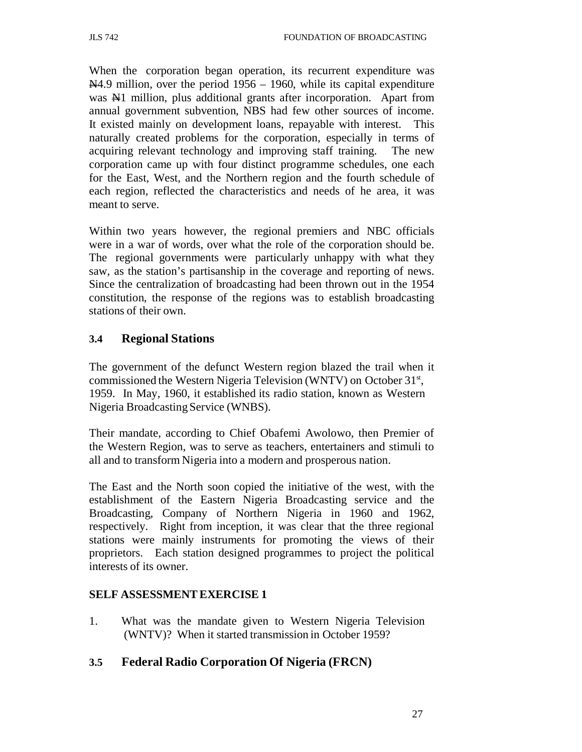When the corporation began operation, its recurrent expenditure was  $\mathbb{N}4.9$  million, over the period 1956 – 1960, while its capital expenditure was N<sub>1</sub> million, plus additional grants after incorporation. Apart from annual government subvention, NBS had few other sources of income. It existed mainly on development loans, repayable with interest. This naturally created problems for the corporation, especially in terms of acquiring relevant technology and improving staff training. The new corporation came up with four distinct programme schedules, one each for the East, West, and the Northern region and the fourth schedule of each region, reflected the characteristics and needs of he area, it was meant to serve.

Within two years however, the regional premiers and NBC officials were in a war of words, over what the role of the corporation should be. The regional governments were particularly unhappy with what they saw, as the station's partisanship in the coverage and reporting of news. Since the centralization of broadcasting had been thrown out in the 1954 constitution, the response of the regions was to establish broadcasting stations of their own.

### **3.4 Regional Stations**

The government of the defunct Western region blazed the trail when it commissioned the Western Nigeria Television (WNTV) on October 31<sup>st</sup>, 1959. In May, 1960, it established its radio station, known as Western Nigeria Broadcasting Service (WNBS).

Their mandate, according to Chief Obafemi Awolowo, then Premier of the Western Region, was to serve as teachers, entertainers and stimuli to all and to transform Nigeria into a modern and prosperous nation.

The East and the North soon copied the initiative of the west, with the establishment of the Eastern Nigeria Broadcasting service and the Broadcasting, Company of Northern Nigeria in 1960 and 1962, respectively. Right from inception, it was clear that the three regional stations were mainly instruments for promoting the views of their proprietors. Each station designed programmes to project the political interests of its owner.

#### **SELF ASSESSMENT EXERCISE 1**

1. What was the mandate given to Western Nigeria Television (WNTV)? When it started transmission in October 1959?

#### **3.5 Federal Radio Corporation Of Nigeria (FRCN)**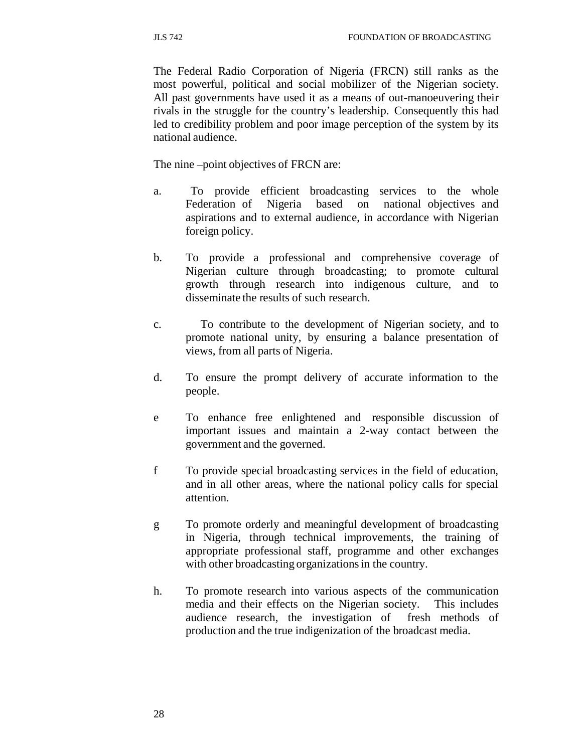The Federal Radio Corporation of Nigeria (FRCN) still ranks as the most powerful, political and social mobilizer of the Nigerian society. All past governments have used it as a means of out-manoeuvering their rivals in the struggle for the country's leadership. Consequently this had led to credibility problem and poor image perception of the system by its national audience.

The nine –point objectives of FRCN are:

- a. To provide efficient broadcasting services to the whole Federation of Nigeria based on national objectives and aspirations and to external audience, in accordance with Nigerian foreign policy.
- b. To provide a professional and comprehensive coverage of Nigerian culture through broadcasting; to promote cultural growth through research into indigenous culture, and to disseminate the results of such research.
- c. To contribute to the development of Nigerian society, and to promote national unity, by ensuring a balance presentation of views, from all parts of Nigeria.
- d. To ensure the prompt delivery of accurate information to the people.
- e To enhance free enlightened and responsible discussion of important issues and maintain a 2-way contact between the government and the governed.
- f To provide special broadcasting services in the field of education, and in all other areas, where the national policy calls for special attention.
- g To promote orderly and meaningful development of broadcasting in Nigeria, through technical improvements, the training of appropriate professional staff, programme and other exchanges with other broadcasting organizations in the country.
- h. To promote research into various aspects of the communication media and their effects on the Nigerian society. This includes audience research, the investigation of fresh methods of production and the true indigenization of the broadcast media.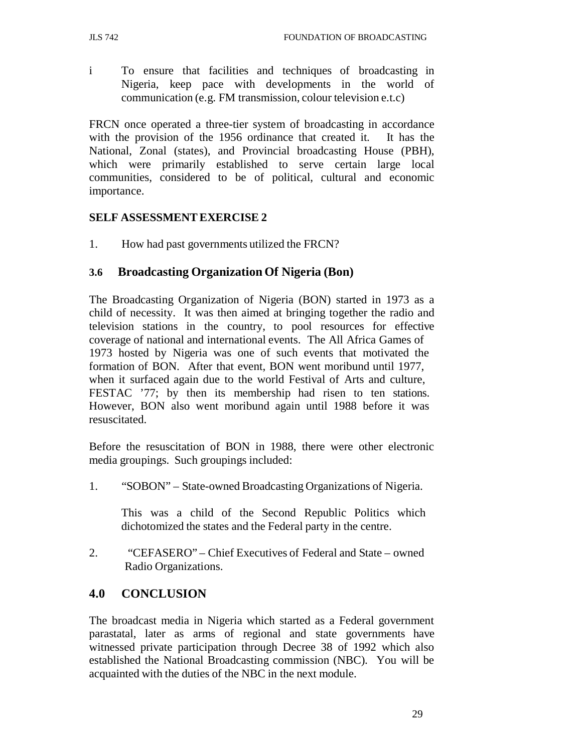i To ensure that facilities and techniques of broadcasting in Nigeria, keep pace with developments in the world of communication (e.g. FM transmission, colour television e.t.c)

FRCN once operated a three-tier system of broadcasting in accordance with the provision of the 1956 ordinance that created it. It has the National, Zonal (states), and Provincial broadcasting House (PBH), which were primarily established to serve certain large local communities, considered to be of political, cultural and economic importance.

### **SELF ASSESSMENT EXERCISE 2**

1. How had past governments utilized the FRCN?

### **3.6 Broadcasting Organization Of Nigeria (Bon)**

The Broadcasting Organization of Nigeria (BON) started in 1973 as a child of necessity. It was then aimed at bringing together the radio and television stations in the country, to pool resources for effective coverage of national and international events. The All Africa Games of 1973 hosted by Nigeria was one of such events that motivated the formation of BON. After that event, BON went moribund until 1977, when it surfaced again due to the world Festival of Arts and culture, FESTAC '77; by then its membership had risen to ten stations. However, BON also went moribund again until 1988 before it was resuscitated.

Before the resuscitation of BON in 1988, there were other electronic media groupings. Such groupings included:

1. "SOBON" – State-owned Broadcasting Organizations of Nigeria.

This was a child of the Second Republic Politics which dichotomized the states and the Federal party in the centre.

2. "CEFASERO" – Chief Executives of Federal and State – owned Radio Organizations.

### **4.0 CONCLUSION**

The broadcast media in Nigeria which started as a Federal government parastatal, later as arms of regional and state governments have witnessed private participation through Decree 38 of 1992 which also established the National Broadcasting commission (NBC). You will be acquainted with the duties of the NBC in the next module.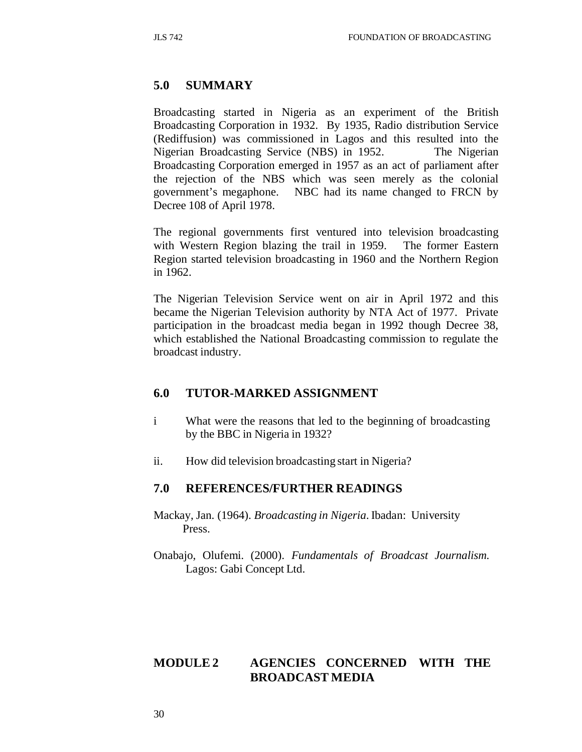### **5.0 SUMMARY**

Broadcasting started in Nigeria as an experiment of the British Broadcasting Corporation in 1932. By 1935, Radio distribution Service (Rediffusion) was commissioned in Lagos and this resulted into the Nigerian Broadcasting Service (NBS) in 1952. The Nigerian Broadcasting Corporation emerged in 1957 as an act of parliament after the rejection of the NBS which was seen merely as the colonial government's megaphone. NBC had its name changed to FRCN by Decree 108 of April 1978.

The regional governments first ventured into television broadcasting with Western Region blazing the trail in 1959. The former Eastern Region started television broadcasting in 1960 and the Northern Region in 1962.

The Nigerian Television Service went on air in April 1972 and this became the Nigerian Television authority by NTA Act of 1977. Private participation in the broadcast media began in 1992 though Decree 38, which established the National Broadcasting commission to regulate the broadcast industry.

### **6.0 TUTOR-MARKED ASSIGNMENT**

- i What were the reasons that led to the beginning of broadcasting by the BBC in Nigeria in 1932?
- ii. How did television broadcasting start in Nigeria?

#### **7.0 REFERENCES/FURTHER READINGS**

- Mackay, Jan. (1964). *Broadcasting in Nigeria*. Ibadan: University Press.
- Onabajo, Olufemi. (2000). *Fundamentals of Broadcast Journalism.* Lagos: Gabi Concept Ltd.

### **MODULE 2 AGENCIES CONCERNED WITH THE BROADCAST MEDIA**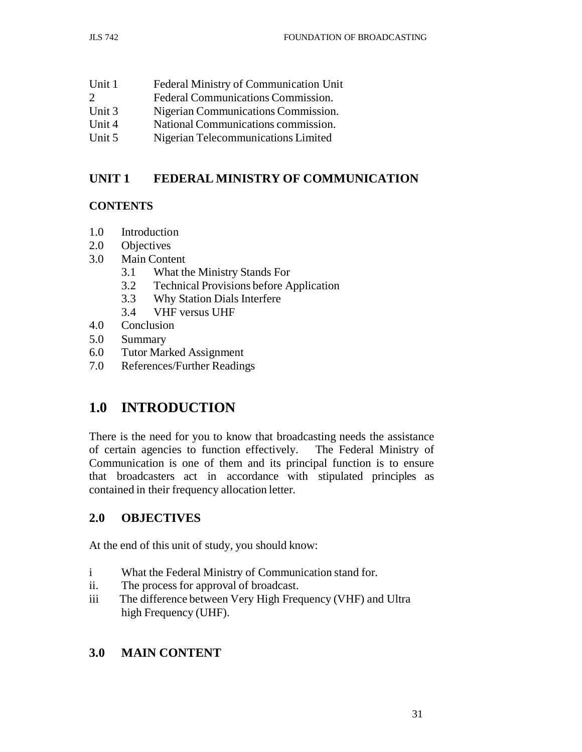| Unit 1                | Federal Ministry of Communication Unit |
|-----------------------|----------------------------------------|
| $\mathcal{D}_{\cdot}$ | Federal Communications Commission.     |
| Unit $3$              | Nigerian Communications Commission.    |
| Unit $4$              | National Communications commission.    |

Unit 5 Nigerian Telecommunications Limited

# **UNIT 1 FEDERAL MINISTRY OF COMMUNICATION**

### **CONTENTS**

- 1.0 Introduction
- 2.0 Objectives
- 3.0 Main Content
	- 3.1 What the Ministry Stands For
	- 3.2 Technical Provisions before Application
	- 3.3 Why Station Dials Interfere
	- 3.4 VHF versus UHF
- 4.0 Conclusion
- 5.0 Summary
- 6.0 Tutor Marked Assignment
- 7.0 References/Further Readings

# **1.0 INTRODUCTION**

There is the need for you to know that broadcasting needs the assistance of certain agencies to function effectively. The Federal Ministry of Communication is one of them and its principal function is to ensure that broadcasters act in accordance with stipulated principles as contained in their frequency allocation letter.

# **2.0 OBJECTIVES**

At the end of this unit of study, you should know:

- i What the Federal Ministry of Communication stand for.
- ii. The process for approval of broadcast.
- iii The difference between Very High Frequency (VHF) and Ultra high Frequency (UHF).

# **3.0 MAIN CONTENT**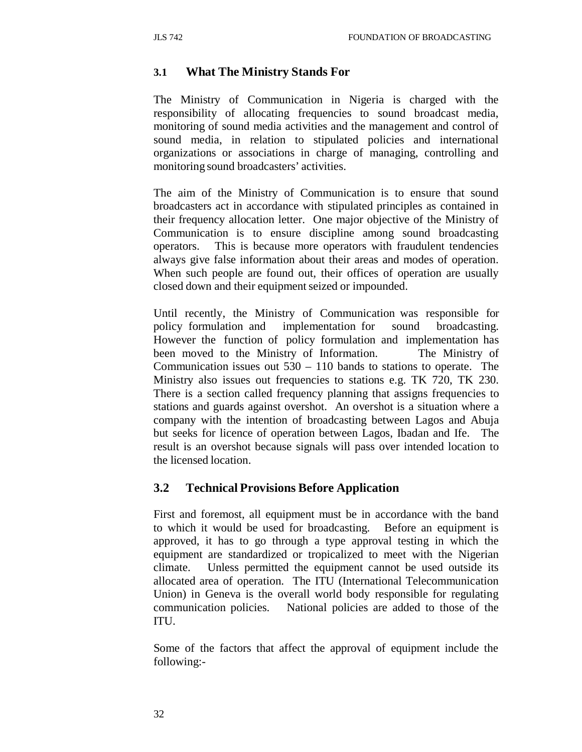### **3.1 What The Ministry Stands For**

The Ministry of Communication in Nigeria is charged with the responsibility of allocating frequencies to sound broadcast media, monitoring of sound media activities and the management and control of sound media, in relation to stipulated policies and international organizations or associations in charge of managing, controlling and monitoring sound broadcasters' activities.

The aim of the Ministry of Communication is to ensure that sound broadcasters act in accordance with stipulated principles as contained in their frequency allocation letter. One major objective of the Ministry of Communication is to ensure discipline among sound broadcasting operators. This is because more operators with fraudulent tendencies always give false information about their areas and modes of operation. When such people are found out, their offices of operation are usually closed down and their equipment seized or impounded.

Until recently, the Ministry of Communication was responsible for policy formulation and implementation for sound broadcasting. However the function of policy formulation and implementation has been moved to the Ministry of Information. The Ministry of Communication issues out  $530 - 110$  bands to stations to operate. The Ministry also issues out frequencies to stations e.g. TK 720, TK 230. There is a section called frequency planning that assigns frequencies to stations and guards against overshot. An overshot is a situation where a company with the intention of broadcasting between Lagos and Abuja but seeks for licence of operation between Lagos, Ibadan and Ife. The result is an overshot because signals will pass over intended location to the licensed location.

#### **3.2 Technical Provisions Before Application**

First and foremost, all equipment must be in accordance with the band to which it would be used for broadcasting. Before an equipment is approved, it has to go through a type approval testing in which the equipment are standardized or tropicalized to meet with the Nigerian climate. Unless permitted the equipment cannot be used outside its allocated area of operation. The ITU (International Telecommunication Union) in Geneva is the overall world body responsible for regulating communication policies. National policies are added to those of the ITU.

Some of the factors that affect the approval of equipment include the following:-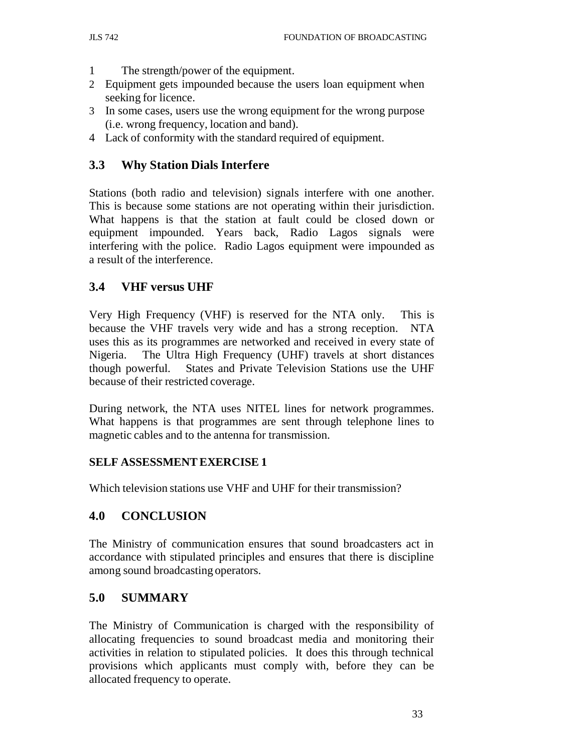- 1 The strength/power of the equipment.
- 2 Equipment gets impounded because the users loan equipment when seeking for licence.
- 3 In some cases, users use the wrong equipment for the wrong purpose (i.e. wrong frequency, location and band).
- 4 Lack of conformity with the standard required of equipment.

# **3.3 Why Station Dials Interfere**

Stations (both radio and television) signals interfere with one another. This is because some stations are not operating within their jurisdiction. What happens is that the station at fault could be closed down or equipment impounded. Years back, Radio Lagos signals were interfering with the police. Radio Lagos equipment were impounded as a result of the interference.

# **3.4 VHF versus UHF**

Very High Frequency (VHF) is reserved for the NTA only. This is because the VHF travels very wide and has a strong reception. NTA uses this as its programmes are networked and received in every state of Nigeria. The Ultra High Frequency (UHF) travels at short distances though powerful. States and Private Television Stations use the UHF because of their restricted coverage.

During network, the NTA uses NITEL lines for network programmes. What happens is that programmes are sent through telephone lines to magnetic cables and to the antenna for transmission.

### **SELF ASSESSMENT EXERCISE 1**

Which television stations use VHF and UHF for their transmission?

# **4.0 CONCLUSION**

The Ministry of communication ensures that sound broadcasters act in accordance with stipulated principles and ensures that there is discipline among sound broadcasting operators.

## **5.0 SUMMARY**

The Ministry of Communication is charged with the responsibility of allocating frequencies to sound broadcast media and monitoring their activities in relation to stipulated policies. It does this through technical provisions which applicants must comply with, before they can be allocated frequency to operate.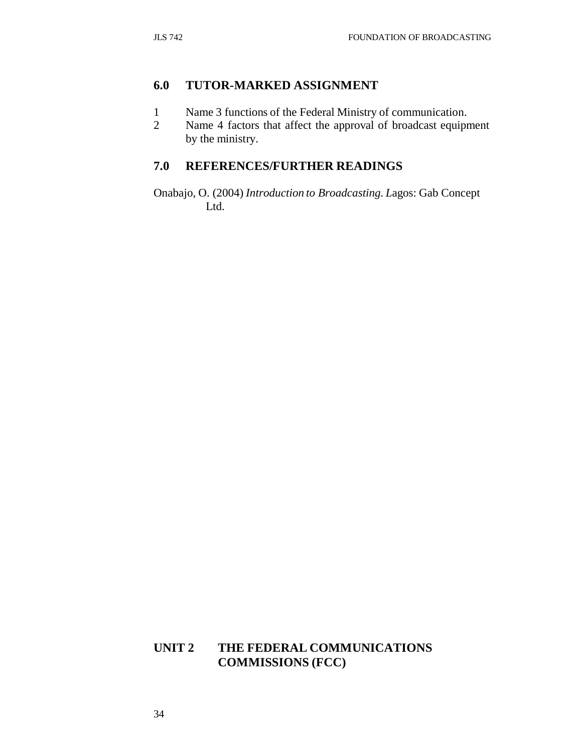## **6.0 TUTOR-MARKED ASSIGNMENT**

- 1 Name 3 functions of the Federal Ministry of communication.
- 2 Name 4 factors that affect the approval of broadcast equipment by the ministry.

## **7.0 REFERENCES/FURTHER READINGS**

Onabajo, O. (2004) *Introduction to Broadcasting. L*agos: Gab Concept Ltd.

## **UNIT 2 THE FEDERAL COMMUNICATIONS COMMISSIONS (FCC)**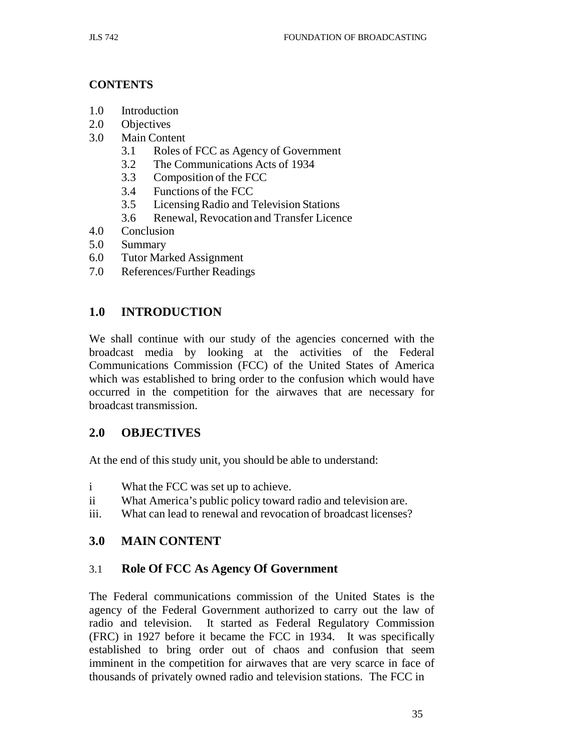### **CONTENTS**

- 1.0 Introduction
- 2.0 Objectives
- 3.0 Main Content
	- 3.1 Roles of FCC as Agency of Government
	- 3.2 The Communications Acts of 1934
	- 3.3 Composition of the FCC
	- 3.4 Functions of the FCC
	- 3.5 Licensing Radio and Television Stations
	- 3.6 Renewal, Revocation and Transfer Licence
- 4.0 Conclusion
- 5.0 Summary
- 6.0 Tutor Marked Assignment
- 7.0 References/Further Readings

# **1.0 INTRODUCTION**

We shall continue with our study of the agencies concerned with the broadcast media by looking at the activities of the Federal Communications Commission (FCC) of the United States of America which was established to bring order to the confusion which would have occurred in the competition for the airwaves that are necessary for broadcast transmission.

## **2.0 OBJECTIVES**

At the end of this study unit, you should be able to understand:

- i What the FCC was set up to achieve.
- ii What America's public policy toward radio and television are.
- iii. What can lead to renewal and revocation of broadcast licenses?

# **3.0 MAIN CONTENT**

# 3.1 **Role Of FCC As Agency Of Government**

The Federal communications commission of the United States is the agency of the Federal Government authorized to carry out the law of radio and television. It started as Federal Regulatory Commission (FRC) in 1927 before it became the FCC in 1934. It was specifically established to bring order out of chaos and confusion that seem imminent in the competition for airwaves that are very scarce in face of thousands of privately owned radio and television stations. The FCC in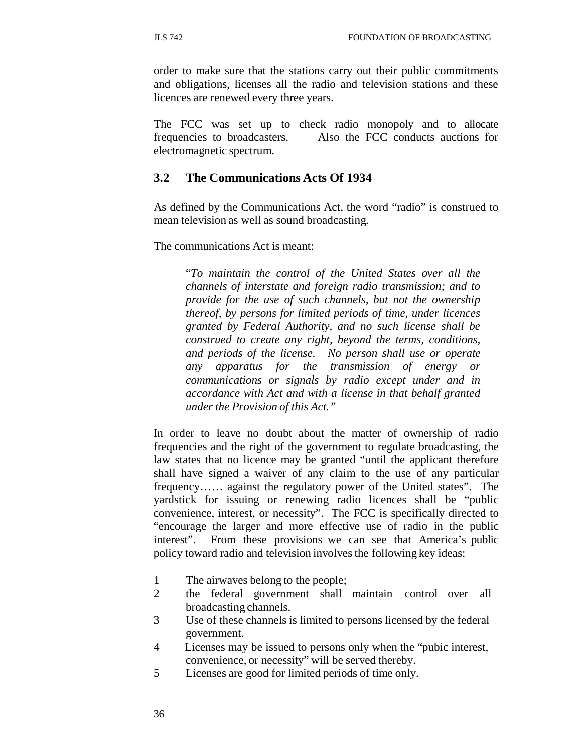order to make sure that the stations carry out their public commitments and obligations, licenses all the radio and television stations and these licences are renewed every three years.

The FCC was set up to check radio monopoly and to allocate frequencies to broadcasters. Also the FCC conducts auctions for electromagnetic spectrum.

## **3.2 The Communications Acts Of 1934**

As defined by the Communications Act, the word "radio" is construed to mean television as well as sound broadcasting.

The communications Act is meant:

"*To maintain the control of the United States over all the channels of interstate and foreign radio transmission; and to provide for the use of such channels, but not the ownership thereof, by persons for limited periods of time, under licences granted by Federal Authority, and no such license shall be construed to create any right, beyond the terms, conditions, and periods of the license. No person shall use or operate any apparatus for the transmission of energy or communications or signals by radio except under and in accordance with Act and with a license in that behalf granted under the Provision of this Act."*

In order to leave no doubt about the matter of ownership of radio frequencies and the right of the government to regulate broadcasting, the law states that no licence may be granted "until the applicant therefore shall have signed a waiver of any claim to the use of any particular frequency…… against the regulatory power of the United states". The yardstick for issuing or renewing radio licences shall be "public convenience, interest, or necessity". The FCC is specifically directed to "encourage the larger and more effective use of radio in the public interest". From these provisions we can see that America's public policy toward radio and television involves the following key ideas:

- 1 The airwaves belong to the people;
- 2 the federal government shall maintain control over all broadcasting channels.
- 3 Use of these channels is limited to persons licensed by the federal government.
- 4 Licenses may be issued to persons only when the "pubic interest, convenience, or necessity" will be served thereby.
- 5 Licenses are good for limited periods of time only.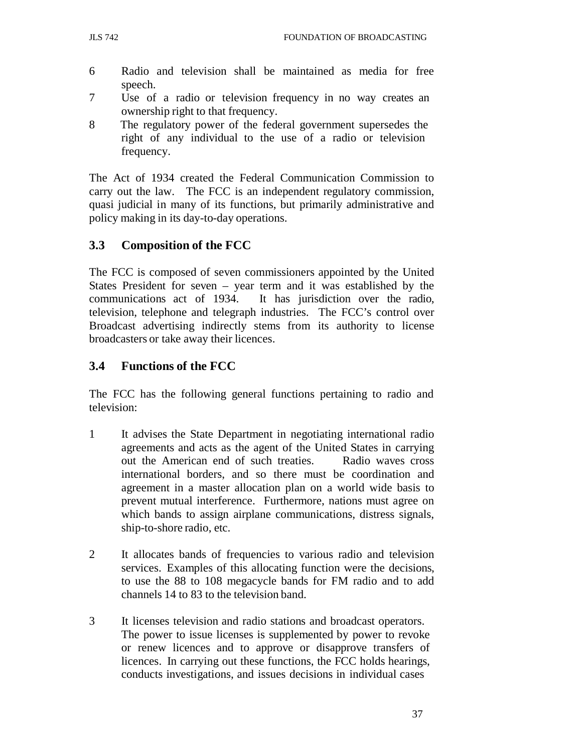- 6 Radio and television shall be maintained as media for free speech.
- 7 Use of a radio or television frequency in no way creates an ownership right to that frequency.
- 8 The regulatory power of the federal government supersedes the right of any individual to the use of a radio or television frequency.

The Act of 1934 created the Federal Communication Commission to carry out the law. The FCC is an independent regulatory commission, quasi judicial in many of its functions, but primarily administrative and policy making in its day-to-day operations.

# **3.3 Composition of the FCC**

The FCC is composed of seven commissioners appointed by the United States President for seven – year term and it was established by the communications act of 1934. It has jurisdiction over the radio, television, telephone and telegraph industries. The FCC's control over Broadcast advertising indirectly stems from its authority to license broadcasters or take away their licences.

# **3.4 Functions of the FCC**

The FCC has the following general functions pertaining to radio and television:

- 1 It advises the State Department in negotiating international radio agreements and acts as the agent of the United States in carrying out the American end of such treaties. Radio waves cross international borders, and so there must be coordination and agreement in a master allocation plan on a world wide basis to prevent mutual interference. Furthermore, nations must agree on which bands to assign airplane communications, distress signals, ship-to-shore radio, etc.
- 2 It allocates bands of frequencies to various radio and television services. Examples of this allocating function were the decisions, to use the 88 to 108 megacycle bands for FM radio and to add channels 14 to 83 to the television band.
- 3 It licenses television and radio stations and broadcast operators. The power to issue licenses is supplemented by power to revoke or renew licences and to approve or disapprove transfers of licences. In carrying out these functions, the FCC holds hearings, conducts investigations, and issues decisions in individual cases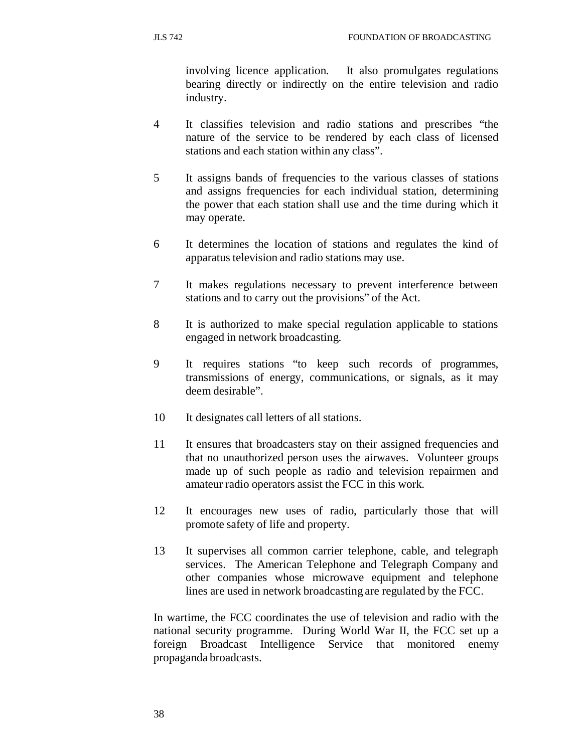involving licence application. It also promulgates regulations bearing directly or indirectly on the entire television and radio industry.

- 4 It classifies television and radio stations and prescribes "the nature of the service to be rendered by each class of licensed stations and each station within any class".
- 5 It assigns bands of frequencies to the various classes of stations and assigns frequencies for each individual station, determining the power that each station shall use and the time during which it may operate.
- 6 It determines the location of stations and regulates the kind of apparatus television and radio stations may use.
- 7 It makes regulations necessary to prevent interference between stations and to carry out the provisions" of the Act.
- 8 It is authorized to make special regulation applicable to stations engaged in network broadcasting.
- 9 It requires stations "to keep such records of programmes, transmissions of energy, communications, or signals, as it may deem desirable".
- 10 It designates call letters of all stations.
- 11 It ensures that broadcasters stay on their assigned frequencies and that no unauthorized person uses the airwaves. Volunteer groups made up of such people as radio and television repairmen and amateur radio operators assist the FCC in this work.
- 12 It encourages new uses of radio, particularly those that will promote safety of life and property.
- 13 It supervises all common carrier telephone, cable, and telegraph services. The American Telephone and Telegraph Company and other companies whose microwave equipment and telephone lines are used in network broadcasting are regulated by the FCC.

In wartime, the FCC coordinates the use of television and radio with the national security programme. During World War II, the FCC set up a foreign Broadcast Intelligence Service that monitored enemy propaganda broadcasts.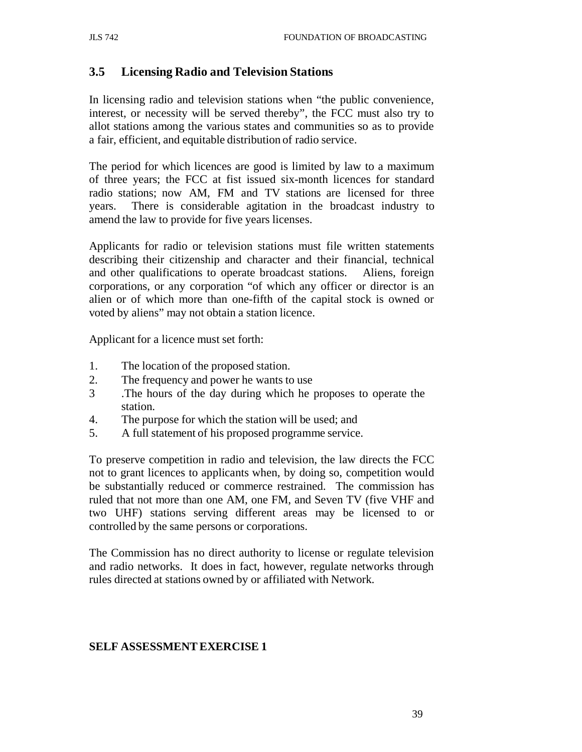### **3.5 Licensing Radio and Television Stations**

In licensing radio and television stations when "the public convenience, interest, or necessity will be served thereby", the FCC must also try to allot stations among the various states and communities so as to provide a fair, efficient, and equitable distribution of radio service.

The period for which licences are good is limited by law to a maximum of three years; the FCC at fist issued six-month licences for standard radio stations; now AM, FM and TV stations are licensed for three years. There is considerable agitation in the broadcast industry to amend the law to provide for five years licenses.

Applicants for radio or television stations must file written statements describing their citizenship and character and their financial, technical and other qualifications to operate broadcast stations. Aliens, foreign corporations, or any corporation "of which any officer or director is an alien or of which more than one-fifth of the capital stock is owned or voted by aliens" may not obtain a station licence.

Applicant for a licence must set forth:

- 1. The location of the proposed station.
- 2. The frequency and power he wants to use
- 3 .The hours of the day during which he proposes to operate the station.
- 4. The purpose for which the station will be used; and
- 5. A full statement of his proposed programme service.

To preserve competition in radio and television, the law directs the FCC not to grant licences to applicants when, by doing so, competition would be substantially reduced or commerce restrained. The commission has ruled that not more than one AM, one FM, and Seven TV (five VHF and two UHF) stations serving different areas may be licensed to or controlled by the same persons or corporations.

The Commission has no direct authority to license or regulate television and radio networks. It does in fact, however, regulate networks through rules directed at stations owned by or affiliated with Network.

#### **SELF ASSESSMENT EXERCISE 1**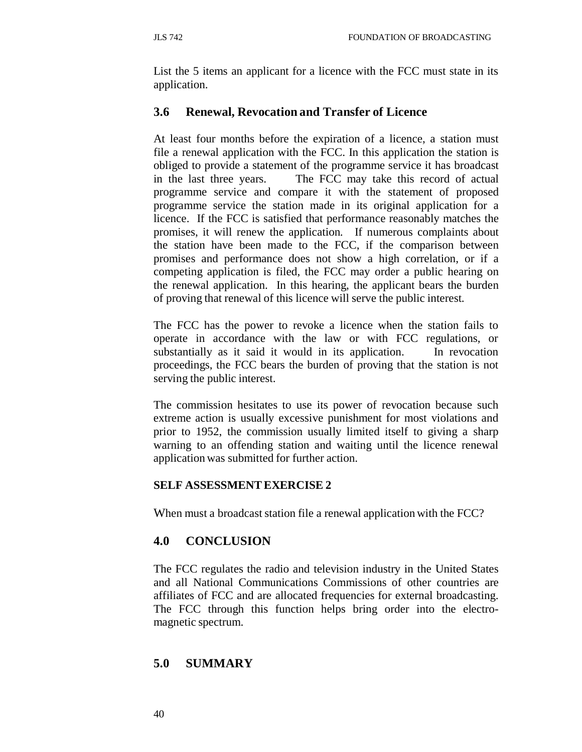List the 5 items an applicant for a licence with the FCC must state in its application.

# **3.6 Renewal, Revocation and Transfer of Licence**

At least four months before the expiration of a licence, a station must file a renewal application with the FCC. In this application the station is obliged to provide a statement of the programme service it has broadcast in the last three years. The FCC may take this record of actual programme service and compare it with the statement of proposed programme service the station made in its original application for a licence. If the FCC is satisfied that performance reasonably matches the promises, it will renew the application. If numerous complaints about the station have been made to the FCC, if the comparison between promises and performance does not show a high correlation, or if a competing application is filed, the FCC may order a public hearing on the renewal application. In this hearing, the applicant bears the burden of proving that renewal of this licence will serve the public interest.

The FCC has the power to revoke a licence when the station fails to operate in accordance with the law or with FCC regulations, or substantially as it said it would in its application. In revocation proceedings, the FCC bears the burden of proving that the station is not serving the public interest.

The commission hesitates to use its power of revocation because such extreme action is usually excessive punishment for most violations and prior to 1952, the commission usually limited itself to giving a sharp warning to an offending station and waiting until the licence renewal application was submitted for further action.

## **SELF ASSESSMENT EXERCISE 2**

When must a broadcast station file a renewal application with the FCC?

# **4.0 CONCLUSION**

The FCC regulates the radio and television industry in the United States and all National Communications Commissions of other countries are affiliates of FCC and are allocated frequencies for external broadcasting. The FCC through this function helps bring order into the electromagnetic spectrum.

## **5.0 SUMMARY**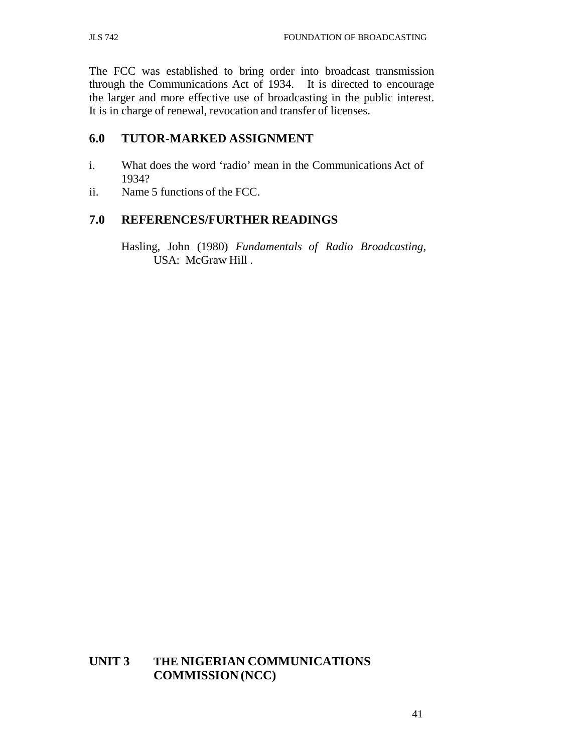The FCC was established to bring order into broadcast transmission through the Communications Act of 1934. It is directed to encourage the larger and more effective use of broadcasting in the public interest. It is in charge of renewal, revocation and transfer of licenses.

### **6.0 TUTOR-MARKED ASSIGNMENT**

- i. What does the word 'radio' mean in the Communications Act of 1934?
- ii. Name 5 functions of the FCC.

### **7.0 REFERENCES/FURTHER READINGS**

Hasling, John (1980) *Fundamentals of Radio Broadcasting*, USA: McGraw Hill .

## **UNIT 3 THE NIGERIAN COMMUNICATIONS COMMISSION (NCC)**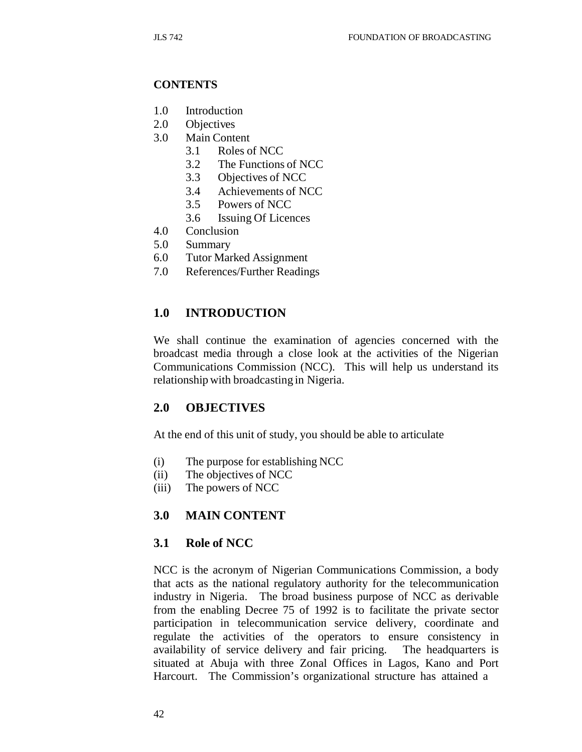#### **CONTENTS**

- 1.0 Introduction
- 2.0 Objectives
- 3.0 Main Content
	- 3.1 Roles of NCC
	- 3.2 The Functions of NCC
	- 3.3 Objectives of NCC
	- 3.4 Achievements of NCC
	- 3.5 Powers of NCC
	- 3.6 Issuing Of Licences
- 4.0 Conclusion
- 5.0 Summary
- 6.0 Tutor Marked Assignment
- 7.0 References/Further Readings

### **1.0 INTRODUCTION**

We shall continue the examination of agencies concerned with the broadcast media through a close look at the activities of the Nigerian Communications Commission (NCC). This will help us understand its relationship with broadcasting in Nigeria.

### **2.0 OBJECTIVES**

At the end of this unit of study, you should be able to articulate

- (i) The purpose for establishing NCC
- (ii) The objectives of NCC
- (iii) The powers of NCC

#### **3.0 MAIN CONTENT**

#### **3.1 Role of NCC**

NCC is the acronym of Nigerian Communications Commission, a body that acts as the national regulatory authority for the telecommunication industry in Nigeria. The broad business purpose of NCC as derivable from the enabling Decree 75 of 1992 is to facilitate the private sector participation in telecommunication service delivery, coordinate and regulate the activities of the operators to ensure consistency in availability of service delivery and fair pricing. The headquarters is situated at Abuja with three Zonal Offices in Lagos, Kano and Port Harcourt. The Commission's organizational structure has attained a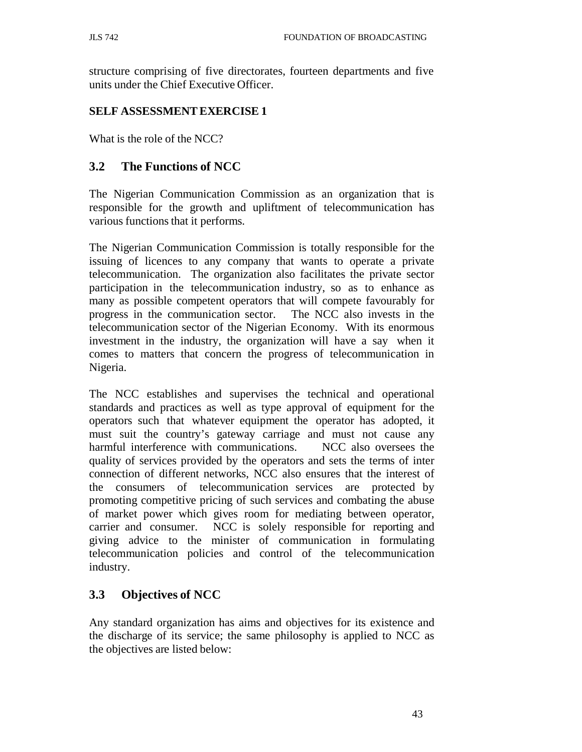structure comprising of five directorates, fourteen departments and five units under the Chief Executive Officer.

### **SELF ASSESSMENT EXERCISE 1**

What is the role of the NCC?

# **3.2 The Functions of NCC**

The Nigerian Communication Commission as an organization that is responsible for the growth and upliftment of telecommunication has various functions that it performs.

The Nigerian Communication Commission is totally responsible for the issuing of licences to any company that wants to operate a private telecommunication. The organization also facilitates the private sector participation in the telecommunication industry, so as to enhance as many as possible competent operators that will compete favourably for progress in the communication sector. The NCC also invests in the telecommunication sector of the Nigerian Economy. With its enormous investment in the industry, the organization will have a say when it comes to matters that concern the progress of telecommunication in Nigeria.

The NCC establishes and supervises the technical and operational standards and practices as well as type approval of equipment for the operators such that whatever equipment the operator has adopted, it must suit the country's gateway carriage and must not cause any harmful interference with communications. NCC also oversees the quality of services provided by the operators and sets the terms of inter connection of different networks, NCC also ensures that the interest of the consumers of telecommunication services are protected by promoting competitive pricing of such services and combating the abuse of market power which gives room for mediating between operator, carrier and consumer. NCC is solely responsible for reporting and giving advice to the minister of communication in formulating telecommunication policies and control of the telecommunication industry.

# **3.3 Objectives of NCC**

Any standard organization has aims and objectives for its existence and the discharge of its service; the same philosophy is applied to NCC as the objectives are listed below: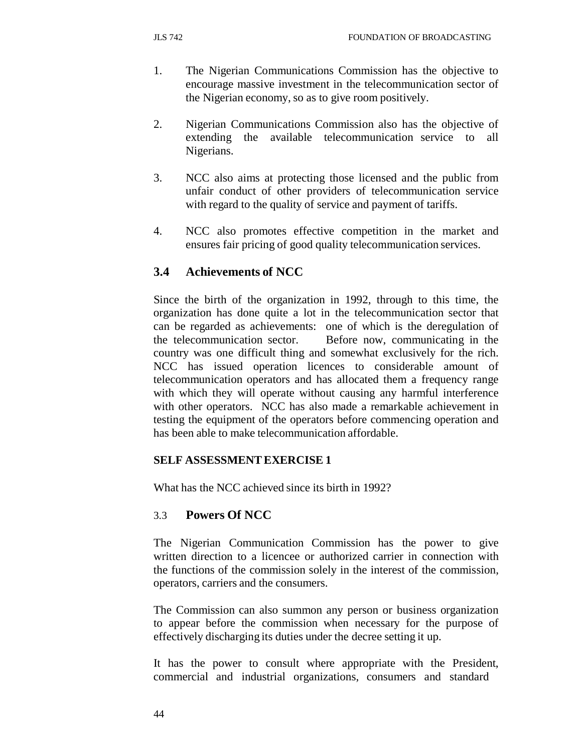- 1. The Nigerian Communications Commission has the objective to encourage massive investment in the telecommunication sector of the Nigerian economy, so as to give room positively.
- 2. Nigerian Communications Commission also has the objective of extending the available telecommunication service to all Nigerians.
- 3. NCC also aims at protecting those licensed and the public from unfair conduct of other providers of telecommunication service with regard to the quality of service and payment of tariffs.
- 4. NCC also promotes effective competition in the market and ensures fair pricing of good quality telecommunication services.

# **3.4 Achievements of NCC**

Since the birth of the organization in 1992, through to this time, the organization has done quite a lot in the telecommunication sector that can be regarded as achievements: one of which is the deregulation of the telecommunication sector. Before now, communicating in the country was one difficult thing and somewhat exclusively for the rich. NCC has issued operation licences to considerable amount of telecommunication operators and has allocated them a frequency range with which they will operate without causing any harmful interference with other operators. NCC has also made a remarkable achievement in testing the equipment of the operators before commencing operation and has been able to make telecommunication affordable.

### **SELF ASSESSMENT EXERCISE 1**

What has the NCC achieved since its birth in 1992?

### 3.3 **Powers Of NCC**

The Nigerian Communication Commission has the power to give written direction to a licencee or authorized carrier in connection with the functions of the commission solely in the interest of the commission, operators, carriers and the consumers.

The Commission can also summon any person or business organization to appear before the commission when necessary for the purpose of effectively discharging its duties under the decree setting it up.

It has the power to consult where appropriate with the President, commercial and industrial organizations, consumers and standard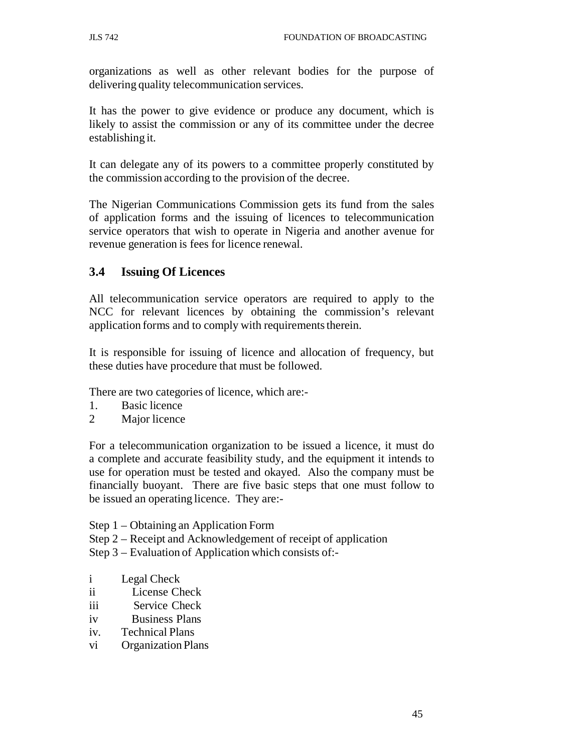organizations as well as other relevant bodies for the purpose of delivering quality telecommunication services.

It has the power to give evidence or produce any document, which is likely to assist the commission or any of its committee under the decree establishing it.

It can delegate any of its powers to a committee properly constituted by the commission according to the provision of the decree.

The Nigerian Communications Commission gets its fund from the sales of application forms and the issuing of licences to telecommunication service operators that wish to operate in Nigeria and another avenue for revenue generation is fees for licence renewal.

### **3.4 Issuing Of Licences**

All telecommunication service operators are required to apply to the NCC for relevant licences by obtaining the commission's relevant application forms and to comply with requirements therein.

It is responsible for issuing of licence and allocation of frequency, but these duties have procedure that must be followed.

There are two categories of licence, which are:-

- 1. Basic licence
- 2 Major licence

For a telecommunication organization to be issued a licence, it must do a complete and accurate feasibility study, and the equipment it intends to use for operation must be tested and okayed. Also the company must be financially buoyant. There are five basic steps that one must follow to be issued an operating licence. They are:-

- Step 1 Obtaining an Application Form
- Step 2 Receipt and Acknowledgement of receipt of application
- Step 3 Evaluation of Application which consists of:-
- i Legal Check
- ii License Check
- iii Service Check
- iv Business Plans
- iv. Technical Plans
- vi Organization Plans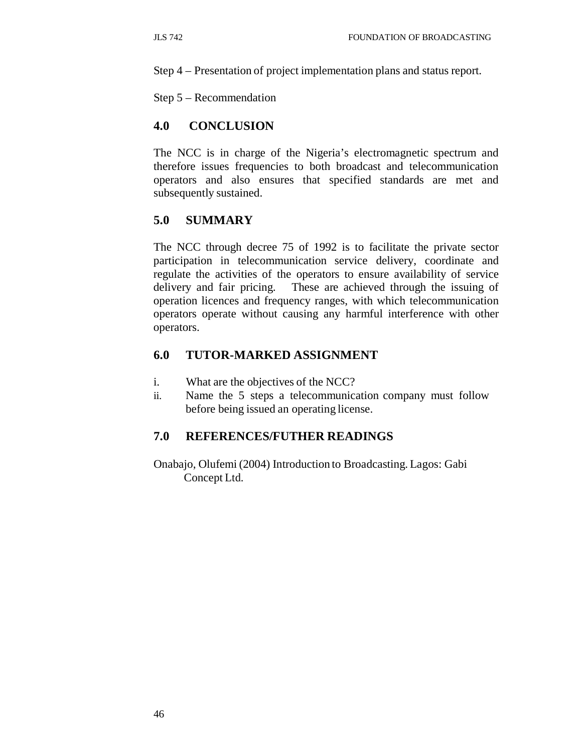Step 4 – Presentation of project implementation plans and status report.

Step 5 – Recommendation

#### **4.0 CONCLUSION**

The NCC is in charge of the Nigeria's electromagnetic spectrum and therefore issues frequencies to both broadcast and telecommunication operators and also ensures that specified standards are met and subsequently sustained.

#### **5.0 SUMMARY**

The NCC through decree 75 of 1992 is to facilitate the private sector participation in telecommunication service delivery, coordinate and regulate the activities of the operators to ensure availability of service delivery and fair pricing. These are achieved through the issuing of operation licences and frequency ranges, with which telecommunication operators operate without causing any harmful interference with other operators.

### **6.0 TUTOR-MARKED ASSIGNMENT**

- i. What are the objectives of the NCC?
- ii. Name the 5 steps a telecommunication company must follow before being issued an operating license.

### **7.0 REFERENCES/FUTHER READINGS**

Onabajo, Olufemi (2004) Introduction to Broadcasting. Lagos: Gabi Concept Ltd.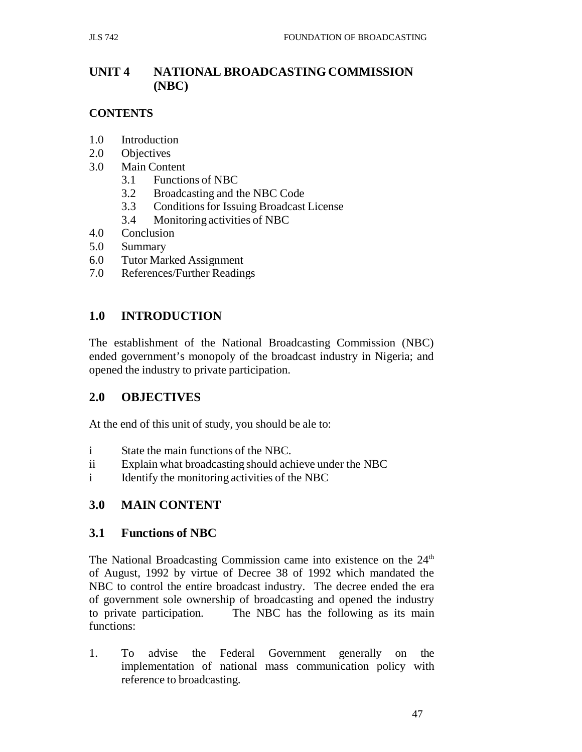# **UNIT 4 NATIONAL BROADCASTING COMMISSION (NBC)**

## **CONTENTS**

- 1.0 Introduction
- 2.0 Objectives
- 3.0 Main Content
	- 3.1 Functions of NBC
	- 3.2 Broadcasting and the NBC Code
	- 3.3 Conditions for Issuing Broadcast License
	- 3.4 Monitoring activities of NBC
- 4.0 Conclusion
- 5.0 Summary
- 6.0 Tutor Marked Assignment
- 7.0 References/Further Readings

# **1.0 INTRODUCTION**

The establishment of the National Broadcasting Commission (NBC) ended government's monopoly of the broadcast industry in Nigeria; and opened the industry to private participation.

## **2.0 OBJECTIVES**

At the end of this unit of study, you should be ale to:

- i State the main functions of the NBC.
- ii Explain what broadcasting should achieve under the NBC
- i Identify the monitoring activities of the NBC

## **3.0 MAIN CONTENT**

## **3.1 Functions of NBC**

The National Broadcasting Commission came into existence on the  $24<sup>th</sup>$ of August, 1992 by virtue of Decree 38 of 1992 which mandated the NBC to control the entire broadcast industry. The decree ended the era of government sole ownership of broadcasting and opened the industry to private participation. The NBC has the following as its main functions:

1. To advise the Federal Government generally on the implementation of national mass communication policy with reference to broadcasting.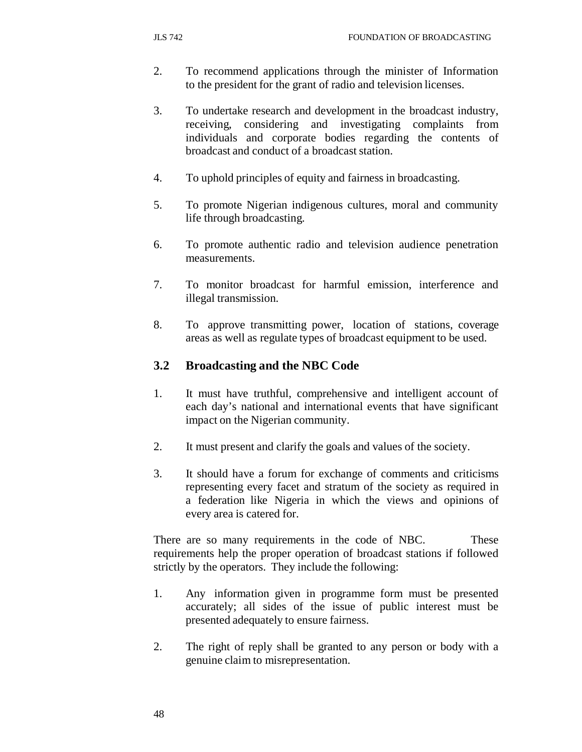- 2. To recommend applications through the minister of Information to the president for the grant of radio and television licenses.
- 3. To undertake research and development in the broadcast industry, receiving, considering and investigating complaints from individuals and corporate bodies regarding the contents of broadcast and conduct of a broadcast station.
- 4. To uphold principles of equity and fairness in broadcasting.
- 5. To promote Nigerian indigenous cultures, moral and community life through broadcasting.
- 6. To promote authentic radio and television audience penetration measurements.
- 7. To monitor broadcast for harmful emission, interference and illegal transmission.
- 8. To approve transmitting power, location of stations, coverage areas as well as regulate types of broadcast equipment to be used.

## **3.2 Broadcasting and the NBC Code**

- 1. It must have truthful, comprehensive and intelligent account of each day's national and international events that have significant impact on the Nigerian community.
- 2. It must present and clarify the goals and values of the society.
- 3. It should have a forum for exchange of comments and criticisms representing every facet and stratum of the society as required in a federation like Nigeria in which the views and opinions of every area is catered for.

There are so many requirements in the code of NBC. These requirements help the proper operation of broadcast stations if followed strictly by the operators. They include the following:

- 1. Any information given in programme form must be presented accurately; all sides of the issue of public interest must be presented adequately to ensure fairness.
- 2. The right of reply shall be granted to any person or body with a genuine claim to misrepresentation.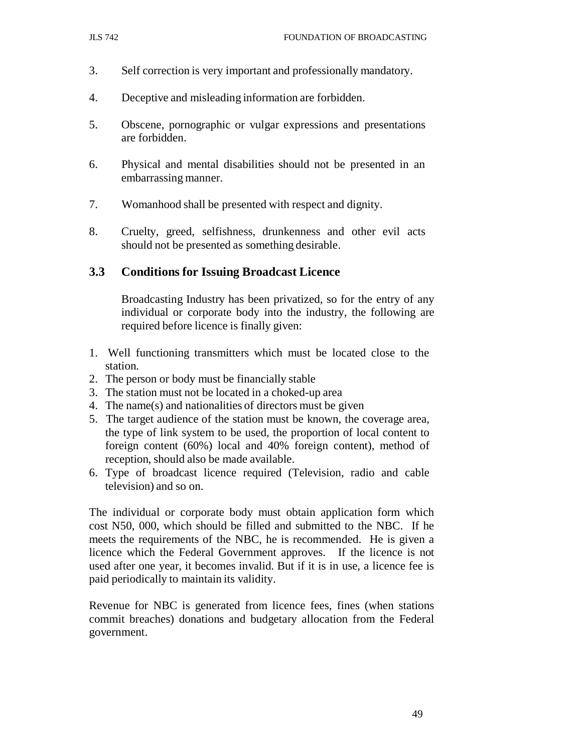- 3. Self correction is very important and professionally mandatory.
- 4. Deceptive and misleading information are forbidden.
- 5. Obscene, pornographic or vulgar expressions and presentations are forbidden.
- 6. Physical and mental disabilities should not be presented in an embarrassing manner.
- 7. Womanhood shall be presented with respect and dignity.
- 8. Cruelty, greed, selfishness, drunkenness and other evil acts should not be presented as something desirable.

### **3.3 Conditions for Issuing Broadcast Licence**

Broadcasting Industry has been privatized, so for the entry of any individual or corporate body into the industry, the following are required before licence is finally given:

- 1. Well functioning transmitters which must be located close to the station.
- 2. The person or body must be financially stable
- 3. The station must not be located in a choked-up area
- 4. The name(s) and nationalities of directors must be given
- 5. The target audience of the station must be known, the coverage area, the type of link system to be used, the proportion of local content to foreign content (60%) local and 40% foreign content), method of reception, should also be made available.
- 6. Type of broadcast licence required (Television, radio and cable television) and so on.

The individual or corporate body must obtain application form which cost N50, 000, which should be filled and submitted to the NBC. If he meets the requirements of the NBC, he is recommended. He is given a licence which the Federal Government approves. If the licence is not used after one year, it becomes invalid. But if it is in use, a licence fee is paid periodically to maintain its validity.

Revenue for NBC is generated from licence fees, fines (when stations commit breaches) donations and budgetary allocation from the Federal government.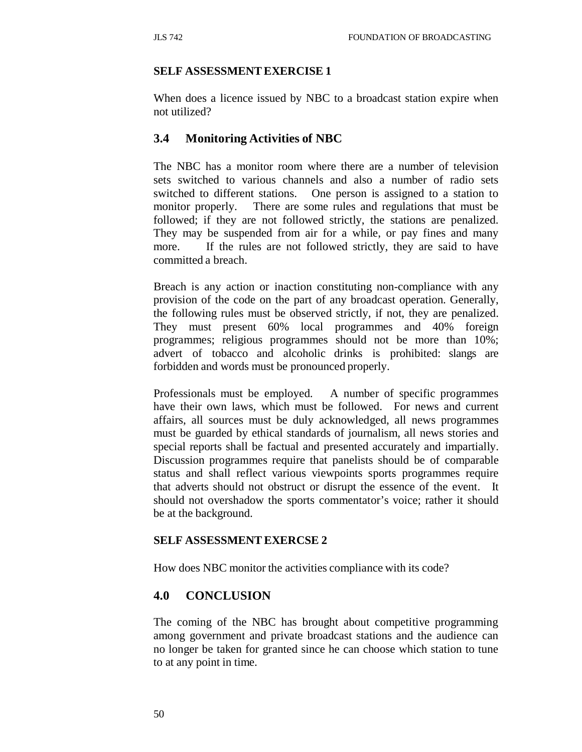### **SELF ASSESSMENT EXERCISE 1**

When does a licence issued by NBC to a broadcast station expire when not utilized?

## **3.4 Monitoring Activities of NBC**

The NBC has a monitor room where there are a number of television sets switched to various channels and also a number of radio sets switched to different stations. One person is assigned to a station to monitor properly. There are some rules and regulations that must be followed; if they are not followed strictly, the stations are penalized. They may be suspended from air for a while, or pay fines and many more. If the rules are not followed strictly, they are said to have committed a breach.

Breach is any action or inaction constituting non-compliance with any provision of the code on the part of any broadcast operation. Generally, the following rules must be observed strictly, if not, they are penalized. They must present 60% local programmes and 40% foreign programmes; religious programmes should not be more than 10%; advert of tobacco and alcoholic drinks is prohibited: slangs are forbidden and words must be pronounced properly.

Professionals must be employed. A number of specific programmes have their own laws, which must be followed. For news and current affairs, all sources must be duly acknowledged, all news programmes must be guarded by ethical standards of journalism, all news stories and special reports shall be factual and presented accurately and impartially. Discussion programmes require that panelists should be of comparable status and shall reflect various viewpoints sports programmes require that adverts should not obstruct or disrupt the essence of the event. It should not overshadow the sports commentator's voice; rather it should be at the background.

### **SELF ASSESSMENT EXERCSE 2**

How does NBC monitor the activities compliance with its code?

### **4.0 CONCLUSION**

The coming of the NBC has brought about competitive programming among government and private broadcast stations and the audience can no longer be taken for granted since he can choose which station to tune to at any point in time.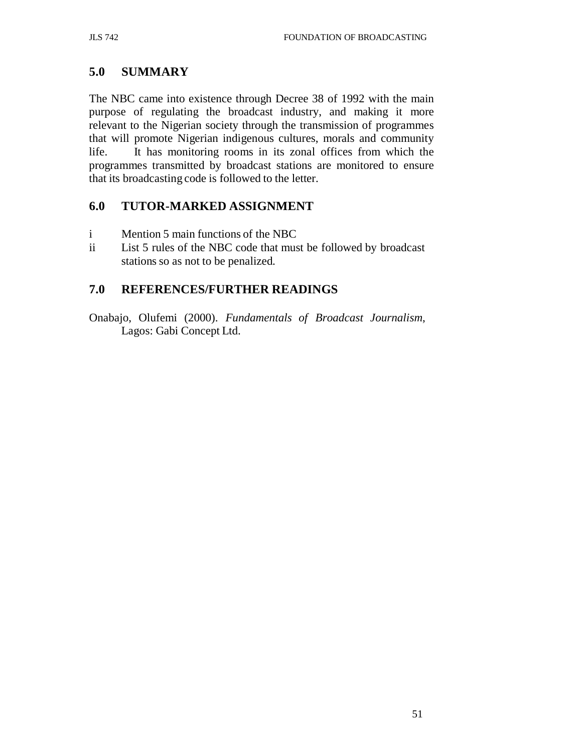# **5.0 SUMMARY**

The NBC came into existence through Decree 38 of 1992 with the main purpose of regulating the broadcast industry, and making it more relevant to the Nigerian society through the transmission of programmes that will promote Nigerian indigenous cultures, morals and community life. It has monitoring rooms in its zonal offices from which the programmes transmitted by broadcast stations are monitored to ensure that its broadcasting code is followed to the letter.

## **6.0 TUTOR-MARKED ASSIGNMENT**

- i Mention 5 main functions of the NBC
- ii List 5 rules of the NBC code that must be followed by broadcast stations so as not to be penalized.

# **7.0 REFERENCES/FURTHER READINGS**

Onabajo, Olufemi (2000). *Fundamentals of Broadcast Journalism*, Lagos: Gabi Concept Ltd.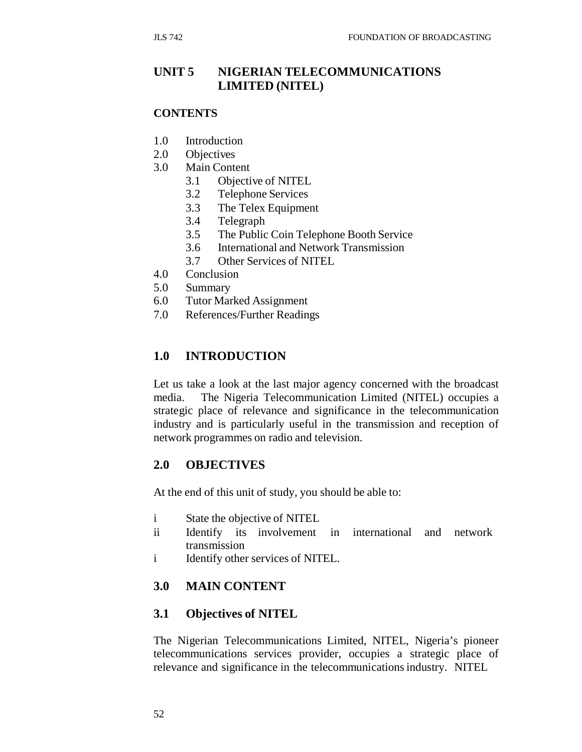# **UNIT 5 NIGERIAN TELECOMMUNICATIONS LIMITED (NITEL)**

#### **CONTENTS**

- 1.0 Introduction
- 2.0 Objectives
- 3.0 Main Content
	- 3.1 Objective of NITEL
	- 3.2 Telephone Services
	- 3.3 The Telex Equipment
	- 3.4 Telegraph
	- 3.5 The Public Coin Telephone Booth Service
	- 3.6 International and Network Transmission
	- 3.7 Other Services of NITEL
- 4.0 Conclusion
- 5.0 Summary
- 6.0 Tutor Marked Assignment
- 7.0 References/Further Readings

### **1.0 INTRODUCTION**

Let us take a look at the last major agency concerned with the broadcast media. The Nigeria Telecommunication Limited (NITEL) occupies a strategic place of relevance and significance in the telecommunication industry and is particularly useful in the transmission and reception of network programmes on radio and television.

### **2.0 OBJECTIVES**

At the end of this unit of study, you should be able to:

- i State the objective of NITEL
- ii Identify its involvement in transmission international and network
- i Identify other services of NITEL.

#### **3.0 MAIN CONTENT**

### **3.1 Objectives of NITEL**

The Nigerian Telecommunications Limited, NITEL, Nigeria's pioneer telecommunications services provider, occupies a strategic place of relevance and significance in the telecommunications industry. NITEL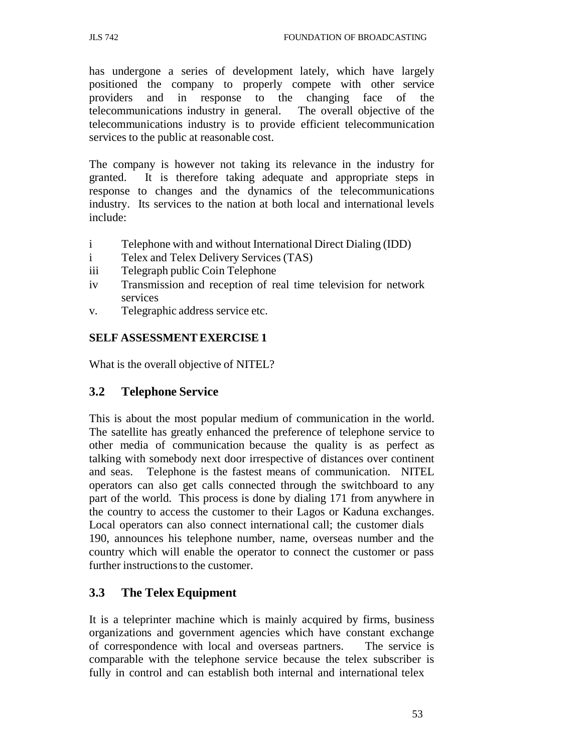has undergone a series of development lately, which have largely positioned the company to properly compete with other service providers and in response to the changing face of the telecommunications industry in general. The overall objective of the telecommunications industry is to provide efficient telecommunication services to the public at reasonable cost.

The company is however not taking its relevance in the industry for granted. It is therefore taking adequate and appropriate steps in response to changes and the dynamics of the telecommunications industry. Its services to the nation at both local and international levels include:

- i Telephone with and without International Direct Dialing (IDD)
- i Telex and Telex Delivery Services (TAS)
- iii Telegraph public Coin Telephone
- iv Transmission and reception of real time television for network services
- v. Telegraphic address service etc.

#### **SELF ASSESSMENT EXERCISE 1**

What is the overall objective of NITEL?

#### **3.2 Telephone Service**

This is about the most popular medium of communication in the world. The satellite has greatly enhanced the preference of telephone service to other media of communication because the quality is as perfect as talking with somebody next door irrespective of distances over continent and seas. Telephone is the fastest means of communication. NITEL operators can also get calls connected through the switchboard to any part of the world. This process is done by dialing 171 from anywhere in the country to access the customer to their Lagos or Kaduna exchanges. Local operators can also connect international call; the customer dials 190, announces his telephone number, name, overseas number and the country which will enable the operator to connect the customer or pass further instructions to the customer.

### **3.3 The Telex Equipment**

It is a teleprinter machine which is mainly acquired by firms, business organizations and government agencies which have constant exchange of correspondence with local and overseas partners. The service is comparable with the telephone service because the telex subscriber is fully in control and can establish both internal and international telex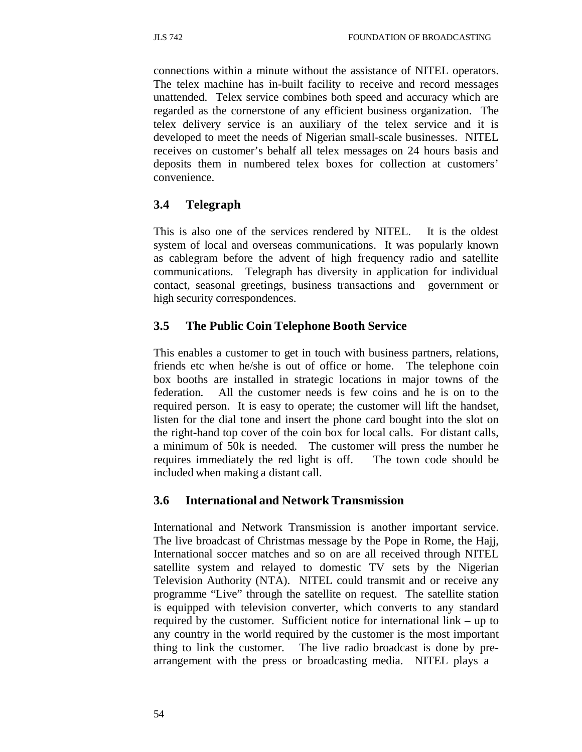connections within a minute without the assistance of NITEL operators. The telex machine has in-built facility to receive and record messages unattended. Telex service combines both speed and accuracy which are regarded as the cornerstone of any efficient business organization. The telex delivery service is an auxiliary of the telex service and it is developed to meet the needs of Nigerian small-scale businesses. NITEL receives on customer's behalf all telex messages on 24 hours basis and deposits them in numbered telex boxes for collection at customers' convenience.

# **3.4 Telegraph**

This is also one of the services rendered by NITEL. It is the oldest system of local and overseas communications. It was popularly known as cablegram before the advent of high frequency radio and satellite communications. Telegraph has diversity in application for individual contact, seasonal greetings, business transactions and government or high security correspondences.

# **3.5 The Public Coin Telephone Booth Service**

This enables a customer to get in touch with business partners, relations, friends etc when he/she is out of office or home. The telephone coin box booths are installed in strategic locations in major towns of the federation. All the customer needs is few coins and he is on to the required person. It is easy to operate; the customer will lift the handset, listen for the dial tone and insert the phone card bought into the slot on the right-hand top cover of the coin box for local calls. For distant calls, a minimum of 50k is needed. The customer will press the number he requires immediately the red light is off. The town code should be included when making a distant call.

## **3.6 International and Network Transmission**

International and Network Transmission is another important service. The live broadcast of Christmas message by the Pope in Rome, the Hajj, International soccer matches and so on are all received through NITEL satellite system and relayed to domestic TV sets by the Nigerian Television Authority (NTA). NITEL could transmit and or receive any programme "Live" through the satellite on request. The satellite station is equipped with television converter, which converts to any standard required by the customer. Sufficient notice for international link – up to any country in the world required by the customer is the most important thing to link the customer. The live radio broadcast is done by prearrangement with the press or broadcasting media. NITEL plays a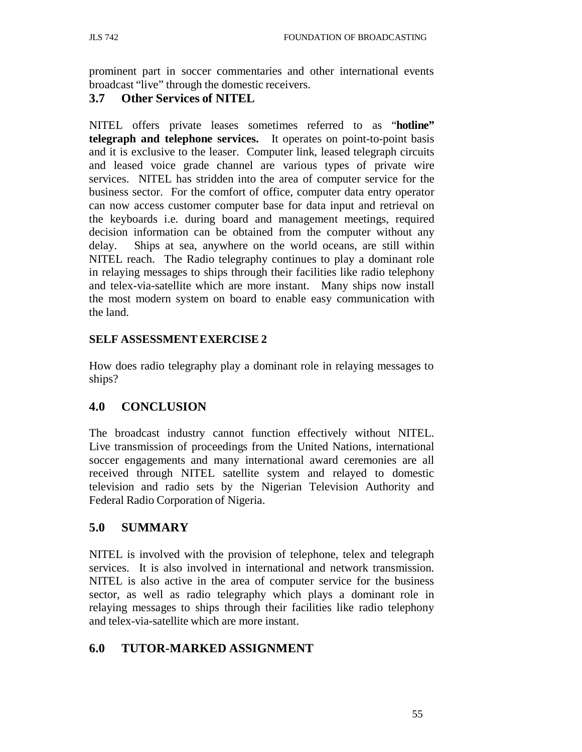prominent part in soccer commentaries and other international events broadcast "live" through the domestic receivers.

### **3.7 Other Services of NITEL**

NITEL offers private leases sometimes referred to as "**hotline" telegraph and telephone services.** It operates on point-to-point basis and it is exclusive to the leaser. Computer link, leased telegraph circuits and leased voice grade channel are various types of private wire services. NITEL has stridden into the area of computer service for the business sector. For the comfort of office, computer data entry operator can now access customer computer base for data input and retrieval on the keyboards i.e. during board and management meetings, required decision information can be obtained from the computer without any delay. Ships at sea, anywhere on the world oceans, are still within NITEL reach. The Radio telegraphy continues to play a dominant role in relaying messages to ships through their facilities like radio telephony and telex-via-satellite which are more instant. Many ships now install the most modern system on board to enable easy communication with the land.

### **SELF ASSESSMENT EXERCISE 2**

How does radio telegraphy play a dominant role in relaying messages to ships?

## **4.0 CONCLUSION**

The broadcast industry cannot function effectively without NITEL. Live transmission of proceedings from the United Nations, international soccer engagements and many international award ceremonies are all received through NITEL satellite system and relayed to domestic television and radio sets by the Nigerian Television Authority and Federal Radio Corporation of Nigeria.

## **5.0 SUMMARY**

NITEL is involved with the provision of telephone, telex and telegraph services. It is also involved in international and network transmission. NITEL is also active in the area of computer service for the business sector, as well as radio telegraphy which plays a dominant role in relaying messages to ships through their facilities like radio telephony and telex-via-satellite which are more instant.

## **6.0 TUTOR-MARKED ASSIGNMENT**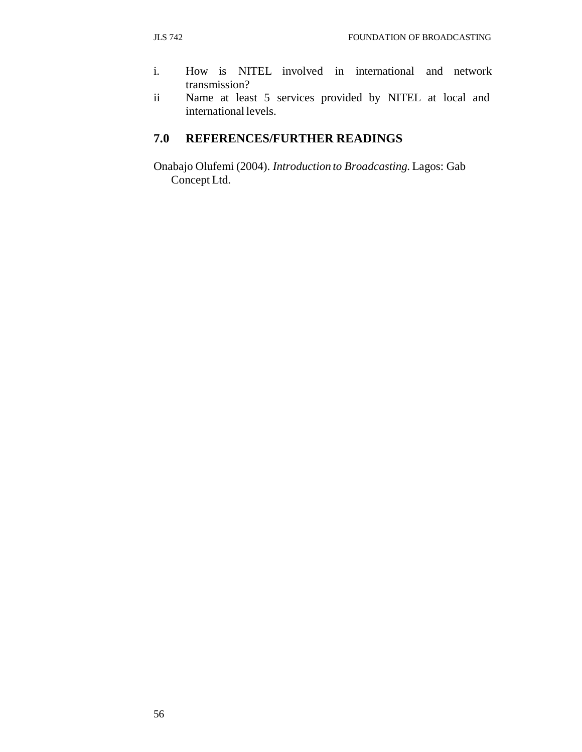- i. How is NITEL involved in international and network transmission?
- ii Name at least 5 services provided by NITEL at local and international levels.

# **7.0 REFERENCES/FURTHER READINGS**

Onabajo Olufemi (2004). *Introduction to Broadcasting.* Lagos: Gab Concept Ltd.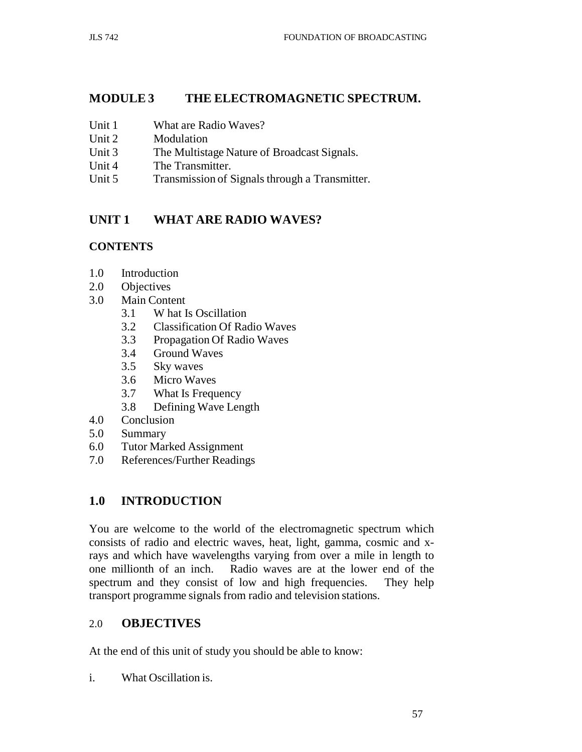## **MODULE 3 THE ELECTROMAGNETIC SPECTRUM.**

- Unit 1 What are Radio Waves?
- Unit 2 Modulation
- Unit 3 The Multistage Nature of Broadcast Signals.
- Unit 4 The Transmitter.
- Unit 5 Transmission of Signals through a Transmitter.

# **UNIT 1 WHAT ARE RADIO WAVES?**

### **CONTENTS**

- 1.0 Introduction
- 2.0 Objectives
- 3.0 Main Content
	- 3.1 W hat Is Oscillation
	- 3.2 Classification Of Radio Waves
	- 3.3 Propagation Of Radio Waves
	- 3.4 Ground Waves
	- 3.5 Sky waves
	- 3.6 Micro Waves
	- 3.7 What Is Frequency
	- 3.8 Defining Wave Length
- 4.0 Conclusion
- 5.0 Summary
- 6.0 Tutor Marked Assignment
- 7.0 References/Further Readings

## **1.0 INTRODUCTION**

You are welcome to the world of the electromagnetic spectrum which consists of radio and electric waves, heat, light, gamma, cosmic and xrays and which have wavelengths varying from over a mile in length to one millionth of an inch. Radio waves are at the lower end of the spectrum and they consist of low and high frequencies. They help transport programme signals from radio and television stations.

## 2.0 **OBJECTIVES**

At the end of this unit of study you should be able to know:

i. What Oscillation is.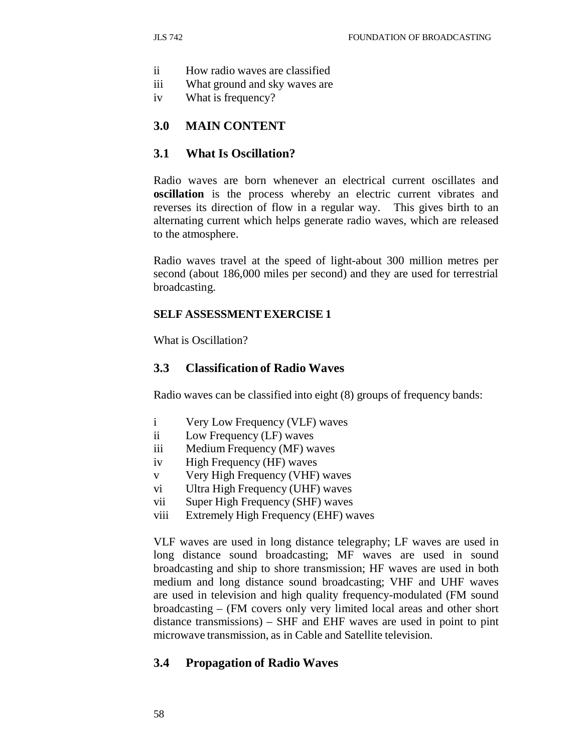- ii How radio waves are classified
- iii What ground and sky waves are
- iv What is frequency?

#### **3.0 MAIN CONTENT**

#### **3.1 What Is Oscillation?**

Radio waves are born whenever an electrical current oscillates and **oscillation** is the process whereby an electric current vibrates and reverses its direction of flow in a regular way. This gives birth to an alternating current which helps generate radio waves, which are released to the atmosphere.

Radio waves travel at the speed of light-about 300 million metres per second (about 186,000 miles per second) and they are used for terrestrial broadcasting.

#### **SELF ASSESSMENT EXERCISE 1**

What is Oscillation?

#### **3.3 Classification of Radio Waves**

Radio waves can be classified into eight (8) groups of frequency bands:

- i Very Low Frequency (VLF) waves
- ii Low Frequency (LF) waves
- iii Medium Frequency (MF) waves
- iv High Frequency (HF) waves
- v Very High Frequency (VHF) waves
- vi Ultra High Frequency (UHF) waves
- vii Super High Frequency (SHF) waves
- viii Extremely High Frequency (EHF) waves

VLF waves are used in long distance telegraphy; LF waves are used in long distance sound broadcasting; MF waves are used in sound broadcasting and ship to shore transmission; HF waves are used in both medium and long distance sound broadcasting; VHF and UHF waves are used in television and high quality frequency-modulated (FM sound broadcasting – (FM covers only very limited local areas and other short distance transmissions) – SHF and EHF waves are used in point to pint microwave transmission, as in Cable and Satellite television.

#### **3.4 Propagation of Radio Waves**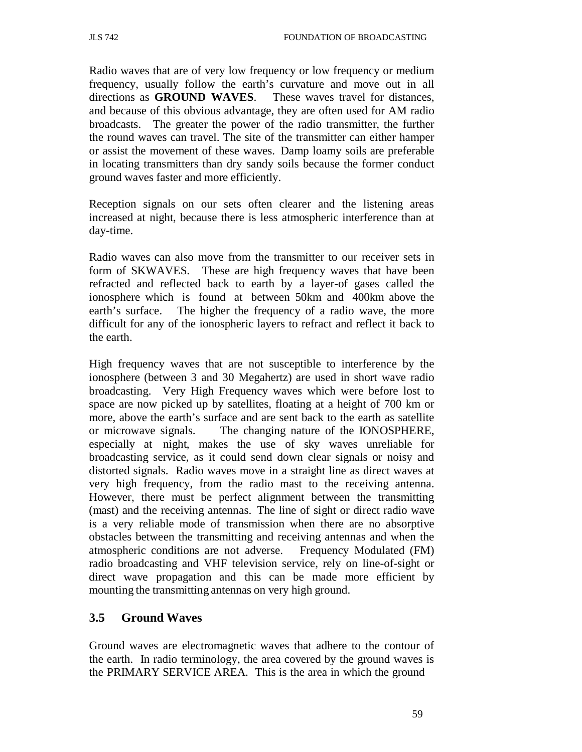Radio waves that are of very low frequency or low frequency or medium frequency, usually follow the earth's curvature and move out in all directions as **GROUND WAVES**. These waves travel for distances, and because of this obvious advantage, they are often used for AM radio broadcasts. The greater the power of the radio transmitter, the further the round waves can travel. The site of the transmitter can either hamper or assist the movement of these waves. Damp loamy soils are preferable in locating transmitters than dry sandy soils because the former conduct ground waves faster and more efficiently.

Reception signals on our sets often clearer and the listening areas increased at night, because there is less atmospheric interference than at day-time.

Radio waves can also move from the transmitter to our receiver sets in form of SKWAVES. These are high frequency waves that have been refracted and reflected back to earth by a layer-of gases called the ionosphere which is found at between 50km and 400km above the earth's surface. The higher the frequency of a radio wave, the more difficult for any of the ionospheric layers to refract and reflect it back to the earth.

High frequency waves that are not susceptible to interference by the ionosphere (between 3 and 30 Megahertz) are used in short wave radio broadcasting. Very High Frequency waves which were before lost to space are now picked up by satellites, floating at a height of 700 km or more, above the earth's surface and are sent back to the earth as satellite or microwave signals. The changing nature of the IONOSPHERE, especially at night, makes the use of sky waves unreliable for broadcasting service, as it could send down clear signals or noisy and distorted signals. Radio waves move in a straight line as direct waves at very high frequency, from the radio mast to the receiving antenna. However, there must be perfect alignment between the transmitting (mast) and the receiving antennas. The line of sight or direct radio wave is a very reliable mode of transmission when there are no absorptive obstacles between the transmitting and receiving antennas and when the atmospheric conditions are not adverse. Frequency Modulated (FM) radio broadcasting and VHF television service, rely on line-of-sight or direct wave propagation and this can be made more efficient by mounting the transmitting antennas on very high ground.

## **3.5 Ground Waves**

Ground waves are electromagnetic waves that adhere to the contour of the earth. In radio terminology, the area covered by the ground waves is the PRIMARY SERVICE AREA. This is the area in which the ground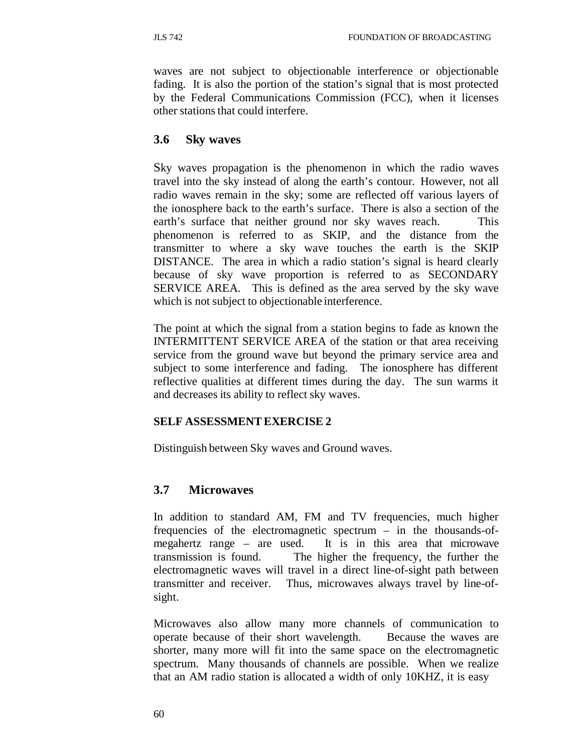waves are not subject to objectionable interference or objectionable fading. It is also the portion of the station's signal that is most protected by the Federal Communications Commission (FCC), when it licenses other stations that could interfere.

### **3.6 Sky waves**

Sky waves propagation is the phenomenon in which the radio waves travel into the sky instead of along the earth's contour. However, not all radio waves remain in the sky; some are reflected off various layers of the ionosphere back to the earth's surface. There is also a section of the earth's surface that neither ground nor sky waves reach. This phenomenon is referred to as SKIP, and the distance from the transmitter to where a sky wave touches the earth is the SKIP DISTANCE. The area in which a radio station's signal is heard clearly because of sky wave proportion is referred to as SECONDARY SERVICE AREA. This is defined as the area served by the sky wave which is not subject to objectionable interference.

The point at which the signal from a station begins to fade as known the INTERMITTENT SERVICE AREA of the station or that area receiving service from the ground wave but beyond the primary service area and subject to some interference and fading. The ionosphere has different reflective qualities at different times during the day. The sun warms it and decreases its ability to reflect sky waves.

### **SELF ASSESSMENT EXERCISE 2**

Distinguish between Sky waves and Ground waves.

## **3.7 Microwaves**

In addition to standard AM, FM and TV frequencies, much higher frequencies of the electromagnetic spectrum – in the thousands-ofmegahertz range – are used. It is in this area that microwave transmission is found. The higher the frequency, the further the electromagnetic waves will travel in a direct line-of-sight path between transmitter and receiver. Thus, microwaves always travel by line-ofsight.

Microwaves also allow many more channels of communication to operate because of their short wavelength. Because the waves are shorter, many more will fit into the same space on the electromagnetic spectrum. Many thousands of channels are possible. When we realize that an AM radio station is allocated a width of only 10KHZ, it is easy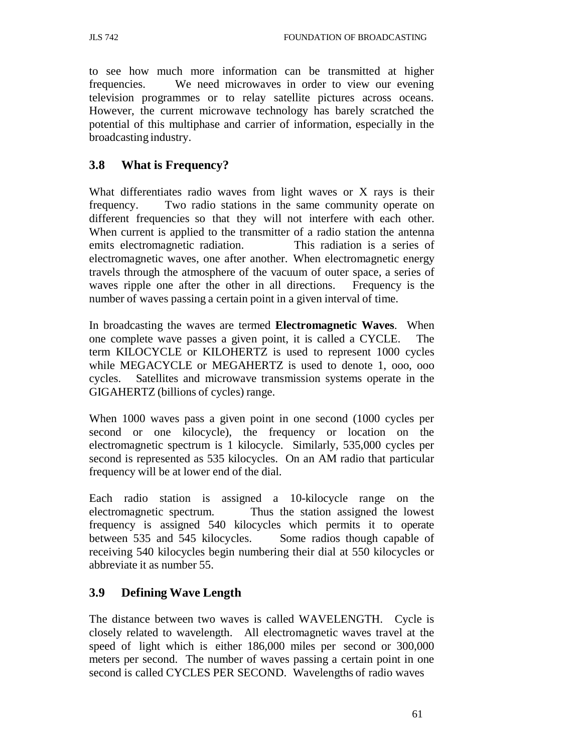to see how much more information can be transmitted at higher frequencies. We need microwaves in order to view our evening television programmes or to relay satellite pictures across oceans. However, the current microwave technology has barely scratched the potential of this multiphase and carrier of information, especially in the broadcasting industry.

# **3.8 What is Frequency?**

What differentiates radio waves from light waves or X rays is their frequency. Two radio stations in the same community operate on different frequencies so that they will not interfere with each other. When current is applied to the transmitter of a radio station the antenna emits electromagnetic radiation. This radiation is a series of electromagnetic waves, one after another. When electromagnetic energy travels through the atmosphere of the vacuum of outer space, a series of waves ripple one after the other in all directions. Frequency is the number of waves passing a certain point in a given interval of time.

In broadcasting the waves are termed **Electromagnetic Waves**. When one complete wave passes a given point, it is called a CYCLE. The term KILOCYCLE or KILOHERTZ is used to represent 1000 cycles while MEGACYCLE or MEGAHERTZ is used to denote 1, ooo, ooo cycles. Satellites and microwave transmission systems operate in the GIGAHERTZ (billions of cycles) range.

When 1000 waves pass a given point in one second (1000 cycles per second or one kilocycle), the frequency or location on the electromagnetic spectrum is 1 kilocycle. Similarly, 535,000 cycles per second is represented as 535 kilocycles. On an AM radio that particular frequency will be at lower end of the dial.

Each radio station is assigned a 10-kilocycle range on the electromagnetic spectrum. Thus the station assigned the lowest frequency is assigned 540 kilocycles which permits it to operate between 535 and 545 kilocycles. Some radios though capable of receiving 540 kilocycles begin numbering their dial at 550 kilocycles or abbreviate it as number 55.

## **3.9 Defining Wave Length**

The distance between two waves is called WAVELENGTH. Cycle is closely related to wavelength. All electromagnetic waves travel at the speed of light which is either 186,000 miles per second or 300,000 meters per second. The number of waves passing a certain point in one second is called CYCLES PER SECOND. Wavelengths of radio waves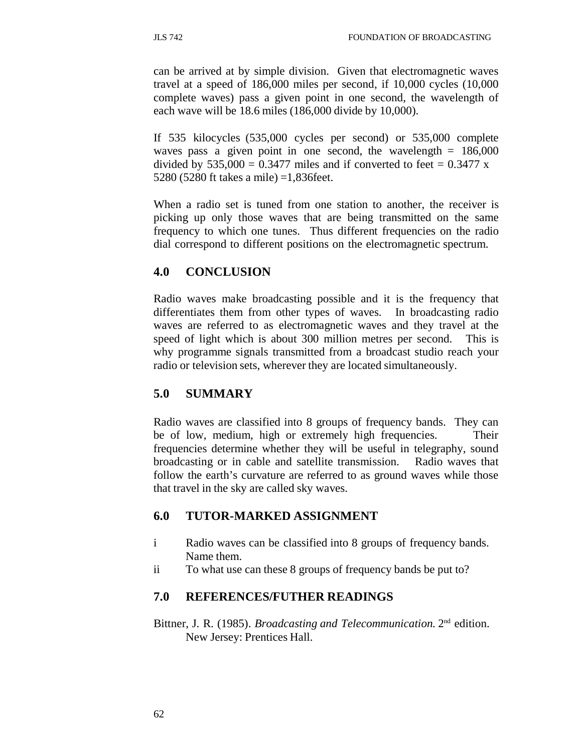can be arrived at by simple division. Given that electromagnetic waves travel at a speed of 186,000 miles per second, if 10,000 cycles (10,000 complete waves) pass a given point in one second, the wavelength of each wave will be 18.6 miles (186,000 divide by 10,000).

If 535 kilocycles (535,000 cycles per second) or 535,000 complete waves pass a given point in one second, the wavelength  $= 186,000$ divided by  $535,000 = 0.3477$  miles and if converted to feet = 0.3477 x 5280 (5280 ft takes a mile) =1,836feet.

When a radio set is tuned from one station to another, the receiver is picking up only those waves that are being transmitted on the same frequency to which one tunes. Thus different frequencies on the radio dial correspond to different positions on the electromagnetic spectrum.

# **4.0 CONCLUSION**

Radio waves make broadcasting possible and it is the frequency that differentiates them from other types of waves. In broadcasting radio waves are referred to as electromagnetic waves and they travel at the speed of light which is about 300 million metres per second. This is why programme signals transmitted from a broadcast studio reach your radio or television sets, wherever they are located simultaneously.

## **5.0 SUMMARY**

Radio waves are classified into 8 groups of frequency bands. They can be of low, medium, high or extremely high frequencies. Their frequencies determine whether they will be useful in telegraphy, sound broadcasting or in cable and satellite transmission. Radio waves that follow the earth's curvature are referred to as ground waves while those that travel in the sky are called sky waves.

## **6.0 TUTOR-MARKED ASSIGNMENT**

- i Radio waves can be classified into 8 groups of frequency bands. Name them.
- ii To what use can these 8 groups of frequency bands be put to?

## **7.0 REFERENCES/FUTHER READINGS**

Bittner, J. R. (1985). *Broadcasting and Telecommunication.* 2nd edition. New Jersey: Prentices Hall.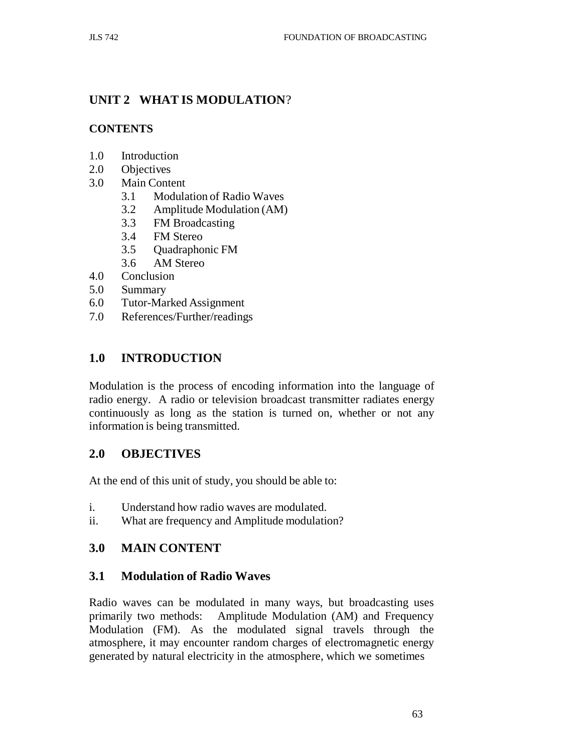# **UNIT 2 WHAT IS MODULATION**?

## **CONTENTS**

- 1.0 Introduction
- 2.0 Objectives
- 3.0 Main Content
	- 3.1 Modulation of Radio Waves
	- 3.2 Amplitude Modulation (AM)
	- 3.3 FM Broadcasting
	- 3.4 FM Stereo
	- 3.5 Quadraphonic FM
	- 3.6 AM Stereo
- 4.0 Conclusion
- 5.0 Summary
- 6.0 Tutor-Marked Assignment
- 7.0 References/Further/readings

# **1.0 INTRODUCTION**

Modulation is the process of encoding information into the language of radio energy. A radio or television broadcast transmitter radiates energy continuously as long as the station is turned on, whether or not any information is being transmitted.

## **2.0 OBJECTIVES**

At the end of this unit of study, you should be able to:

- i. Understand how radio waves are modulated.
- ii. What are frequency and Amplitude modulation?

## **3.0 MAIN CONTENT**

## **3.1 Modulation of Radio Waves**

Radio waves can be modulated in many ways, but broadcasting uses primarily two methods: Amplitude Modulation (AM) and Frequency Modulation (FM). As the modulated signal travels through the atmosphere, it may encounter random charges of electromagnetic energy generated by natural electricity in the atmosphere, which we sometimes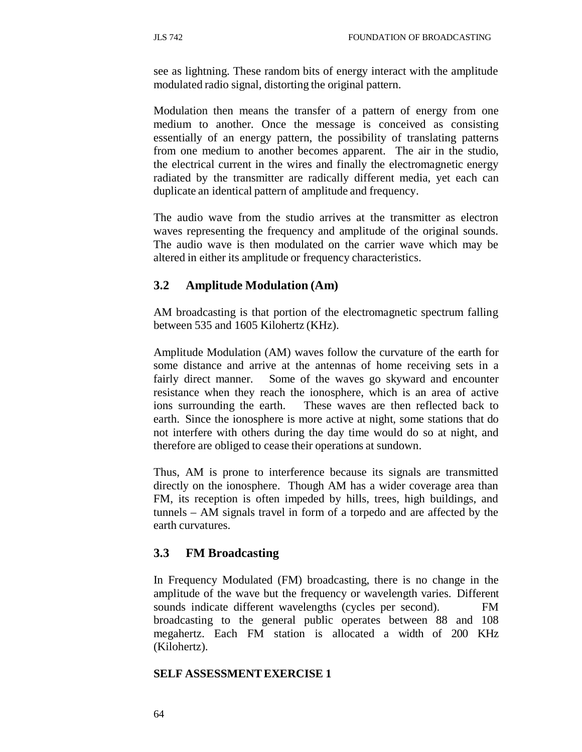see as lightning. These random bits of energy interact with the amplitude modulated radio signal, distorting the original pattern.

Modulation then means the transfer of a pattern of energy from one medium to another. Once the message is conceived as consisting essentially of an energy pattern, the possibility of translating patterns from one medium to another becomes apparent. The air in the studio, the electrical current in the wires and finally the electromagnetic energy radiated by the transmitter are radically different media, yet each can duplicate an identical pattern of amplitude and frequency.

The audio wave from the studio arrives at the transmitter as electron waves representing the frequency and amplitude of the original sounds. The audio wave is then modulated on the carrier wave which may be altered in either its amplitude or frequency characteristics.

### **3.2 Amplitude Modulation (Am)**

AM broadcasting is that portion of the electromagnetic spectrum falling between 535 and 1605 Kilohertz (KHz).

Amplitude Modulation (AM) waves follow the curvature of the earth for some distance and arrive at the antennas of home receiving sets in a fairly direct manner. Some of the waves go skyward and encounter resistance when they reach the ionosphere, which is an area of active ions surrounding the earth. These waves are then reflected back to earth. Since the ionosphere is more active at night, some stations that do not interfere with others during the day time would do so at night, and therefore are obliged to cease their operations at sundown.

Thus, AM is prone to interference because its signals are transmitted directly on the ionosphere. Though AM has a wider coverage area than FM, its reception is often impeded by hills, trees, high buildings, and tunnels – AM signals travel in form of a torpedo and are affected by the earth curvatures.

### **3.3 FM Broadcasting**

In Frequency Modulated (FM) broadcasting, there is no change in the amplitude of the wave but the frequency or wavelength varies. Different sounds indicate different wavelengths (cycles per second). FM broadcasting to the general public operates between 88 and 108 megahertz. Each FM station is allocated a width of 200 KHz (Kilohertz).

### **SELF ASSESSMENT EXERCISE 1**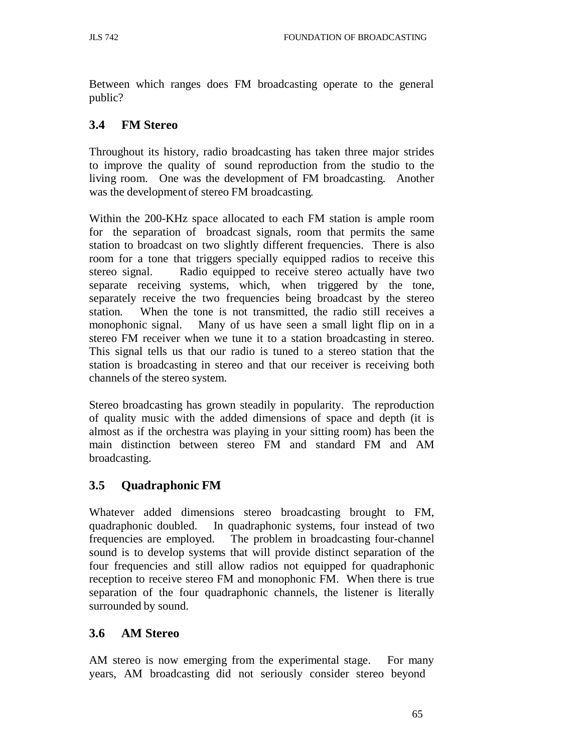Between which ranges does FM broadcasting operate to the general public?

# **3.4 FM Stereo**

Throughout its history, radio broadcasting has taken three major strides to improve the quality of sound reproduction from the studio to the living room. One was the development of FM broadcasting. Another was the development of stereo FM broadcasting.

Within the 200-KHz space allocated to each FM station is ample room for the separation of broadcast signals, room that permits the same station to broadcast on two slightly different frequencies. There is also room for a tone that triggers specially equipped radios to receive this stereo signal. Radio equipped to receive stereo actually have two separate receiving systems, which, when triggered by the tone, separately receive the two frequencies being broadcast by the stereo station. When the tone is not transmitted, the radio still receives a monophonic signal. Many of us have seen a small light flip on in a stereo FM receiver when we tune it to a station broadcasting in stereo. This signal tells us that our radio is tuned to a stereo station that the station is broadcasting in stereo and that our receiver is receiving both channels of the stereo system.

Stereo broadcasting has grown steadily in popularity. The reproduction of quality music with the added dimensions of space and depth (it is almost as if the orchestra was playing in your sitting room) has been the main distinction between stereo FM and standard FM and AM broadcasting.

# **3.5 Quadraphonic FM**

Whatever added dimensions stereo broadcasting brought to FM, quadraphonic doubled. In quadraphonic systems, four instead of two frequencies are employed. The problem in broadcasting four-channel sound is to develop systems that will provide distinct separation of the four frequencies and still allow radios not equipped for quadraphonic reception to receive stereo FM and monophonic FM. When there is true separation of the four quadraphonic channels, the listener is literally surrounded by sound.

# **3.6 AM Stereo**

AM stereo is now emerging from the experimental stage. For many years, AM broadcasting did not seriously consider stereo beyond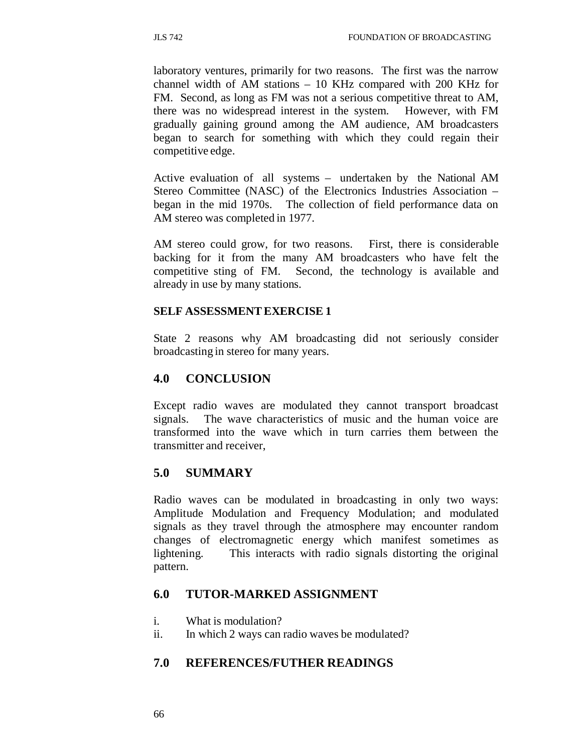laboratory ventures, primarily for two reasons. The first was the narrow channel width of AM stations – 10 KHz compared with 200 KHz for FM. Second, as long as FM was not a serious competitive threat to AM, there was no widespread interest in the system. However, with FM gradually gaining ground among the AM audience, AM broadcasters began to search for something with which they could regain their competitive edge.

Active evaluation of all systems – undertaken by the National AM Stereo Committee (NASC) of the Electronics Industries Association – began in the mid 1970s. The collection of field performance data on AM stereo was completed in 1977.

AM stereo could grow, for two reasons. First, there is considerable backing for it from the many AM broadcasters who have felt the competitive sting of FM. Second, the technology is available and already in use by many stations.

### **SELF ASSESSMENT EXERCISE 1**

State 2 reasons why AM broadcasting did not seriously consider broadcasting in stereo for many years.

### **4.0 CONCLUSION**

Except radio waves are modulated they cannot transport broadcast signals. The wave characteristics of music and the human voice are transformed into the wave which in turn carries them between the transmitter and receiver,

### **5.0 SUMMARY**

Radio waves can be modulated in broadcasting in only two ways: Amplitude Modulation and Frequency Modulation; and modulated signals as they travel through the atmosphere may encounter random changes of electromagnetic energy which manifest sometimes as lightening. This interacts with radio signals distorting the original pattern.

### **6.0 TUTOR-MARKED ASSIGNMENT**

- i. What is modulation?
- ii. In which 2 ways can radio waves be modulated?

### **7.0 REFERENCES/FUTHER READINGS**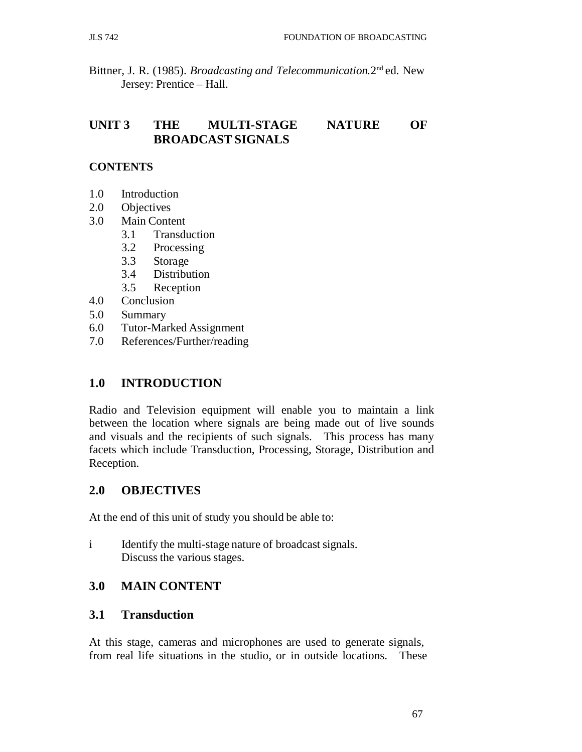Bittner, J. R. (1985). *Broadcasting and Telecommunication.*2nd ed. New Jersey: Prentice – Hall.

# **UNIT 3 THE MULTI-STAGE NATURE OF BROADCAST SIGNALS**

## **CONTENTS**

- 1.0 Introduction
- 2.0 Objectives
- 3.0 Main Content
	- 3.1 Transduction
	- 3.2 Processing
	- 3.3 Storage
	- 3.4 Distribution
	- 3.5 Reception
- 4.0 Conclusion
- 5.0 Summary
- 6.0 Tutor-Marked Assignment
- 7.0 References/Further/reading

## **1.0 INTRODUCTION**

Radio and Television equipment will enable you to maintain a link between the location where signals are being made out of live sounds and visuals and the recipients of such signals. This process has many facets which include Transduction, Processing, Storage, Distribution and Reception.

## **2.0 OBJECTIVES**

At the end of this unit of study you should be able to:

i Identify the multi-stage nature of broadcast signals. Discuss the various stages.

## **3.0 MAIN CONTENT**

## **3.1 Transduction**

At this stage, cameras and microphones are used to generate signals, from real life situations in the studio, or in outside locations. These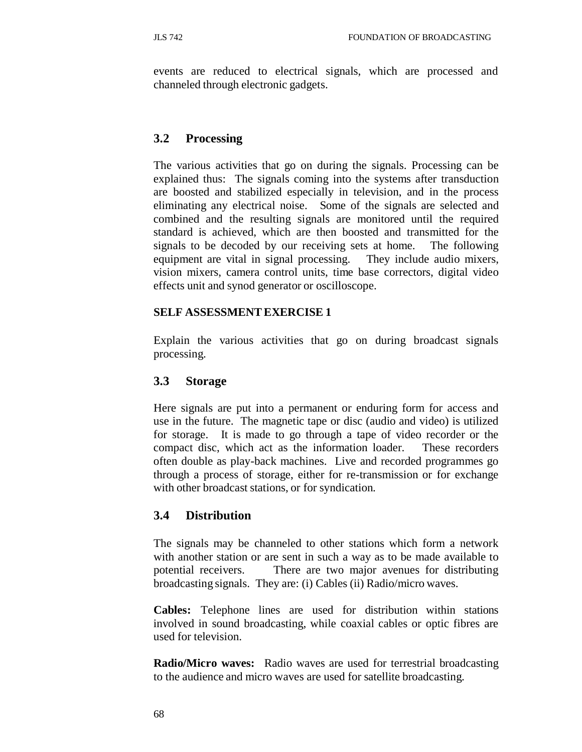events are reduced to electrical signals, which are processed and channeled through electronic gadgets.

### **3.2 Processing**

The various activities that go on during the signals. Processing can be explained thus: The signals coming into the systems after transduction are boosted and stabilized especially in television, and in the process eliminating any electrical noise. Some of the signals are selected and combined and the resulting signals are monitored until the required standard is achieved, which are then boosted and transmitted for the signals to be decoded by our receiving sets at home. The following equipment are vital in signal processing. They include audio mixers, vision mixers, camera control units, time base correctors, digital video effects unit and synod generator or oscilloscope.

### **SELF ASSESSMENT EXERCISE 1**

Explain the various activities that go on during broadcast signals processing.

### **3.3 Storage**

Here signals are put into a permanent or enduring form for access and use in the future. The magnetic tape or disc (audio and video) is utilized for storage. It is made to go through a tape of video recorder or the compact disc, which act as the information loader. These recorders often double as play-back machines. Live and recorded programmes go through a process of storage, either for re-transmission or for exchange with other broadcast stations, or for syndication.

### **3.4 Distribution**

The signals may be channeled to other stations which form a network with another station or are sent in such a way as to be made available to potential receivers. There are two major avenues for distributing broadcasting signals. They are: (i) Cables (ii) Radio/micro waves.

**Cables:** Telephone lines are used for distribution within stations involved in sound broadcasting, while coaxial cables or optic fibres are used for television.

**Radio/Micro waves:** Radio waves are used for terrestrial broadcasting to the audience and micro waves are used for satellite broadcasting.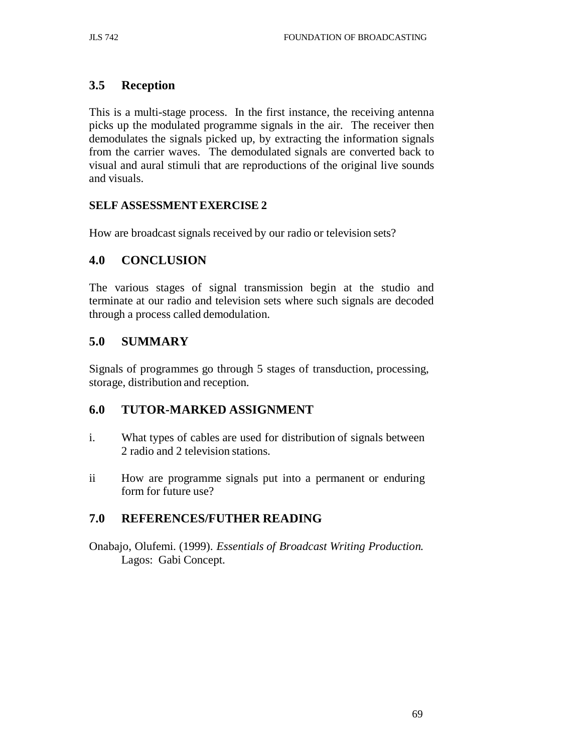# **3.5 Reception**

This is a multi-stage process. In the first instance, the receiving antenna picks up the modulated programme signals in the air. The receiver then demodulates the signals picked up, by extracting the information signals from the carrier waves. The demodulated signals are converted back to visual and aural stimuli that are reproductions of the original live sounds and visuals.

### **SELF ASSESSMENT EXERCISE 2**

How are broadcast signals received by our radio or television sets?

## **4.0 CONCLUSION**

The various stages of signal transmission begin at the studio and terminate at our radio and television sets where such signals are decoded through a process called demodulation.

## **5.0 SUMMARY**

Signals of programmes go through 5 stages of transduction, processing, storage, distribution and reception.

## **6.0 TUTOR-MARKED ASSIGNMENT**

- i. What types of cables are used for distribution of signals between 2 radio and 2 television stations.
- ii How are programme signals put into a permanent or enduring form for future use?

## **7.0 REFERENCES/FUTHER READING**

Onabajo, Olufemi. (1999). *Essentials of Broadcast Writing Production.* Lagos: Gabi Concept.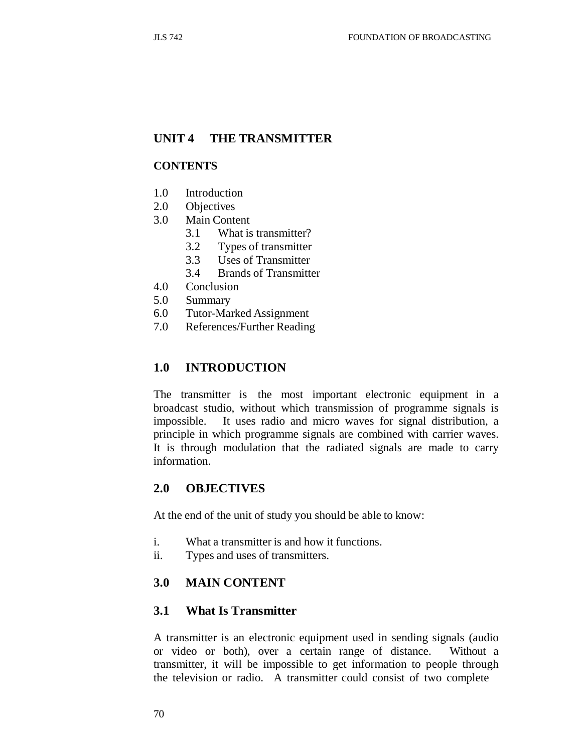### **UNIT 4 THE TRANSMITTER**

#### **CONTENTS**

- 1.0 Introduction
- 2.0 Objectives
- 3.0 Main Content
	- 3.1 What is transmitter?
	- 3.2 Types of transmitter
	- 3.3 Uses of Transmitter
	- 3.4 Brands of Transmitter
- 4.0 Conclusion
- 5.0 Summary
- 6.0 Tutor-Marked Assignment
- 7.0 References/Further Reading

### **1.0 INTRODUCTION**

The transmitter is the most important electronic equipment in a broadcast studio, without which transmission of programme signals is impossible. It uses radio and micro waves for signal distribution, a principle in which programme signals are combined with carrier waves. It is through modulation that the radiated signals are made to carry information.

### **2.0 OBJECTIVES**

At the end of the unit of study you should be able to know:

- i. What a transmitter is and how it functions.
- ii. Types and uses of transmitters.

### **3.0 MAIN CONTENT**

#### **3.1 What Is Transmitter**

A transmitter is an electronic equipment used in sending signals (audio or video or both), over a certain range of distance. Without a transmitter, it will be impossible to get information to people through the television or radio. A transmitter could consist of two complete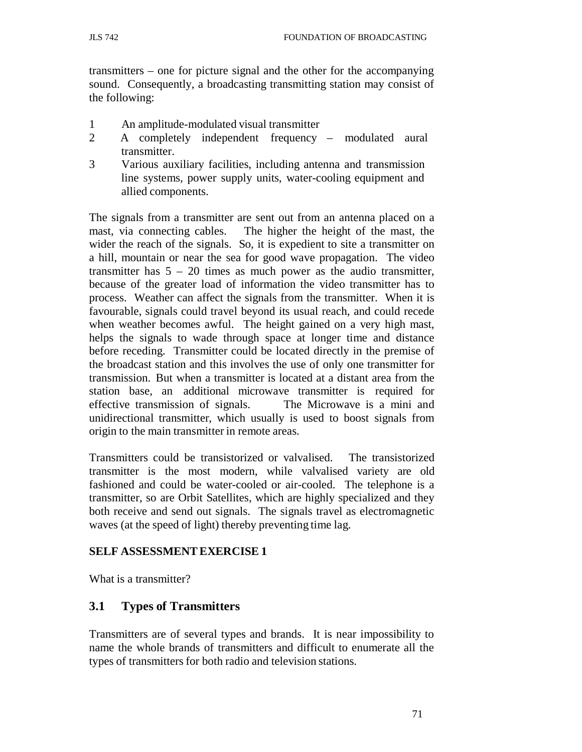transmitters – one for picture signal and the other for the accompanying sound. Consequently, a broadcasting transmitting station may consist of the following:

- 1 An amplitude-modulated visual transmitter
- 2 A completely independent frequency modulated aural transmitter.
- 3 Various auxiliary facilities, including antenna and transmission line systems, power supply units, water-cooling equipment and allied components.

The signals from a transmitter are sent out from an antenna placed on a mast, via connecting cables. The higher the height of the mast, the wider the reach of the signals. So, it is expedient to site a transmitter on a hill, mountain or near the sea for good wave propagation. The video transmitter has  $5 - 20$  times as much power as the audio transmitter, because of the greater load of information the video transmitter has to process. Weather can affect the signals from the transmitter. When it is favourable, signals could travel beyond its usual reach, and could recede when weather becomes awful. The height gained on a very high mast, helps the signals to wade through space at longer time and distance before receding. Transmitter could be located directly in the premise of the broadcast station and this involves the use of only one transmitter for transmission. But when a transmitter is located at a distant area from the station base, an additional microwave transmitter is required for effective transmission of signals. The Microwave is a mini and unidirectional transmitter, which usually is used to boost signals from origin to the main transmitter in remote areas.

Transmitters could be transistorized or valvalised. The transistorized transmitter is the most modern, while valvalised variety are old fashioned and could be water-cooled or air-cooled. The telephone is a transmitter, so are Orbit Satellites, which are highly specialized and they both receive and send out signals. The signals travel as electromagnetic waves (at the speed of light) thereby preventing time lag.

### **SELF ASSESSMENT EXERCISE 1**

What is a transmitter?

## **3.1 Types of Transmitters**

Transmitters are of several types and brands. It is near impossibility to name the whole brands of transmitters and difficult to enumerate all the types of transmitters for both radio and television stations.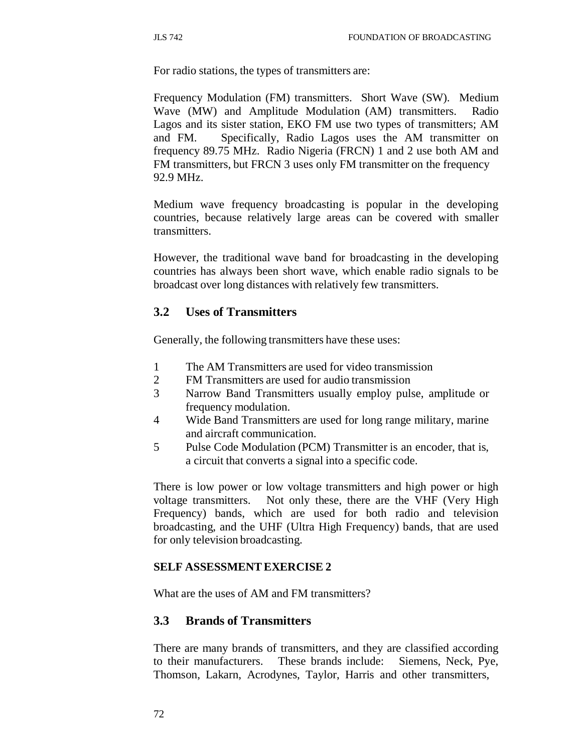For radio stations, the types of transmitters are:

Frequency Modulation (FM) transmitters. Short Wave (SW). Medium Wave (MW) and Amplitude Modulation (AM) transmitters. Radio Lagos and its sister station, EKO FM use two types of transmitters; AM and FM. Specifically, Radio Lagos uses the AM transmitter on frequency 89.75 MHz. Radio Nigeria (FRCN) 1 and 2 use both AM and FM transmitters, but FRCN 3 uses only FM transmitter on the frequency 92.9 MHz.

Medium wave frequency broadcasting is popular in the developing countries, because relatively large areas can be covered with smaller transmitters.

However, the traditional wave band for broadcasting in the developing countries has always been short wave, which enable radio signals to be broadcast over long distances with relatively few transmitters.

## **3.2 Uses of Transmitters**

Generally, the following transmitters have these uses:

- 1 The AM Transmitters are used for video transmission
- 2 FM Transmitters are used for audio transmission
- 3 Narrow Band Transmitters usually employ pulse, amplitude or frequency modulation.
- 4 Wide Band Transmitters are used for long range military, marine and aircraft communication.
- 5 Pulse Code Modulation (PCM) Transmitter is an encoder, that is, a circuit that converts a signal into a specific code.

There is low power or low voltage transmitters and high power or high voltage transmitters. Not only these, there are the VHF (Very High Frequency) bands, which are used for both radio and television broadcasting, and the UHF (Ultra High Frequency) bands, that are used for only television broadcasting.

## **SELF ASSESSMENT EXERCISE 2**

What are the uses of AM and FM transmitters?

## **3.3 Brands of Transmitters**

There are many brands of transmitters, and they are classified according to their manufacturers. These brands include: Siemens, Neck, Pye, Thomson, Lakarn, Acrodynes, Taylor, Harris and other transmitters,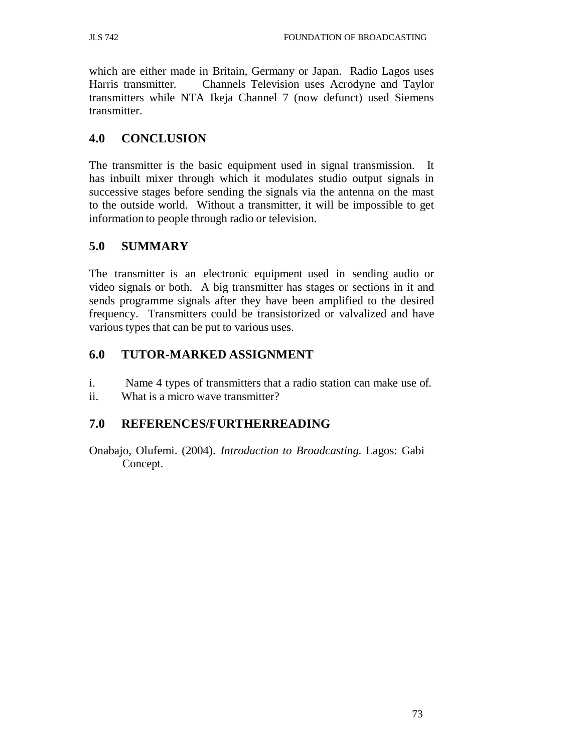which are either made in Britain, Germany or Japan. Radio Lagos uses Harris transmitter. Channels Television uses Acrodyne and Taylor transmitters while NTA Ikeja Channel 7 (now defunct) used Siemens transmitter.

## **4.0 CONCLUSION**

The transmitter is the basic equipment used in signal transmission. It has inbuilt mixer through which it modulates studio output signals in successive stages before sending the signals via the antenna on the mast to the outside world. Without a transmitter, it will be impossible to get information to people through radio or television.

# **5.0 SUMMARY**

The transmitter is an electronic equipment used in sending audio or video signals or both. A big transmitter has stages or sections in it and sends programme signals after they have been amplified to the desired frequency. Transmitters could be transistorized or valvalized and have various types that can be put to various uses.

## **6.0 TUTOR-MARKED ASSIGNMENT**

- i. Name 4 types of transmitters that a radio station can make use of.
- ii. What is a micro wave transmitter?

## **7.0 REFERENCES/FURTHERREADING**

Onabajo, Olufemi. (2004). *Introduction to Broadcasting.* Lagos: Gabi Concept.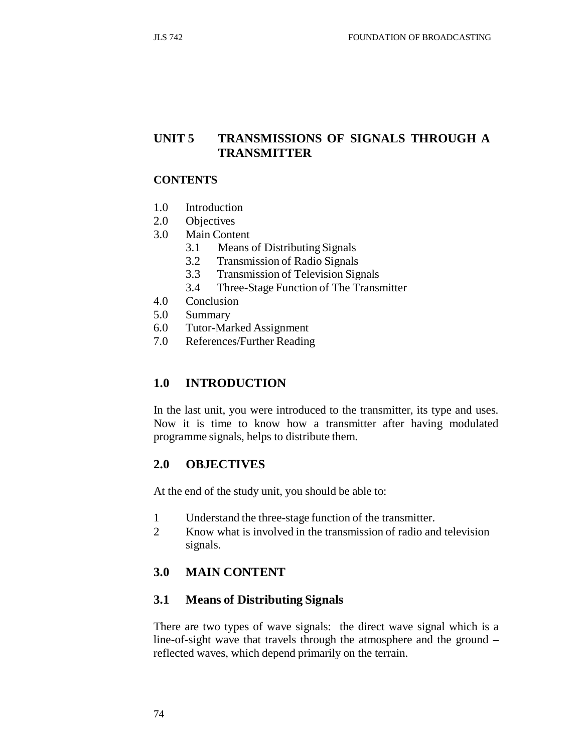# **UNIT 5 TRANSMISSIONS OF SIGNALS THROUGH A TRANSMITTER**

#### **CONTENTS**

- 1.0 Introduction
- 2.0 Objectives
- 3.0 Main Content
	- 3.1 Means of Distributing Signals
	- 3.2 Transmission of Radio Signals
	- 3.3 Transmission of Television Signals
	- 3.4 Three-Stage Function of The Transmitter
- 4.0 Conclusion
- 5.0 Summary
- 6.0 Tutor-Marked Assignment
- 7.0 References/Further Reading

## **1.0 INTRODUCTION**

In the last unit, you were introduced to the transmitter, its type and uses. Now it is time to know how a transmitter after having modulated programme signals, helps to distribute them.

### **2.0 OBJECTIVES**

At the end of the study unit, you should be able to:

- 1 Understand the three-stage function of the transmitter.
- 2 Know what is involved in the transmission of radio and television signals.

## **3.0 MAIN CONTENT**

### **3.1 Means of Distributing Signals**

There are two types of wave signals: the direct wave signal which is a line-of-sight wave that travels through the atmosphere and the ground – reflected waves, which depend primarily on the terrain.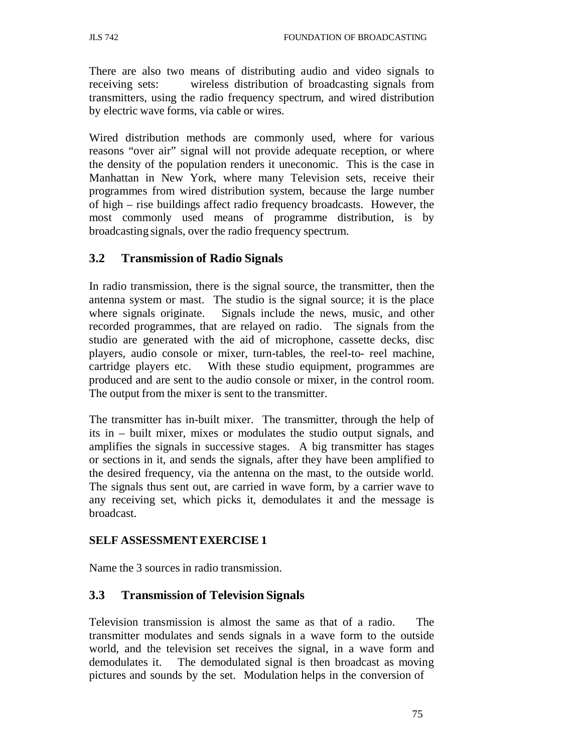There are also two means of distributing audio and video signals to receiving sets: wireless distribution of broadcasting signals from transmitters, using the radio frequency spectrum, and wired distribution by electric wave forms, via cable or wires.

Wired distribution methods are commonly used, where for various reasons "over air" signal will not provide adequate reception, or where the density of the population renders it uneconomic. This is the case in Manhattan in New York, where many Television sets, receive their programmes from wired distribution system, because the large number of high – rise buildings affect radio frequency broadcasts. However, the most commonly used means of programme distribution, is by broadcasting signals, over the radio frequency spectrum.

## **3.2 Transmission of Radio Signals**

In radio transmission, there is the signal source, the transmitter, then the antenna system or mast. The studio is the signal source; it is the place where signals originate. Signals include the news, music, and other recorded programmes, that are relayed on radio. The signals from the studio are generated with the aid of microphone, cassette decks, disc players, audio console or mixer, turn-tables, the reel-to- reel machine, cartridge players etc. With these studio equipment, programmes are produced and are sent to the audio console or mixer, in the control room. The output from the mixer is sent to the transmitter.

The transmitter has in-built mixer. The transmitter, through the help of its in – built mixer, mixes or modulates the studio output signals, and amplifies the signals in successive stages. A big transmitter has stages or sections in it, and sends the signals, after they have been amplified to the desired frequency, via the antenna on the mast, to the outside world. The signals thus sent out, are carried in wave form, by a carrier wave to any receiving set, which picks it, demodulates it and the message is broadcast.

### **SELF ASSESSMENT EXERCISE 1**

Name the 3 sources in radio transmission.

## **3.3 Transmission of Television Signals**

Television transmission is almost the same as that of a radio. The transmitter modulates and sends signals in a wave form to the outside world, and the television set receives the signal, in a wave form and demodulates it. The demodulated signal is then broadcast as moving pictures and sounds by the set. Modulation helps in the conversion of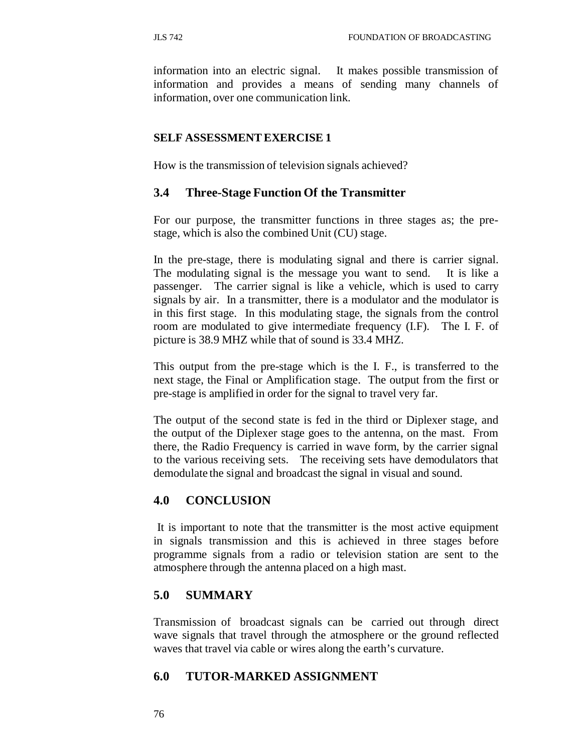information into an electric signal. It makes possible transmission of information and provides a means of sending many channels of information, over one communication link.

#### **SELF ASSESSMENT EXERCISE 1**

How is the transmission of television signals achieved?

#### **3.4 Three-Stage Function Of the Transmitter**

For our purpose, the transmitter functions in three stages as; the prestage, which is also the combined Unit (CU) stage.

In the pre-stage, there is modulating signal and there is carrier signal. The modulating signal is the message you want to send. It is like a passenger. The carrier signal is like a vehicle, which is used to carry signals by air. In a transmitter, there is a modulator and the modulator is in this first stage. In this modulating stage, the signals from the control room are modulated to give intermediate frequency (I.F). The I. F. of picture is 38.9 MHZ while that of sound is 33.4 MHZ.

This output from the pre-stage which is the I. F., is transferred to the next stage, the Final or Amplification stage. The output from the first or pre-stage is amplified in order for the signal to travel very far.

The output of the second state is fed in the third or Diplexer stage, and the output of the Diplexer stage goes to the antenna, on the mast. From there, the Radio Frequency is carried in wave form, by the carrier signal to the various receiving sets. The receiving sets have demodulators that demodulate the signal and broadcast the signal in visual and sound.

#### **4.0 CONCLUSION**

It is important to note that the transmitter is the most active equipment in signals transmission and this is achieved in three stages before programme signals from a radio or television station are sent to the atmosphere through the antenna placed on a high mast.

### **5.0 SUMMARY**

Transmission of broadcast signals can be carried out through direct wave signals that travel through the atmosphere or the ground reflected waves that travel via cable or wires along the earth's curvature.

### **6.0 TUTOR-MARKED ASSIGNMENT**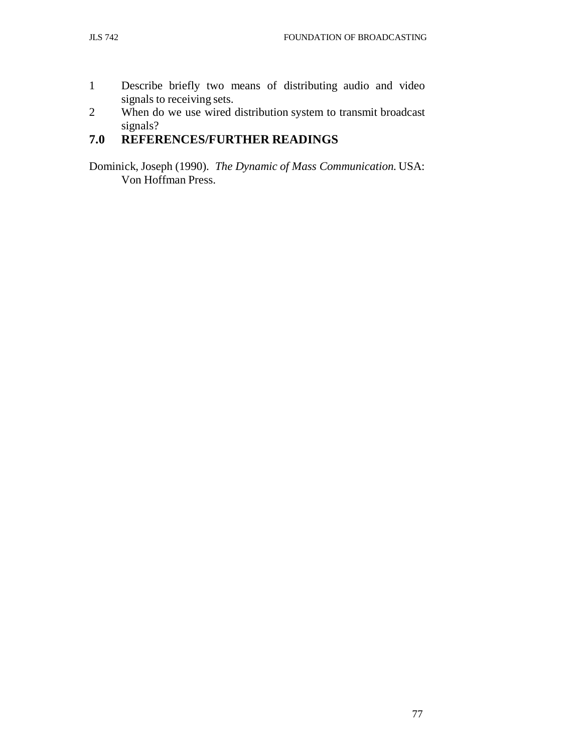- 1 Describe briefly two means of distributing audio and video signals to receiving sets.
- 2 When do we use wired distribution system to transmit broadcast signals?

# **7.0 REFERENCES/FURTHER READINGS**

Dominick, Joseph (1990). *The Dynamic of Mass Communication.* USA: Von Hoffman Press.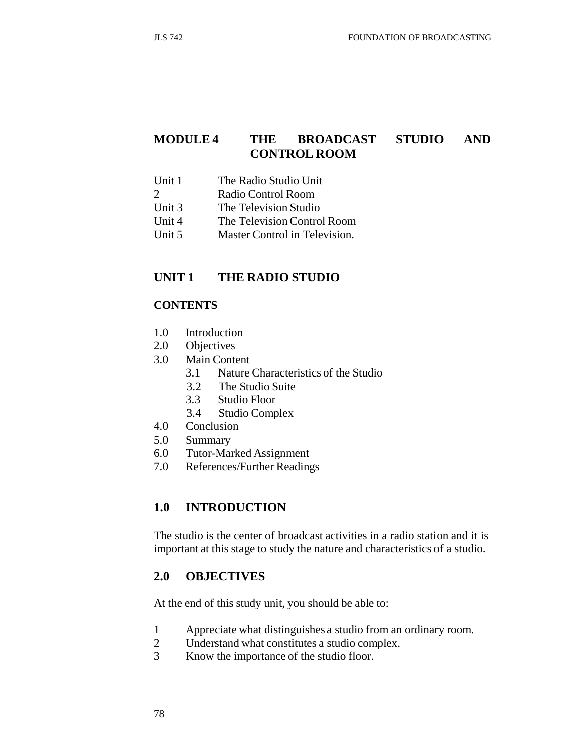## **MODULE 4 THE BROADCAST STUDIO AND CONTROL ROOM**

- Unit 1 The Radio Studio Unit
- 2 Radio Control Room
- Unit 3 The Television Studio
- Unit 4 The Television Control Room
- Unit 5 Master Control in Television.

### **UNIT 1 THE RADIO STUDIO**

### **CONTENTS**

- 1.0 Introduction
- 2.0 Objectives
- 3.0 Main Content
	- 3.1 Nature Characteristics of the Studio
	- 3.2 The Studio Suite
	- 3.3 Studio Floor
	- 3.4 Studio Complex
- 4.0 Conclusion
- 5.0 Summary
- 6.0 Tutor-Marked Assignment
- 7.0 References/Further Readings

## **1.0 INTRODUCTION**

The studio is the center of broadcast activities in a radio station and it is important at this stage to study the nature and characteristics of a studio.

### **2.0 OBJECTIVES**

At the end of this study unit, you should be able to:

- 1 Appreciate what distinguishes a studio from an ordinary room.
- 2 Understand what constitutes a studio complex.
- 3 Know the importance of the studio floor.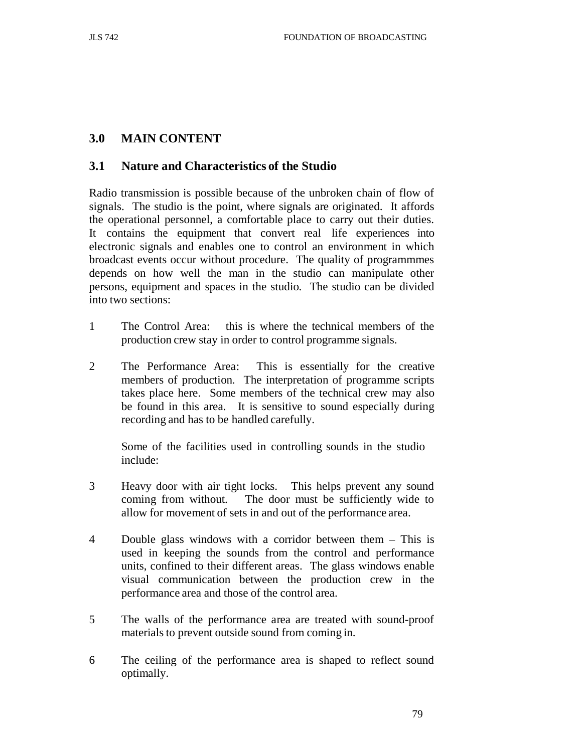## **3.0 MAIN CONTENT**

### **3.1 Nature and Characteristics of the Studio**

Radio transmission is possible because of the unbroken chain of flow of signals. The studio is the point, where signals are originated. It affords the operational personnel, a comfortable place to carry out their duties. It contains the equipment that convert real life experiences into electronic signals and enables one to control an environment in which broadcast events occur without procedure. The quality of programmmes depends on how well the man in the studio can manipulate other persons, equipment and spaces in the studio. The studio can be divided into two sections:

- 1 The Control Area: this is where the technical members of the production crew stay in order to control programme signals.
- 2 The Performance Area: This is essentially for the creative members of production. The interpretation of programme scripts takes place here. Some members of the technical crew may also be found in this area. It is sensitive to sound especially during recording and has to be handled carefully.

Some of the facilities used in controlling sounds in the studio include:

- 3 Heavy door with air tight locks. This helps prevent any sound coming from without. The door must be sufficiently wide to allow for movement of sets in and out of the performance area.
- 4 Double glass windows with a corridor between them This is used in keeping the sounds from the control and performance units, confined to their different areas. The glass windows enable visual communication between the production crew in the performance area and those of the control area.
- 5 The walls of the performance area are treated with sound-proof materials to prevent outside sound from coming in.
- 6 The ceiling of the performance area is shaped to reflect sound optimally.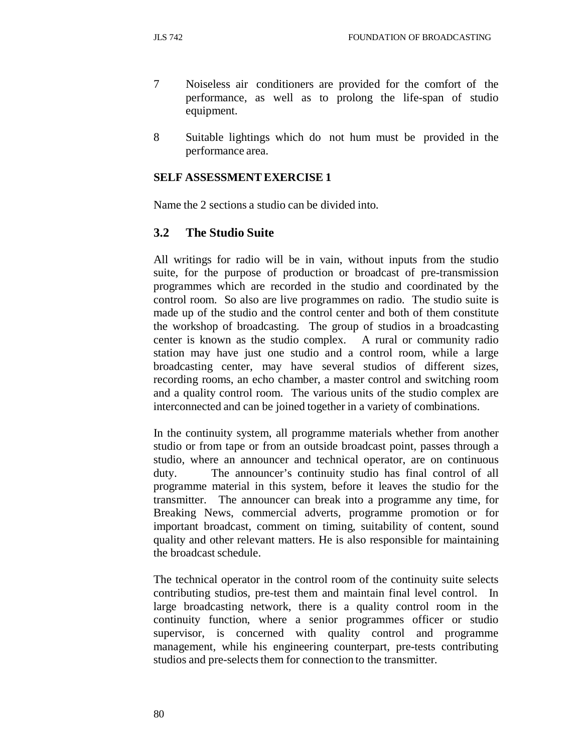- 7 Noiseless air conditioners are provided for the comfort of the performance, as well as to prolong the life-span of studio equipment.
- 8 Suitable lightings which do not hum must be provided in the performance area.

## **SELF ASSESSMENT EXERCISE 1**

Name the 2 sections a studio can be divided into.

## **3.2 The Studio Suite**

All writings for radio will be in vain, without inputs from the studio suite, for the purpose of production or broadcast of pre-transmission programmes which are recorded in the studio and coordinated by the control room. So also are live programmes on radio. The studio suite is made up of the studio and the control center and both of them constitute the workshop of broadcasting. The group of studios in a broadcasting center is known as the studio complex. A rural or community radio station may have just one studio and a control room, while a large broadcasting center, may have several studios of different sizes, recording rooms, an echo chamber, a master control and switching room and a quality control room. The various units of the studio complex are interconnected and can be joined together in a variety of combinations.

In the continuity system, all programme materials whether from another studio or from tape or from an outside broadcast point, passes through a studio, where an announcer and technical operator, are on continuous duty. The announcer's continuity studio has final control of all programme material in this system, before it leaves the studio for the transmitter. The announcer can break into a programme any time, for Breaking News, commercial adverts, programme promotion or for important broadcast, comment on timing, suitability of content, sound quality and other relevant matters. He is also responsible for maintaining the broadcast schedule.

The technical operator in the control room of the continuity suite selects contributing studios, pre-test them and maintain final level control. In large broadcasting network, there is a quality control room in the continuity function, where a senior programmes officer or studio supervisor, is concerned with quality control and programme management, while his engineering counterpart, pre-tests contributing studios and pre-selects them for connection to the transmitter.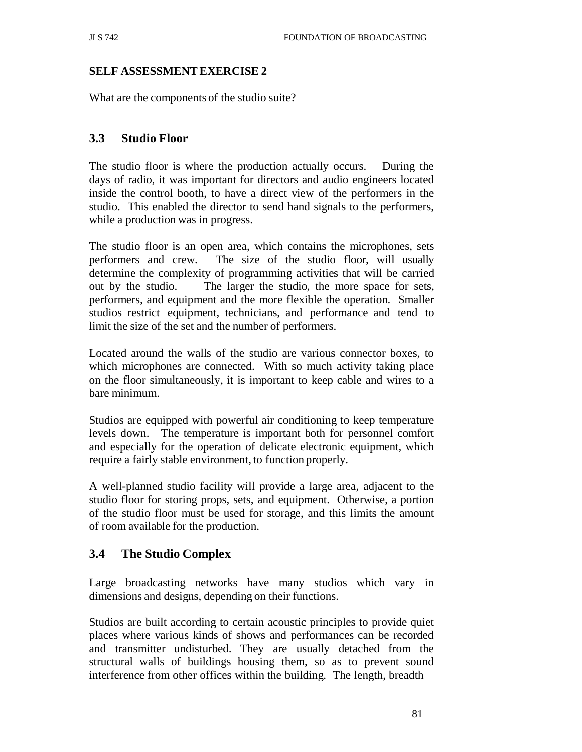## **SELF ASSESSMENT EXERCISE 2**

What are the components of the studio suite?

## **3.3 Studio Floor**

The studio floor is where the production actually occurs. During the days of radio, it was important for directors and audio engineers located inside the control booth, to have a direct view of the performers in the studio. This enabled the director to send hand signals to the performers, while a production was in progress.

The studio floor is an open area, which contains the microphones, sets performers and crew. The size of the studio floor, will usually determine the complexity of programming activities that will be carried out by the studio. The larger the studio, the more space for sets, performers, and equipment and the more flexible the operation. Smaller studios restrict equipment, technicians, and performance and tend to limit the size of the set and the number of performers.

Located around the walls of the studio are various connector boxes, to which microphones are connected. With so much activity taking place on the floor simultaneously, it is important to keep cable and wires to a bare minimum.

Studios are equipped with powerful air conditioning to keep temperature levels down. The temperature is important both for personnel comfort and especially for the operation of delicate electronic equipment, which require a fairly stable environment, to function properly.

A well-planned studio facility will provide a large area, adjacent to the studio floor for storing props, sets, and equipment. Otherwise, a portion of the studio floor must be used for storage, and this limits the amount of room available for the production.

## **3.4 The Studio Complex**

Large broadcasting networks have many studios which vary in dimensions and designs, depending on their functions.

Studios are built according to certain acoustic principles to provide quiet places where various kinds of shows and performances can be recorded and transmitter undisturbed. They are usually detached from the structural walls of buildings housing them, so as to prevent sound interference from other offices within the building. The length, breadth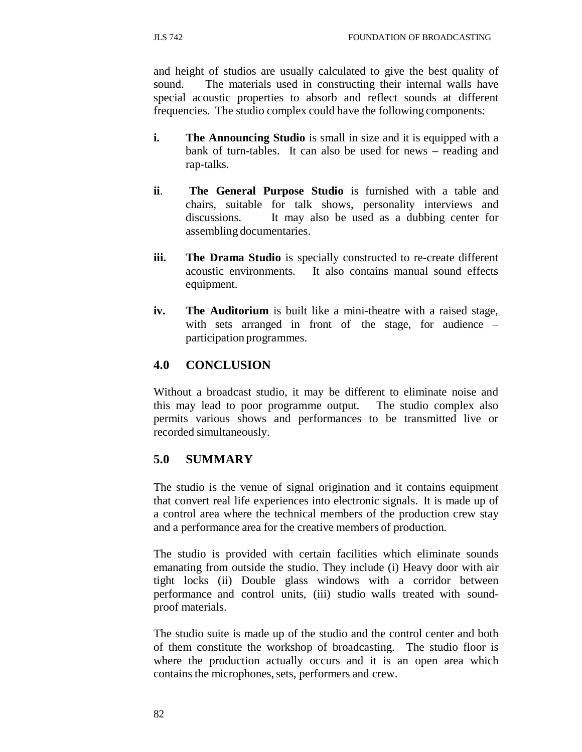and height of studios are usually calculated to give the best quality of sound. The materials used in constructing their internal walls have special acoustic properties to absorb and reflect sounds at different frequencies. The studio complex could have the following components:

- **i.** The Announcing Studio is small in size and it is equipped with a bank of turn-tables. It can also be used for news – reading and rap-talks.
- **ii**. **The General Purpose Studio** is furnished with a table and chairs, suitable for talk shows, personality interviews and discussions. It may also be used as a dubbing center for assembling documentaries.
- **iii. The Drama Studio** is specially constructed to re-create different acoustic environments. It also contains manual sound effects equipment.
- **iv. The Auditorium** is built like a mini-theatre with a raised stage, with sets arranged in front of the stage, for audience – participation programmes.

# **4.0 CONCLUSION**

Without a broadcast studio, it may be different to eliminate noise and this may lead to poor programme output. The studio complex also permits various shows and performances to be transmitted live or recorded simultaneously.

# **5.0 SUMMARY**

The studio is the venue of signal origination and it contains equipment that convert real life experiences into electronic signals. It is made up of a control area where the technical members of the production crew stay and a performance area for the creative members of production.

The studio is provided with certain facilities which eliminate sounds emanating from outside the studio. They include (i) Heavy door with air tight locks (ii) Double glass windows with a corridor between performance and control units, (iii) studio walls treated with soundproof materials.

The studio suite is made up of the studio and the control center and both of them constitute the workshop of broadcasting. The studio floor is where the production actually occurs and it is an open area which contains the microphones, sets, performers and crew.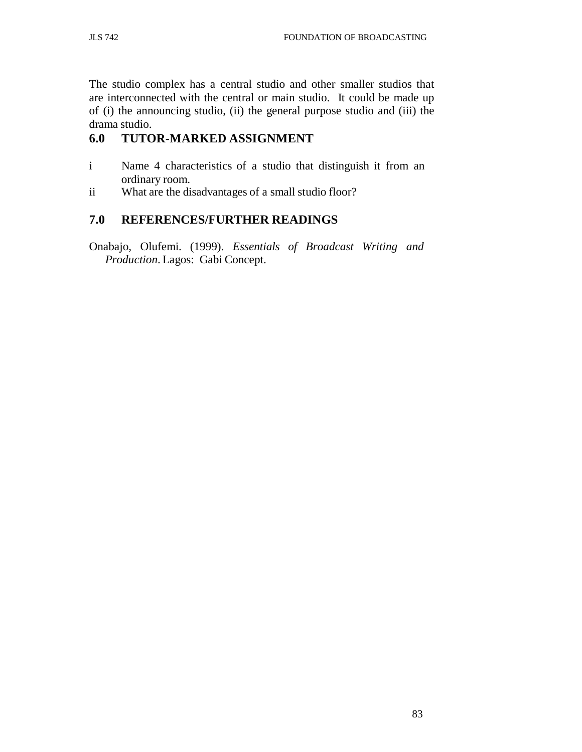The studio complex has a central studio and other smaller studios that are interconnected with the central or main studio. It could be made up of (i) the announcing studio, (ii) the general purpose studio and (iii) the drama studio.

# **6.0 TUTOR-MARKED ASSIGNMENT**

- i Name 4 characteristics of a studio that distinguish it from an ordinary room.
- ii What are the disadvantages of a small studio floor?

# **7.0 REFERENCES/FURTHER READINGS**

Onabajo, Olufemi. (1999). *Essentials of Broadcast Writing and Production*. Lagos: Gabi Concept.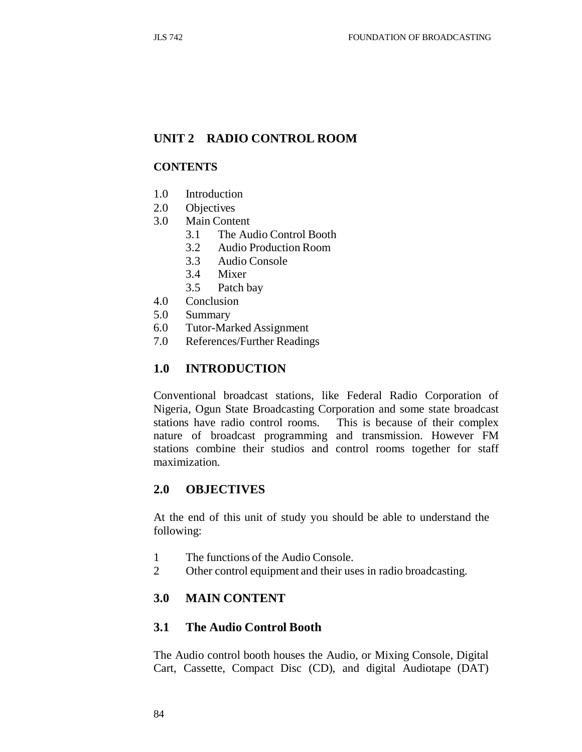## **UNIT 2 RADIO CONTROL ROOM**

#### **CONTENTS**

- 1.0 Introduction
- 2.0 Objectives
- 3.0 Main Content
	- 3.1 The Audio Control Booth
	- 3.2 Audio Production Room
	- 3.3 Audio Console
	- 3.4 Mixer
	- 3.5 Patch bay
- 4.0 Conclusion
- 5.0 Summary
- 6.0 Tutor-Marked Assignment
- 7.0 References/Further Readings

### **1.0 INTRODUCTION**

Conventional broadcast stations, like Federal Radio Corporation of Nigeria, Ogun State Broadcasting Corporation and some state broadcast stations have radio control rooms. This is because of their complex nature of broadcast programming and transmission. However FM stations combine their studios and control rooms together for staff maximization.

### **2.0 OBJECTIVES**

At the end of this unit of study you should be able to understand the following:

- 1 The functions of the Audio Console.
- 2 Other control equipment and their uses in radio broadcasting.

### **3.0 MAIN CONTENT**

## **3.1 The Audio Control Booth**

The Audio control booth houses the Audio, or Mixing Console, Digital Cart, Cassette, Compact Disc (CD), and digital Audiotape (DAT)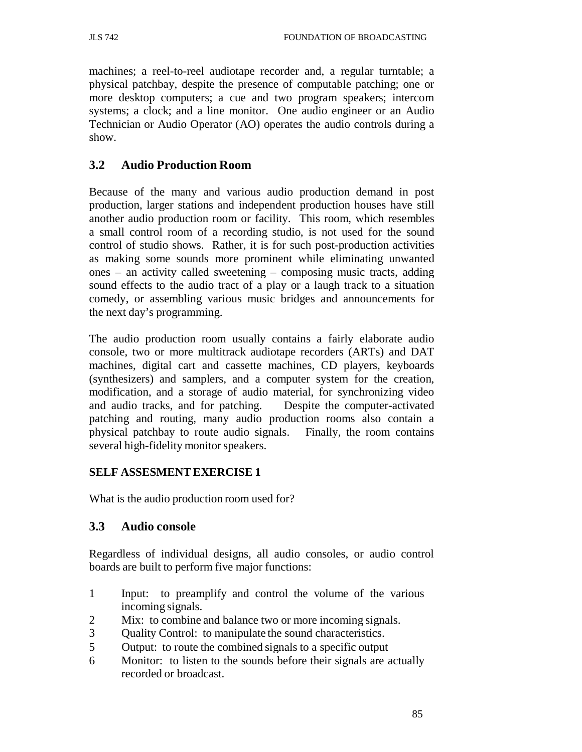machines; a reel-to-reel audiotape recorder and, a regular turntable; a physical patchbay, despite the presence of computable patching; one or more desktop computers; a cue and two program speakers; intercom systems; a clock; and a line monitor. One audio engineer or an Audio Technician or Audio Operator (AO) operates the audio controls during a show.

## **3.2 Audio Production Room**

Because of the many and various audio production demand in post production, larger stations and independent production houses have still another audio production room or facility. This room, which resembles a small control room of a recording studio, is not used for the sound control of studio shows. Rather, it is for such post-production activities as making some sounds more prominent while eliminating unwanted ones – an activity called sweetening – composing music tracts, adding sound effects to the audio tract of a play or a laugh track to a situation comedy, or assembling various music bridges and announcements for the next day's programming.

The audio production room usually contains a fairly elaborate audio console, two or more multitrack audiotape recorders (ARTs) and DAT machines, digital cart and cassette machines, CD players, keyboards (synthesizers) and samplers, and a computer system for the creation, modification, and a storage of audio material, for synchronizing video and audio tracks, and for patching. Despite the computer-activated patching and routing, many audio production rooms also contain a physical patchbay to route audio signals. Finally, the room contains several high-fidelity monitor speakers.

## **SELF ASSESMENT EXERCISE 1**

What is the audio production room used for?

## **3.3 Audio console**

Regardless of individual designs, all audio consoles, or audio control boards are built to perform five major functions:

- 1 Input: to preamplify and control the volume of the various incoming signals.
- 2 Mix: to combine and balance two or more incoming signals.
- 3 Quality Control: to manipulate the sound characteristics.
- 5 Output: to route the combined signals to a specific output
- 6 Monitor: to listen to the sounds before their signals are actually recorded or broadcast.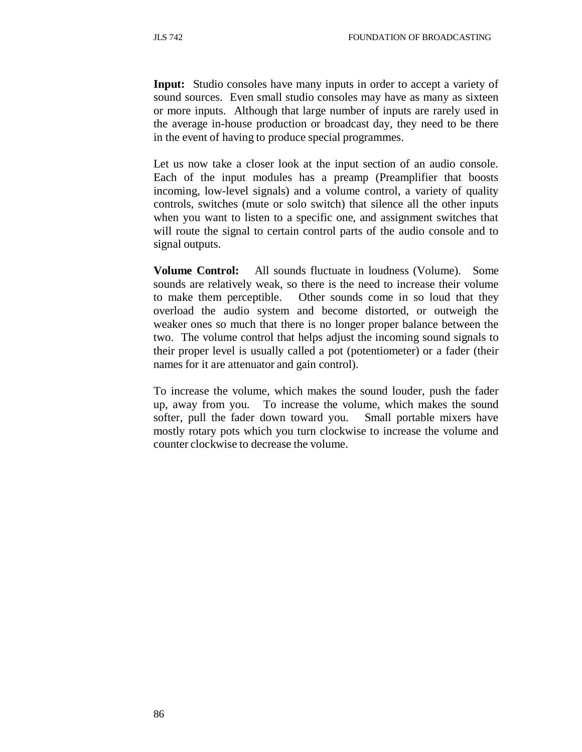**Input:** Studio consoles have many inputs in order to accept a variety of sound sources. Even small studio consoles may have as many as sixteen or more inputs. Although that large number of inputs are rarely used in the average in-house production or broadcast day, they need to be there in the event of having to produce special programmes.

Let us now take a closer look at the input section of an audio console. Each of the input modules has a preamp (Preamplifier that boosts incoming, low-level signals) and a volume control, a variety of quality controls, switches (mute or solo switch) that silence all the other inputs when you want to listen to a specific one, and assignment switches that will route the signal to certain control parts of the audio console and to signal outputs.

**Volume Control:** All sounds fluctuate in loudness (Volume). Some sounds are relatively weak, so there is the need to increase their volume to make them perceptible. Other sounds come in so loud that they overload the audio system and become distorted, or outweigh the weaker ones so much that there is no longer proper balance between the two. The volume control that helps adjust the incoming sound signals to their proper level is usually called a pot (potentiometer) or a fader (their names for it are attenuator and gain control).

To increase the volume, which makes the sound louder, push the fader up, away from you. To increase the volume, which makes the sound softer, pull the fader down toward you. Small portable mixers have mostly rotary pots which you turn clockwise to increase the volume and counter clockwise to decrease the volume.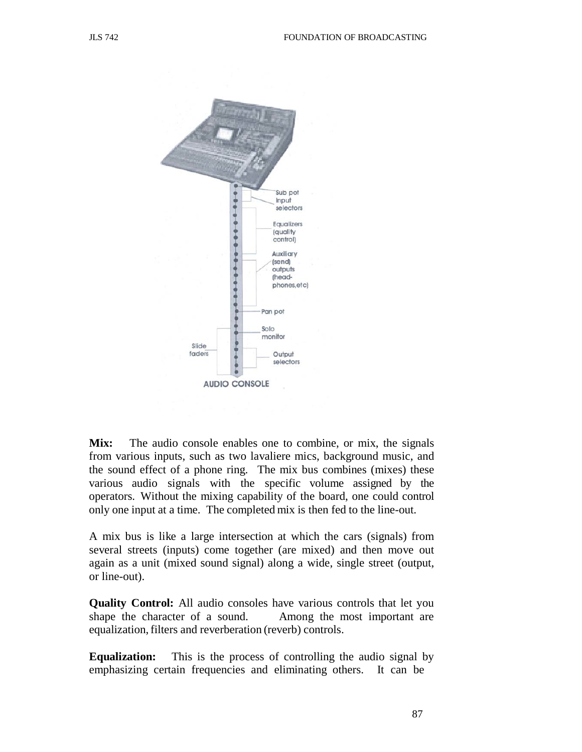

Mix: The audio console enables one to combine, or mix, the signals from various inputs, such as two lavaliere mics, background music, and the sound effect of a phone ring. The mix bus combines (mixes) these various audio signals with the specific volume assigned by the operators. Without the mixing capability of the board, one could control only one input at a time. The completed mix is then fed to the line-out.

A mix bus is like a large intersection at which the cars (signals) from several streets (inputs) come together (are mixed) and then move out again as a unit (mixed sound signal) along a wide, single street (output, or line-out).

**Quality Control:** All audio consoles have various controls that let you shape the character of a sound. Among the most important are equalization, filters and reverberation (reverb) controls.

**Equalization:** This is the process of controlling the audio signal by emphasizing certain frequencies and eliminating others. It can be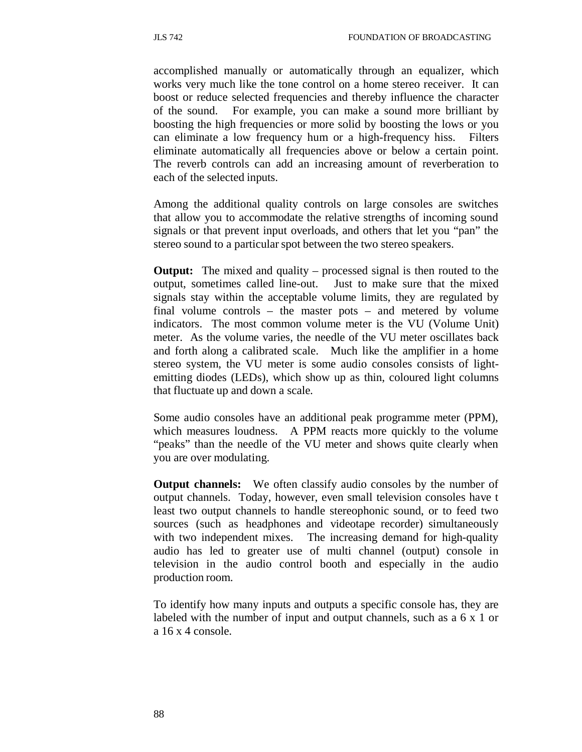accomplished manually or automatically through an equalizer, which works very much like the tone control on a home stereo receiver. It can boost or reduce selected frequencies and thereby influence the character of the sound. For example, you can make a sound more brilliant by boosting the high frequencies or more solid by boosting the lows or you can eliminate a low frequency hum or a high-frequency hiss. Filters eliminate automatically all frequencies above or below a certain point. The reverb controls can add an increasing amount of reverberation to each of the selected inputs.

Among the additional quality controls on large consoles are switches that allow you to accommodate the relative strengths of incoming sound signals or that prevent input overloads, and others that let you "pan" the stereo sound to a particular spot between the two stereo speakers.

**Output:** The mixed and quality – processed signal is then routed to the output, sometimes called line-out. Just to make sure that the mixed signals stay within the acceptable volume limits, they are regulated by final volume controls – the master pots – and metered by volume indicators. The most common volume meter is the VU (Volume Unit) meter. As the volume varies, the needle of the VU meter oscillates back and forth along a calibrated scale. Much like the amplifier in a home stereo system, the VU meter is some audio consoles consists of lightemitting diodes (LEDs), which show up as thin, coloured light columns that fluctuate up and down a scale.

Some audio consoles have an additional peak programme meter (PPM), which measures loudness. A PPM reacts more quickly to the volume "peaks" than the needle of the VU meter and shows quite clearly when you are over modulating.

**Output channels:** We often classify audio consoles by the number of output channels. Today, however, even small television consoles have t least two output channels to handle stereophonic sound, or to feed two sources (such as headphones and videotape recorder) simultaneously with two independent mixes. The increasing demand for high-quality audio has led to greater use of multi channel (output) console in television in the audio control booth and especially in the audio production room.

To identify how many inputs and outputs a specific console has, they are labeled with the number of input and output channels, such as a 6 x 1 or a 16 x 4 console.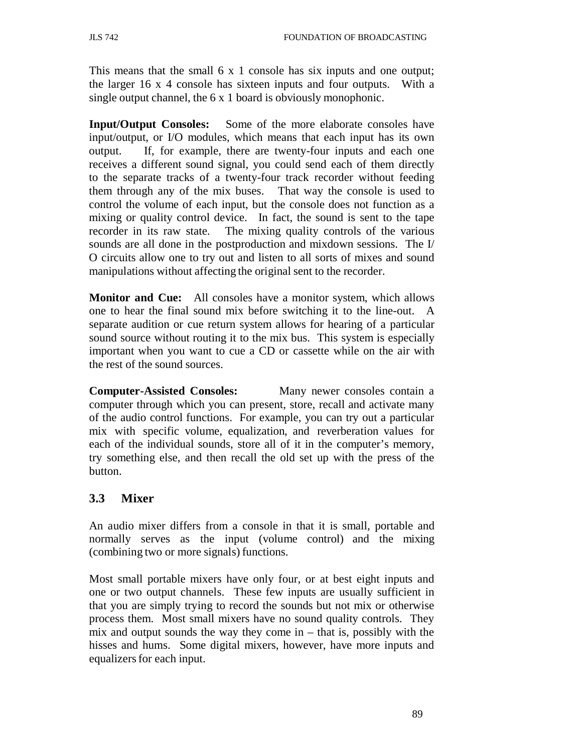This means that the small 6 x 1 console has six inputs and one output; the larger 16 x 4 console has sixteen inputs and four outputs. With a single output channel, the 6 x 1 board is obviously monophonic.

**Input/Output Consoles:** Some of the more elaborate consoles have input/output, or I/O modules, which means that each input has its own output. If, for example, there are twenty-four inputs and each one receives a different sound signal, you could send each of them directly to the separate tracks of a twenty-four track recorder without feeding them through any of the mix buses. That way the console is used to control the volume of each input, but the console does not function as a mixing or quality control device. In fact, the sound is sent to the tape recorder in its raw state. The mixing quality controls of the various sounds are all done in the postproduction and mixdown sessions. The I/ O circuits allow one to try out and listen to all sorts of mixes and sound manipulations without affecting the original sent to the recorder.

**Monitor and Cue:** All consoles have a monitor system, which allows one to hear the final sound mix before switching it to the line-out. A separate audition or cue return system allows for hearing of a particular sound source without routing it to the mix bus. This system is especially important when you want to cue a CD or cassette while on the air with the rest of the sound sources.

**Computer-Assisted Consoles:** Many newer consoles contain a computer through which you can present, store, recall and activate many of the audio control functions. For example, you can try out a particular mix with specific volume, equalization, and reverberation values for each of the individual sounds, store all of it in the computer's memory, try something else, and then recall the old set up with the press of the button.

# **3.3 Mixer**

An audio mixer differs from a console in that it is small, portable and normally serves as the input (volume control) and the mixing (combining two or more signals) functions.

Most small portable mixers have only four, or at best eight inputs and one or two output channels. These few inputs are usually sufficient in that you are simply trying to record the sounds but not mix or otherwise process them. Most small mixers have no sound quality controls. They mix and output sounds the way they come in  $-$  that is, possibly with the hisses and hums. Some digital mixers, however, have more inputs and equalizers for each input.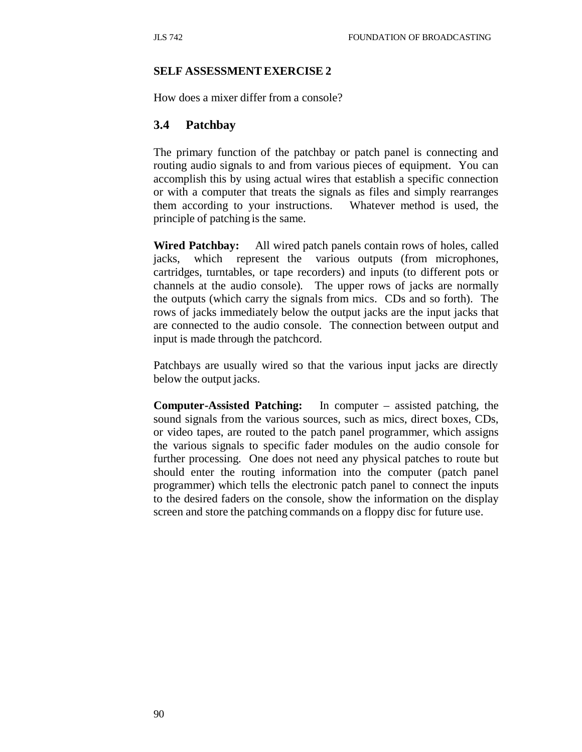#### **SELF ASSESSMENT EXERCISE 2**

How does a mixer differ from a console?

### **3.4 Patchbay**

The primary function of the patchbay or patch panel is connecting and routing audio signals to and from various pieces of equipment. You can accomplish this by using actual wires that establish a specific connection or with a computer that treats the signals as files and simply rearranges them according to your instructions. Whatever method is used, the principle of patching is the same.

**Wired Patchbay:** All wired patch panels contain rows of holes, called jacks, which represent the various outputs (from microphones, cartridges, turntables, or tape recorders) and inputs (to different pots or channels at the audio console). The upper rows of jacks are normally the outputs (which carry the signals from mics. CDs and so forth). The rows of jacks immediately below the output jacks are the input jacks that are connected to the audio console. The connection between output and input is made through the patchcord.

Patchbays are usually wired so that the various input jacks are directly below the output jacks.

**Computer-Assisted Patching:** In computer – assisted patching, the sound signals from the various sources, such as mics, direct boxes, CDs, or video tapes, are routed to the patch panel programmer, which assigns the various signals to specific fader modules on the audio console for further processing. One does not need any physical patches to route but should enter the routing information into the computer (patch panel programmer) which tells the electronic patch panel to connect the inputs to the desired faders on the console, show the information on the display screen and store the patching commands on a floppy disc for future use.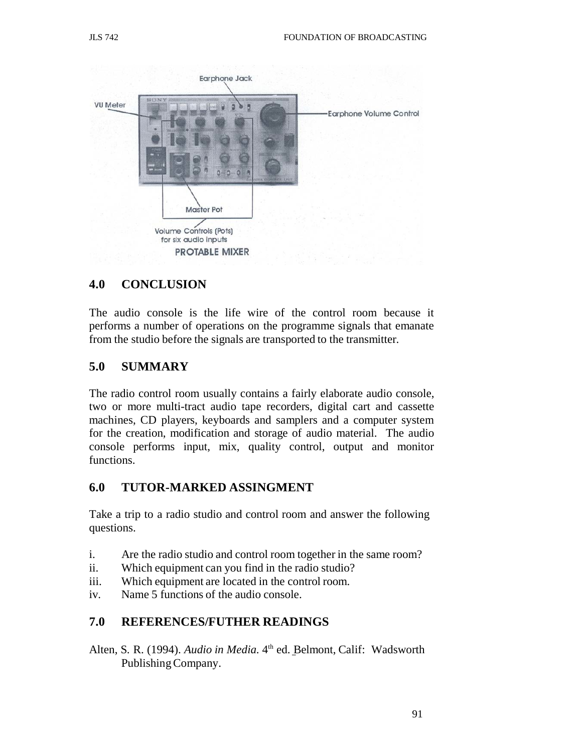

### **4.0 CONCLUSION**

The audio console is the life wire of the control room because it performs a number of operations on the programme signals that emanate from the studio before the signals are transported to the transmitter.

### **5.0 SUMMARY**

The radio control room usually contains a fairly elaborate audio console, two or more multi-tract audio tape recorders, digital cart and cassette machines, CD players, keyboards and samplers and a computer system for the creation, modification and storage of audio material. The audio console performs input, mix, quality control, output and monitor functions.

### **6.0 TUTOR-MARKED ASSINGMENT**

Take a trip to a radio studio and control room and answer the following questions.

- i. Are the radio studio and control room together in the same room?
- ii. Which equipment can you find in the radio studio?
- iii. Which equipment are located in the control room.
- iv. Name 5 functions of the audio console.

## **7.0 REFERENCES/FUTHER READINGS**

Alten, S. R. (1994). *Audio in Media*. 4<sup>th</sup> ed. Belmont, Calif: Wadsworth Publishing Company.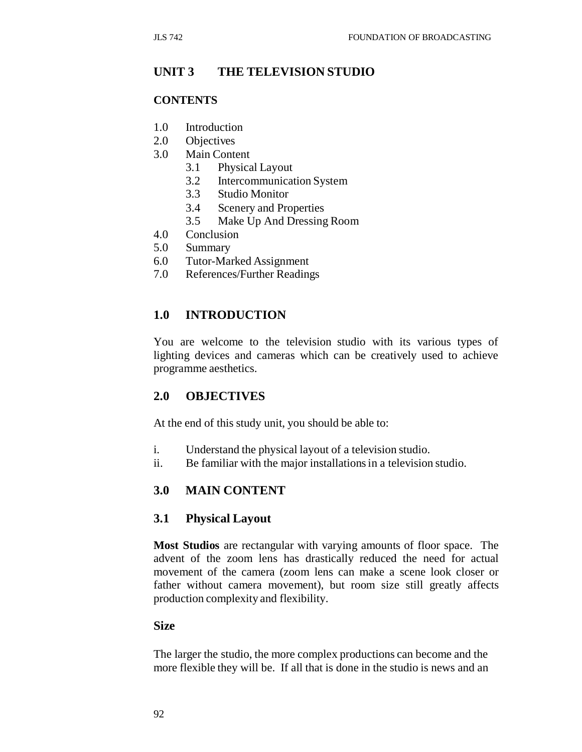## **UNIT 3 THE TELEVISION STUDIO**

#### **CONTENTS**

- 1.0 Introduction
- 2.0 Objectives
- 3.0 Main Content
	- 3.1 Physical Layout
	- 3.2 Intercommunication System
	- 3.3 Studio Monitor
	- 3.4 Scenery and Properties
	- 3.5 Make Up And Dressing Room
- 4.0 Conclusion
- 5.0 Summary
- 6.0 Tutor-Marked Assignment
- 7.0 References/Further Readings

## **1.0 INTRODUCTION**

You are welcome to the television studio with its various types of lighting devices and cameras which can be creatively used to achieve programme aesthetics.

### **2.0 OBJECTIVES**

At the end of this study unit, you should be able to:

- i. Understand the physical layout of a television studio.
- ii. Be familiar with the major installations in a television studio.

### **3.0 MAIN CONTENT**

### **3.1 Physical Layout**

**Most Studios** are rectangular with varying amounts of floor space. The advent of the zoom lens has drastically reduced the need for actual movement of the camera (zoom lens can make a scene look closer or father without camera movement), but room size still greatly affects production complexity and flexibility.

### **Size**

The larger the studio, the more complex productions can become and the more flexible they will be. If all that is done in the studio is news and an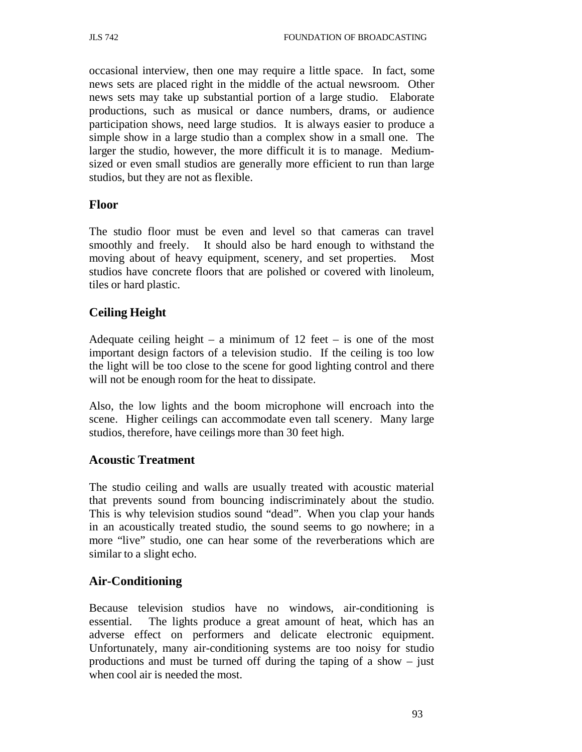occasional interview, then one may require a little space. In fact, some news sets are placed right in the middle of the actual newsroom. Other news sets may take up substantial portion of a large studio. Elaborate productions, such as musical or dance numbers, drams, or audience participation shows, need large studios. It is always easier to produce a simple show in a large studio than a complex show in a small one. The larger the studio, however, the more difficult it is to manage. Mediumsized or even small studios are generally more efficient to run than large studios, but they are not as flexible.

## **Floor**

The studio floor must be even and level so that cameras can travel smoothly and freely. It should also be hard enough to withstand the moving about of heavy equipment, scenery, and set properties. Most studios have concrete floors that are polished or covered with linoleum, tiles or hard plastic.

## **Ceiling Height**

Adequate ceiling height – a minimum of  $12$  feet – is one of the most important design factors of a television studio. If the ceiling is too low the light will be too close to the scene for good lighting control and there will not be enough room for the heat to dissipate.

Also, the low lights and the boom microphone will encroach into the scene. Higher ceilings can accommodate even tall scenery. Many large studios, therefore, have ceilings more than 30 feet high.

## **Acoustic Treatment**

The studio ceiling and walls are usually treated with acoustic material that prevents sound from bouncing indiscriminately about the studio. This is why television studios sound "dead". When you clap your hands in an acoustically treated studio, the sound seems to go nowhere; in a more "live" studio, one can hear some of the reverberations which are similar to a slight echo.

## **Air-Conditioning**

Because television studios have no windows, air-conditioning is essential. The lights produce a great amount of heat, which has an adverse effect on performers and delicate electronic equipment. Unfortunately, many air-conditioning systems are too noisy for studio productions and must be turned off during the taping of a show – just when cool air is needed the most.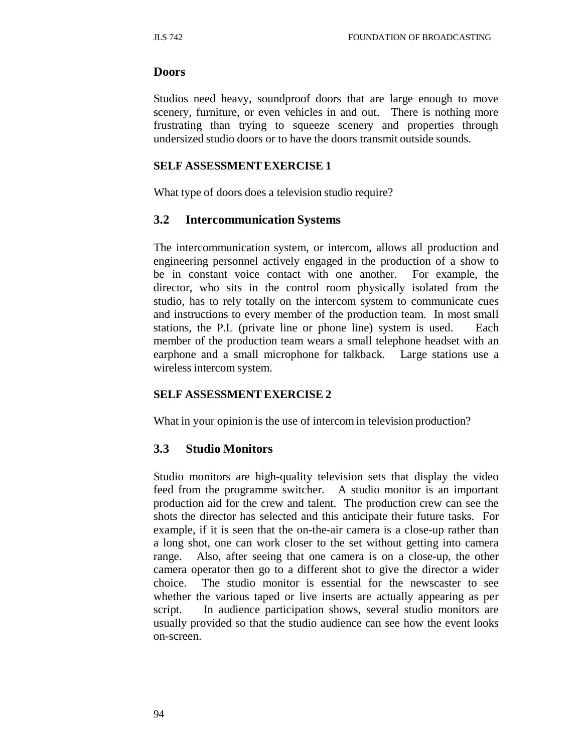#### **Doors**

Studios need heavy, soundproof doors that are large enough to move scenery, furniture, or even vehicles in and out. There is nothing more frustrating than trying to squeeze scenery and properties through undersized studio doors or to have the doors transmit outside sounds.

#### **SELF ASSESSMENT EXERCISE 1**

What type of doors does a television studio require?

### **3.2 Intercommunication Systems**

The intercommunication system, or intercom, allows all production and engineering personnel actively engaged in the production of a show to be in constant voice contact with one another. For example, the director, who sits in the control room physically isolated from the studio, has to rely totally on the intercom system to communicate cues and instructions to every member of the production team. In most small stations, the P.L (private line or phone line) system is used. Each member of the production team wears a small telephone headset with an earphone and a small microphone for talkback. Large stations use a wireless intercom system.

### **SELF ASSESSMENT EXERCISE 2**

What in your opinion is the use of intercom in television production?

### **3.3 Studio Monitors**

Studio monitors are high-quality television sets that display the video feed from the programme switcher. A studio monitor is an important production aid for the crew and talent. The production crew can see the shots the director has selected and this anticipate their future tasks. For example, if it is seen that the on-the-air camera is a close-up rather than a long shot, one can work closer to the set without getting into camera range. Also, after seeing that one camera is on a close-up, the other camera operator then go to a different shot to give the director a wider choice. The studio monitor is essential for the newscaster to see whether the various taped or live inserts are actually appearing as per script. In audience participation shows, several studio monitors are usually provided so that the studio audience can see how the event looks on-screen.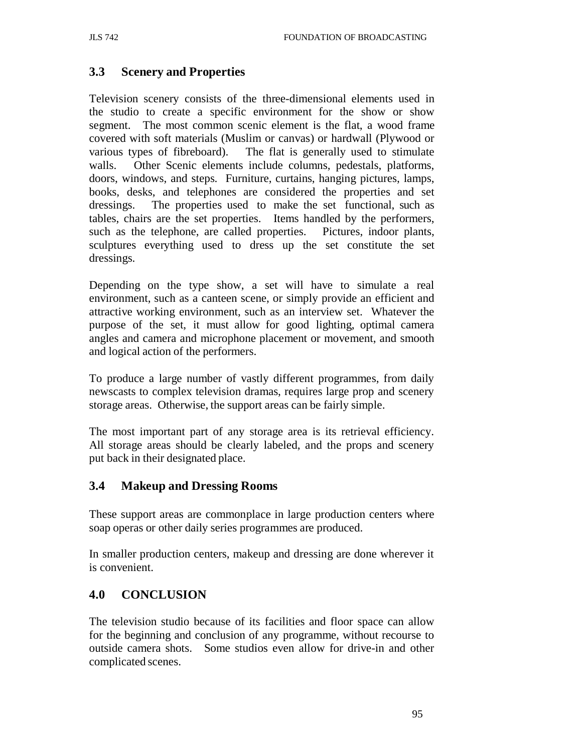# **3.3 Scenery and Properties**

Television scenery consists of the three-dimensional elements used in the studio to create a specific environment for the show or show segment. The most common scenic element is the flat, a wood frame covered with soft materials (Muslim or canvas) or hardwall (Plywood or various types of fibreboard). The flat is generally used to stimulate walls. Other Scenic elements include columns, pedestals, platforms, doors, windows, and steps. Furniture, curtains, hanging pictures, lamps, books, desks, and telephones are considered the properties and set dressings. The properties used to make the set functional, such as tables, chairs are the set properties. Items handled by the performers, such as the telephone, are called properties. Pictures, indoor plants, sculptures everything used to dress up the set constitute the set dressings.

Depending on the type show, a set will have to simulate a real environment, such as a canteen scene, or simply provide an efficient and attractive working environment, such as an interview set. Whatever the purpose of the set, it must allow for good lighting, optimal camera angles and camera and microphone placement or movement, and smooth and logical action of the performers.

To produce a large number of vastly different programmes, from daily newscasts to complex television dramas, requires large prop and scenery storage areas. Otherwise, the support areas can be fairly simple.

The most important part of any storage area is its retrieval efficiency. All storage areas should be clearly labeled, and the props and scenery put back in their designated place.

## **3.4 Makeup and Dressing Rooms**

These support areas are commonplace in large production centers where soap operas or other daily series programmes are produced.

In smaller production centers, makeup and dressing are done wherever it is convenient.

## **4.0 CONCLUSION**

The television studio because of its facilities and floor space can allow for the beginning and conclusion of any programme, without recourse to outside camera shots. Some studios even allow for drive-in and other complicated scenes.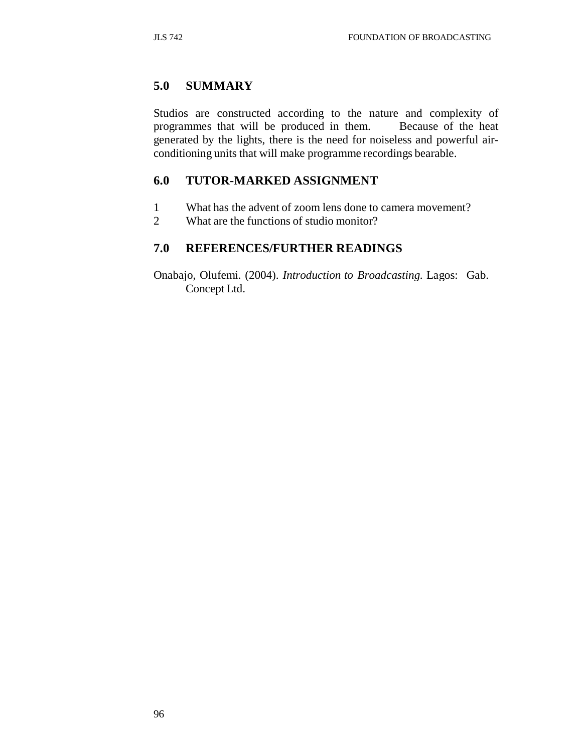# **5.0 SUMMARY**

Studios are constructed according to the nature and complexity of programmes that will be produced in them. Because of the heat generated by the lights, there is the need for noiseless and powerful airconditioning units that will make programme recordings bearable.

# **6.0 TUTOR-MARKED ASSIGNMENT**

- 1 What has the advent of zoom lens done to camera movement?
- 2 What are the functions of studio monitor?

## **7.0 REFERENCES/FURTHER READINGS**

Onabajo, Olufemi. (2004). *Introduction to Broadcasting.* Lagos: Gab. Concept Ltd.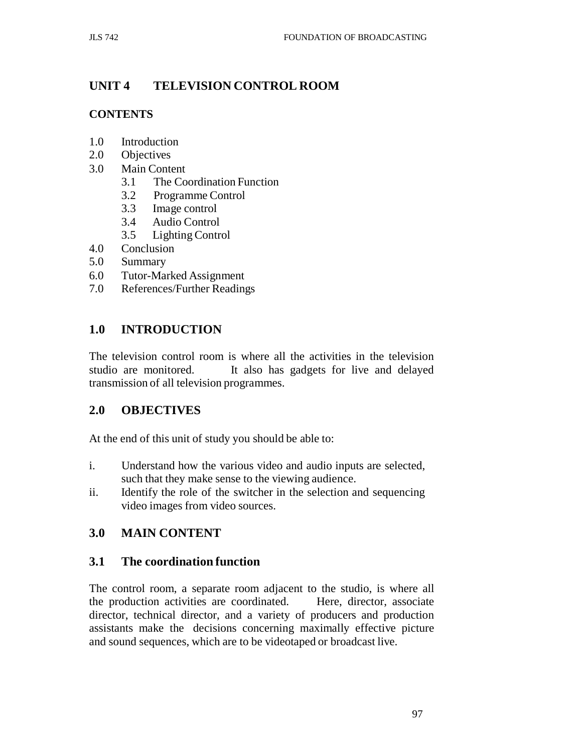# **UNIT 4 TELEVISION CONTROL ROOM**

## **CONTENTS**

- 1.0 Introduction
- 2.0 Objectives
- 3.0 Main Content
	- 3.1 The Coordination Function
	- 3.2 Programme Control
	- 3.3 Image control
	- 3.4 Audio Control
	- 3.5 Lighting Control
- 4.0 Conclusion
- 5.0 Summary
- 6.0 Tutor-Marked Assignment
- 7.0 References/Further Readings

# **1.0 INTRODUCTION**

The television control room is where all the activities in the television studio are monitored. It also has gadgets for live and delayed transmission of all television programmes.

## **2.0 OBJECTIVES**

At the end of this unit of study you should be able to:

- i. Understand how the various video and audio inputs are selected, such that they make sense to the viewing audience.
- ii. Identify the role of the switcher in the selection and sequencing video images from video sources.

# **3.0 MAIN CONTENT**

## **3.1 The coordination function**

The control room, a separate room adjacent to the studio, is where all the production activities are coordinated. Here, director, associate director, technical director, and a variety of producers and production assistants make the decisions concerning maximally effective picture and sound sequences, which are to be videotaped or broadcast live.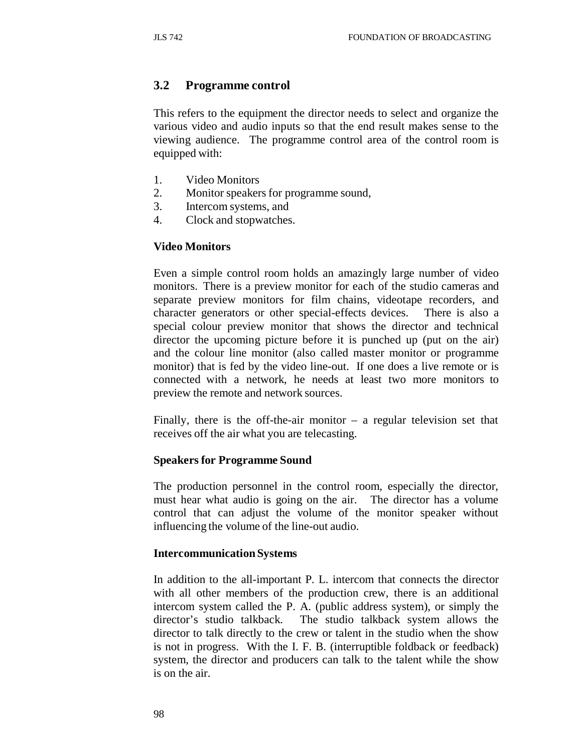### **3.2 Programme control**

This refers to the equipment the director needs to select and organize the various video and audio inputs so that the end result makes sense to the viewing audience. The programme control area of the control room is equipped with:

- 1. Video Monitors
- 2. Monitor speakers for programme sound,
- 3. Intercom systems, and
- 4. Clock and stopwatches.

#### **Video Monitors**

Even a simple control room holds an amazingly large number of video monitors. There is a preview monitor for each of the studio cameras and separate preview monitors for film chains, videotape recorders, and character generators or other special-effects devices. There is also a special colour preview monitor that shows the director and technical director the upcoming picture before it is punched up (put on the air) and the colour line monitor (also called master monitor or programme monitor) that is fed by the video line-out. If one does a live remote or is connected with a network, he needs at least two more monitors to preview the remote and network sources.

Finally, there is the off-the-air monitor  $-$  a regular television set that receives off the air what you are telecasting.

#### **Speakers for Programme Sound**

The production personnel in the control room, especially the director, must hear what audio is going on the air. The director has a volume control that can adjust the volume of the monitor speaker without influencing the volume of the line-out audio.

#### **Intercommunication Systems**

In addition to the all-important P. L. intercom that connects the director with all other members of the production crew, there is an additional intercom system called the P. A. (public address system), or simply the director's studio talkback. The studio talkback system allows the director to talk directly to the crew or talent in the studio when the show is not in progress. With the I. F. B. (interruptible foldback or feedback) system, the director and producers can talk to the talent while the show is on the air.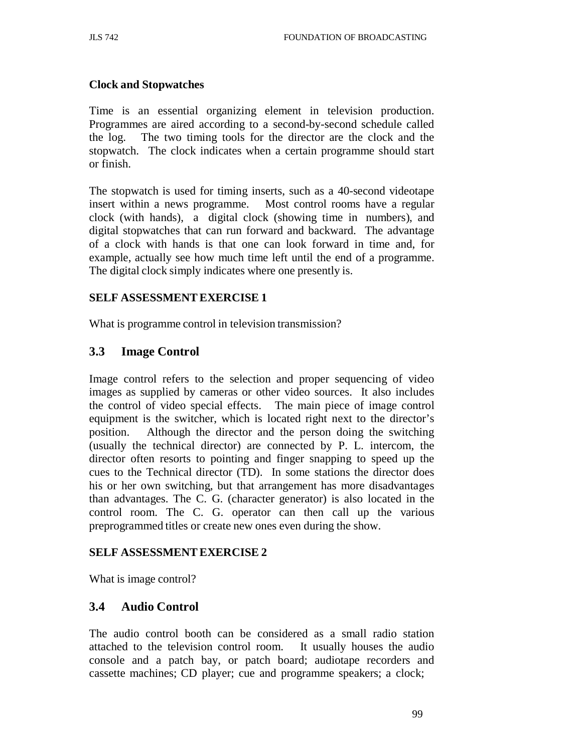### **Clock and Stopwatches**

Time is an essential organizing element in television production. Programmes are aired according to a second-by-second schedule called the log. The two timing tools for the director are the clock and the stopwatch. The clock indicates when a certain programme should start or finish.

The stopwatch is used for timing inserts, such as a 40-second videotape insert within a news programme. Most control rooms have a regular clock (with hands), a digital clock (showing time in numbers), and digital stopwatches that can run forward and backward. The advantage of a clock with hands is that one can look forward in time and, for example, actually see how much time left until the end of a programme. The digital clock simply indicates where one presently is.

### **SELF ASSESSMENT EXERCISE 1**

What is programme control in television transmission?

## **3.3 Image Control**

Image control refers to the selection and proper sequencing of video images as supplied by cameras or other video sources. It also includes the control of video special effects. The main piece of image control equipment is the switcher, which is located right next to the director's position. Although the director and the person doing the switching (usually the technical director) are connected by P. L. intercom, the director often resorts to pointing and finger snapping to speed up the cues to the Technical director (TD). In some stations the director does his or her own switching, but that arrangement has more disadvantages than advantages. The C. G. (character generator) is also located in the control room. The C. G. operator can then call up the various preprogrammed titles or create new ones even during the show.

### **SELF ASSESSMENT EXERCISE 2**

What is image control?

### **3.4 Audio Control**

The audio control booth can be considered as a small radio station attached to the television control room. It usually houses the audio console and a patch bay, or patch board; audiotape recorders and cassette machines; CD player; cue and programme speakers; a clock;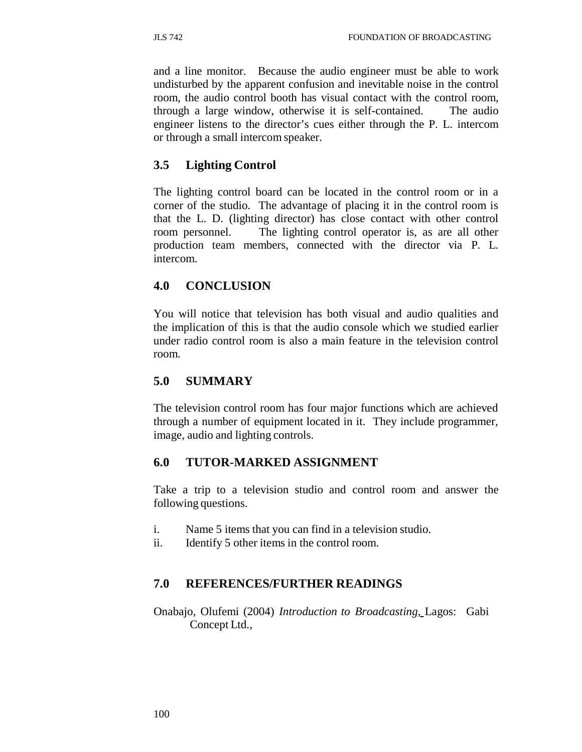and a line monitor. Because the audio engineer must be able to work undisturbed by the apparent confusion and inevitable noise in the control room, the audio control booth has visual contact with the control room, through a large window, otherwise it is self-contained. The audio engineer listens to the director's cues either through the P. L. intercom or through a small intercom speaker.

## **3.5 Lighting Control**

The lighting control board can be located in the control room or in a corner of the studio. The advantage of placing it in the control room is that the L. D. (lighting director) has close contact with other control room personnel. The lighting control operator is, as are all other production team members, connected with the director via P. L. intercom.

# **4.0 CONCLUSION**

You will notice that television has both visual and audio qualities and the implication of this is that the audio console which we studied earlier under radio control room is also a main feature in the television control room.

# **5.0 SUMMARY**

The television control room has four major functions which are achieved through a number of equipment located in it. They include programmer, image, audio and lighting controls.

## **6.0 TUTOR-MARKED ASSIGNMENT**

Take a trip to a television studio and control room and answer the following questions.

- i. Name 5 items that you can find in a television studio.
- ii. Identify 5 other items in the control room.

## **7.0 REFERENCES/FURTHER READINGS**

Onabajo, Olufemi (2004) *Introduction to Broadcasting*, Lagos: Gabi Concept Ltd.,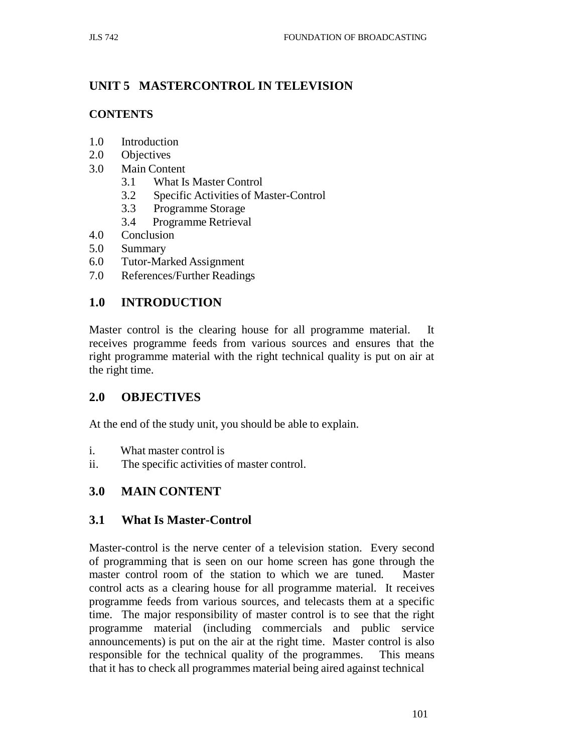# **UNIT 5 MASTERCONTROL IN TELEVISION**

### **CONTENTS**

- 1.0 Introduction
- 2.0 Objectives
- 3.0 Main Content
	- 3.1 What Is Master Control
	- 3.2 Specific Activities of Master-Control
	- 3.3 Programme Storage
	- 3.4 Programme Retrieval
- 4.0 Conclusion
- 5.0 Summary
- 6.0 Tutor-Marked Assignment
- 7.0 References/Further Readings

# **1.0 INTRODUCTION**

Master control is the clearing house for all programme material. It receives programme feeds from various sources and ensures that the right programme material with the right technical quality is put on air at the right time.

## **2.0 OBJECTIVES**

At the end of the study unit, you should be able to explain.

- i. What master control is
- ii. The specific activities of master control.

## **3.0 MAIN CONTENT**

## **3.1 What Is Master-Control**

Master-control is the nerve center of a television station. Every second of programming that is seen on our home screen has gone through the master control room of the station to which we are tuned. Master control acts as a clearing house for all programme material. It receives programme feeds from various sources, and telecasts them at a specific time. The major responsibility of master control is to see that the right programme material (including commercials and public service announcements) is put on the air at the right time. Master control is also responsible for the technical quality of the programmes. This means that it has to check all programmes material being aired against technical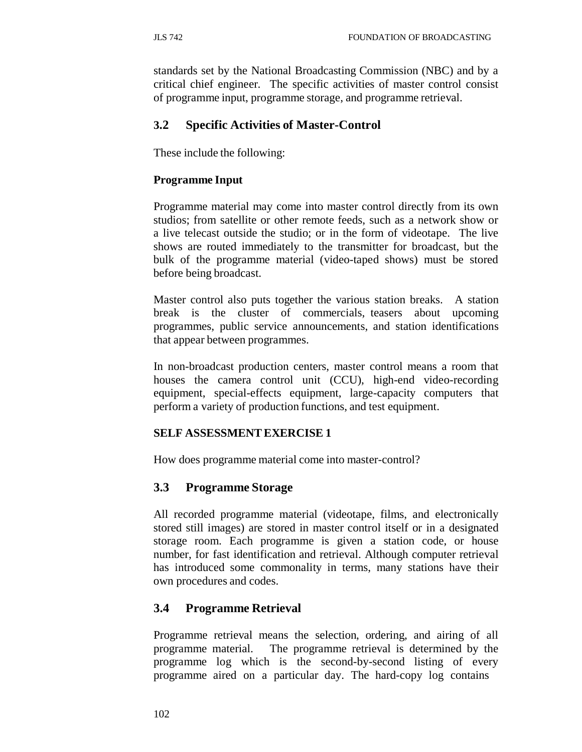standards set by the National Broadcasting Commission (NBC) and by a critical chief engineer. The specific activities of master control consist of programme input, programme storage, and programme retrieval.

## **3.2 Specific Activities of Master-Control**

These include the following:

## **Programme Input**

Programme material may come into master control directly from its own studios; from satellite or other remote feeds, such as a network show or a live telecast outside the studio; or in the form of videotape. The live shows are routed immediately to the transmitter for broadcast, but the bulk of the programme material (video-taped shows) must be stored before being broadcast.

Master control also puts together the various station breaks. A station break is the cluster of commercials, teasers about upcoming programmes, public service announcements, and station identifications that appear between programmes.

In non-broadcast production centers, master control means a room that houses the camera control unit (CCU), high-end video-recording equipment, special-effects equipment, large-capacity computers that perform a variety of production functions, and test equipment.

## **SELF ASSESSMENT EXERCISE 1**

How does programme material come into master-control?

## **3.3 Programme Storage**

All recorded programme material (videotape, films, and electronically stored still images) are stored in master control itself or in a designated storage room. Each programme is given a station code, or house number, for fast identification and retrieval. Although computer retrieval has introduced some commonality in terms, many stations have their own procedures and codes.

## **3.4 Programme Retrieval**

Programme retrieval means the selection, ordering, and airing of all programme material. The programme retrieval is determined by the programme log which is the second-by-second listing of every programme aired on a particular day. The hard-copy log contains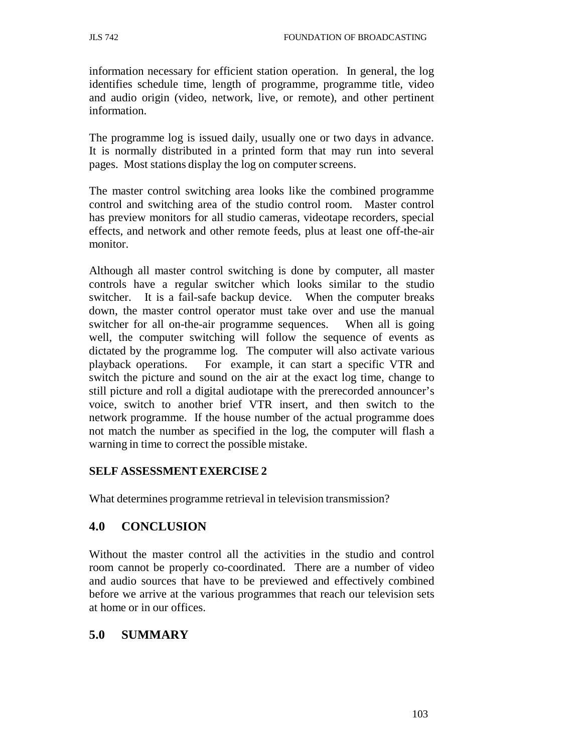information necessary for efficient station operation. In general, the log identifies schedule time, length of programme, programme title, video and audio origin (video, network, live, or remote), and other pertinent information.

The programme log is issued daily, usually one or two days in advance. It is normally distributed in a printed form that may run into several pages. Most stations display the log on computer screens.

The master control switching area looks like the combined programme control and switching area of the studio control room. Master control has preview monitors for all studio cameras, videotape recorders, special effects, and network and other remote feeds, plus at least one off-the-air monitor.

Although all master control switching is done by computer, all master controls have a regular switcher which looks similar to the studio switcher. It is a fail-safe backup device. When the computer breaks down, the master control operator must take over and use the manual switcher for all on-the-air programme sequences. When all is going well, the computer switching will follow the sequence of events as dictated by the programme log. The computer will also activate various playback operations. For example, it can start a specific VTR and switch the picture and sound on the air at the exact log time, change to still picture and roll a digital audiotape with the prerecorded announcer's voice, switch to another brief VTR insert, and then switch to the network programme. If the house number of the actual programme does not match the number as specified in the log, the computer will flash a warning in time to correct the possible mistake.

### **SELF ASSESSMENT EXERCISE 2**

What determines programme retrieval in television transmission?

## **4.0 CONCLUSION**

Without the master control all the activities in the studio and control room cannot be properly co-coordinated. There are a number of video and audio sources that have to be previewed and effectively combined before we arrive at the various programmes that reach our television sets at home or in our offices.

### **5.0 SUMMARY**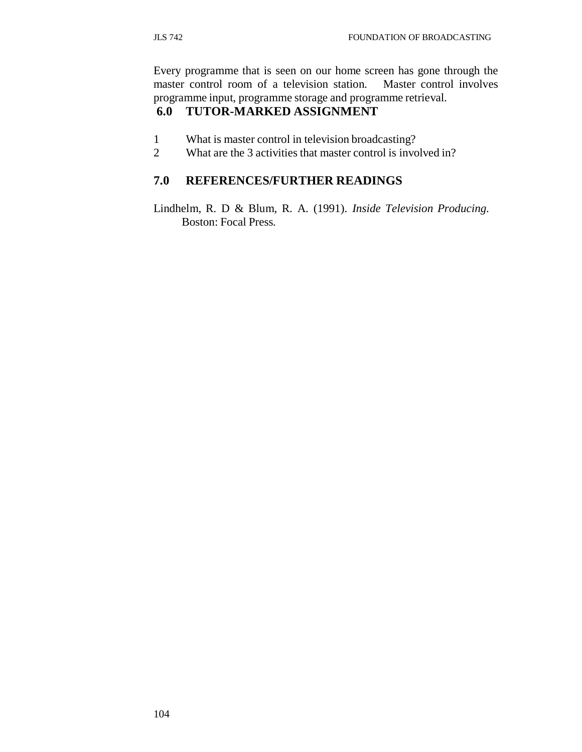Every programme that is seen on our home screen has gone through the master control room of a television station. Master control involves programme input, programme storage and programme retrieval.

# **6.0 TUTOR-MARKED ASSIGNMENT**

- 1 What is master control in television broadcasting?
- 2 What are the 3 activities that master control is involved in?

# **7.0 REFERENCES/FURTHER READINGS**

Lindhelm, R. D & Blum, R. A. (1991). *Inside Television Producing.* Boston: Focal Press*.*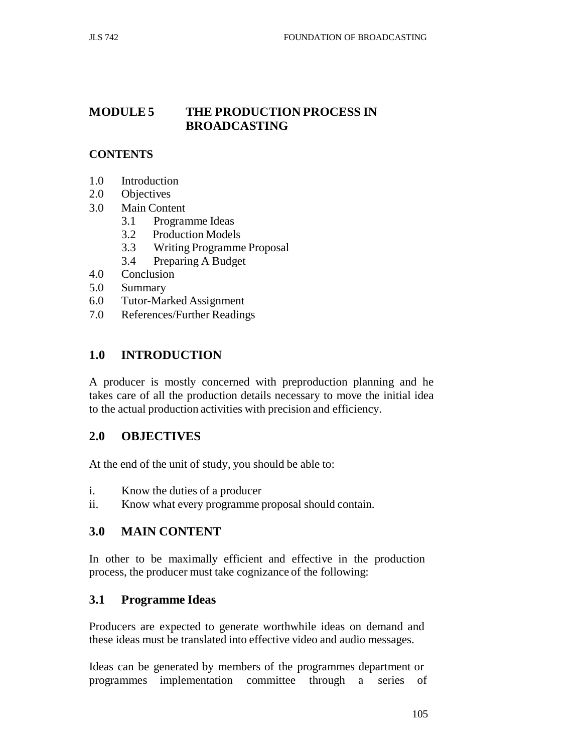# **MODULE 5 THE PRODUCTION PROCESS IN BROADCASTING**

### **CONTENTS**

- 1.0 Introduction
- 2.0 Objectives
- 3.0 Main Content
	- 3.1 Programme Ideas
	- 3.2 Production Models
	- 3.3 Writing Programme Proposal
	- 3.4 Preparing A Budget
- 4.0 Conclusion
- 5.0 Summary
- 6.0 Tutor-Marked Assignment
- 7.0 References/Further Readings

## **1.0 INTRODUCTION**

A producer is mostly concerned with preproduction planning and he takes care of all the production details necessary to move the initial idea to the actual production activities with precision and efficiency.

### **2.0 OBJECTIVES**

At the end of the unit of study, you should be able to:

- i. Know the duties of a producer
- ii. Know what every programme proposal should contain.

### **3.0 MAIN CONTENT**

In other to be maximally efficient and effective in the production process, the producer must take cognizance of the following:

### **3.1 Programme Ideas**

Producers are expected to generate worthwhile ideas on demand and these ideas must be translated into effective video and audio messages.

Ideas can be generated by members of the programmes department or programmes implementation committee through a series of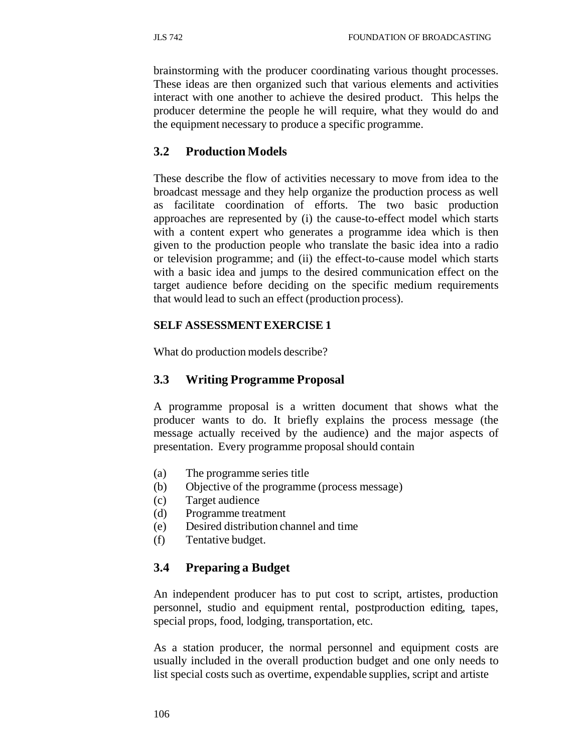brainstorming with the producer coordinating various thought processes. These ideas are then organized such that various elements and activities interact with one another to achieve the desired product. This helps the producer determine the people he will require, what they would do and the equipment necessary to produce a specific programme.

## **3.2 Production Models**

These describe the flow of activities necessary to move from idea to the broadcast message and they help organize the production process as well as facilitate coordination of efforts. The two basic production approaches are represented by (i) the cause-to-effect model which starts with a content expert who generates a programme idea which is then given to the production people who translate the basic idea into a radio or television programme; and (ii) the effect-to-cause model which starts with a basic idea and jumps to the desired communication effect on the target audience before deciding on the specific medium requirements that would lead to such an effect (production process).

## **SELF ASSESSMENT EXERCISE 1**

What do production models describe?

# **3.3 Writing Programme Proposal**

A programme proposal is a written document that shows what the producer wants to do. It briefly explains the process message (the message actually received by the audience) and the major aspects of presentation. Every programme proposal should contain

- (a) The programme series title
- (b) Objective of the programme (process message)
- (c) Target audience
- (d) Programme treatment
- (e) Desired distribution channel and time
- (f) Tentative budget.

# **3.4 Preparing a Budget**

An independent producer has to put cost to script, artistes, production personnel, studio and equipment rental, postproduction editing, tapes, special props, food, lodging, transportation, etc.

As a station producer, the normal personnel and equipment costs are usually included in the overall production budget and one only needs to list special costs such as overtime, expendable supplies, script and artiste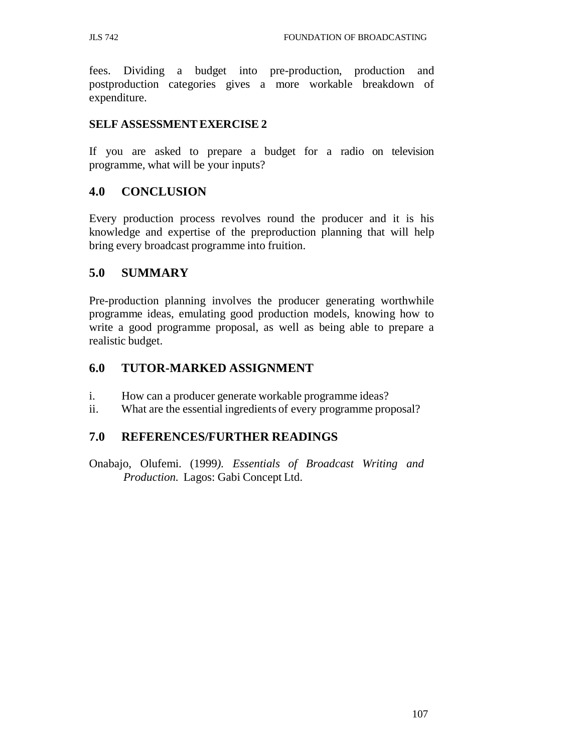fees. Dividing a budget into pre-production, production and postproduction categories gives a more workable breakdown of expenditure.

### **SELF ASSESSMENT EXERCISE 2**

If you are asked to prepare a budget for a radio on television programme, what will be your inputs?

### **4.0 CONCLUSION**

Every production process revolves round the producer and it is his knowledge and expertise of the preproduction planning that will help bring every broadcast programme into fruition.

### **5.0 SUMMARY**

Pre-production planning involves the producer generating worthwhile programme ideas, emulating good production models, knowing how to write a good programme proposal, as well as being able to prepare a realistic budget.

### **6.0 TUTOR-MARKED ASSIGNMENT**

- i. How can a producer generate workable programme ideas?
- ii. What are the essential ingredients of every programme proposal?

### **7.0 REFERENCES/FURTHER READINGS**

Onabajo, Olufemi. (1999*). Essentials of Broadcast Writing and Production.* Lagos: Gabi Concept Ltd.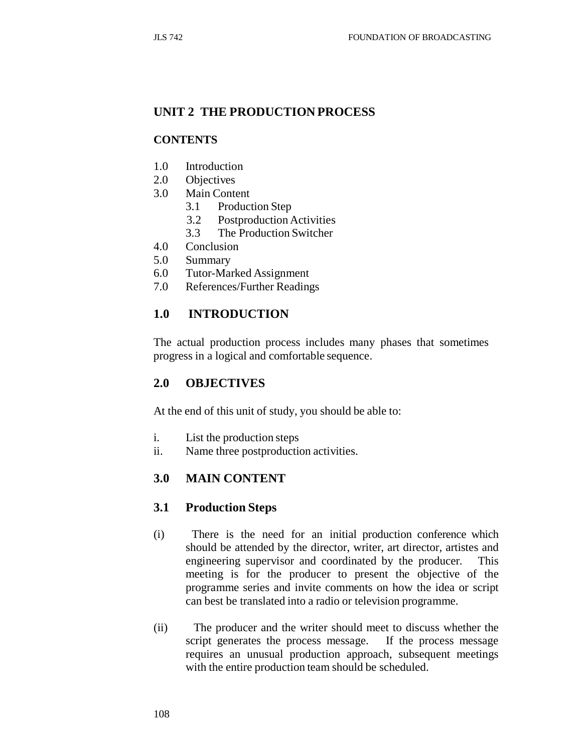## **UNIT 2 THE PRODUCTION PROCESS**

### **CONTENTS**

- 1.0 Introduction
- 2.0 Objectives
- 3.0 Main Content
	- 3.1 Production Step
	- 3.2 Postproduction Activities
	- 3.3 The Production Switcher
- 4.0 Conclusion
- 5.0 Summary
- 6.0 Tutor-Marked Assignment
- 7.0 References/Further Readings

### **1.0 INTRODUCTION**

The actual production process includes many phases that sometimes progress in a logical and comfortable sequence.

### **2.0 OBJECTIVES**

At the end of this unit of study, you should be able to:

- i. List the production steps
- ii. Name three postproduction activities.

### **3.0 MAIN CONTENT**

### **3.1 Production Steps**

- (i) There is the need for an initial production conference which should be attended by the director, writer, art director, artistes and engineering supervisor and coordinated by the producer. This meeting is for the producer to present the objective of the programme series and invite comments on how the idea or script can best be translated into a radio or television programme.
- (ii) The producer and the writer should meet to discuss whether the script generates the process message. If the process message requires an unusual production approach, subsequent meetings with the entire production team should be scheduled.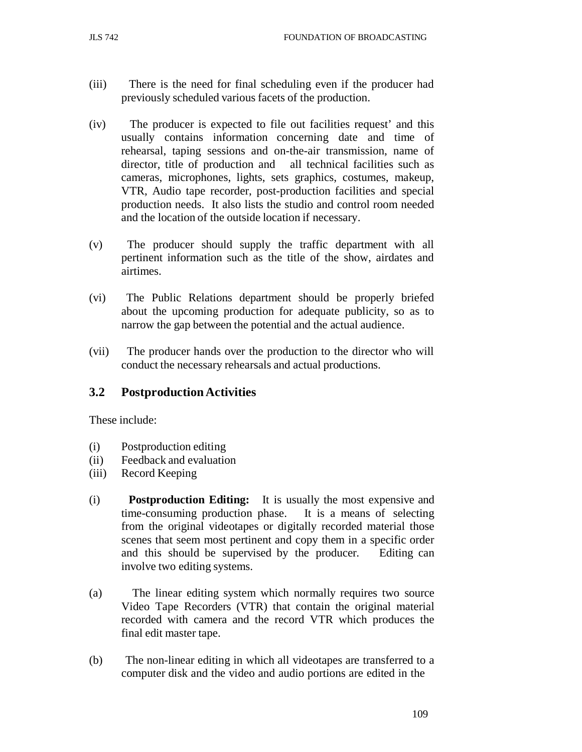- (iii) There is the need for final scheduling even if the producer had previously scheduled various facets of the production.
- (iv) The producer is expected to file out facilities request' and this usually contains information concerning date and time of rehearsal, taping sessions and on-the-air transmission, name of director, title of production and all technical facilities such as cameras, microphones, lights, sets graphics, costumes, makeup, VTR, Audio tape recorder, post-production facilities and special production needs. It also lists the studio and control room needed and the location of the outside location if necessary.
- (v) The producer should supply the traffic department with all pertinent information such as the title of the show, airdates and airtimes.
- (vi) The Public Relations department should be properly briefed about the upcoming production for adequate publicity, so as to narrow the gap between the potential and the actual audience.
- (vii) The producer hands over the production to the director who will conduct the necessary rehearsals and actual productions.

### **3.2 Postproduction Activities**

These include:

- (i) Postproduction editing
- (ii) Feedback and evaluation
- (iii) Record Keeping
- (i) **Postproduction Editing:** It is usually the most expensive and time-consuming production phase. It is a means of selecting from the original videotapes or digitally recorded material those scenes that seem most pertinent and copy them in a specific order and this should be supervised by the producer. Editing can involve two editing systems.
- (a) The linear editing system which normally requires two source Video Tape Recorders (VTR) that contain the original material recorded with camera and the record VTR which produces the final edit master tape.
- (b) The non-linear editing in which all videotapes are transferred to a computer disk and the video and audio portions are edited in the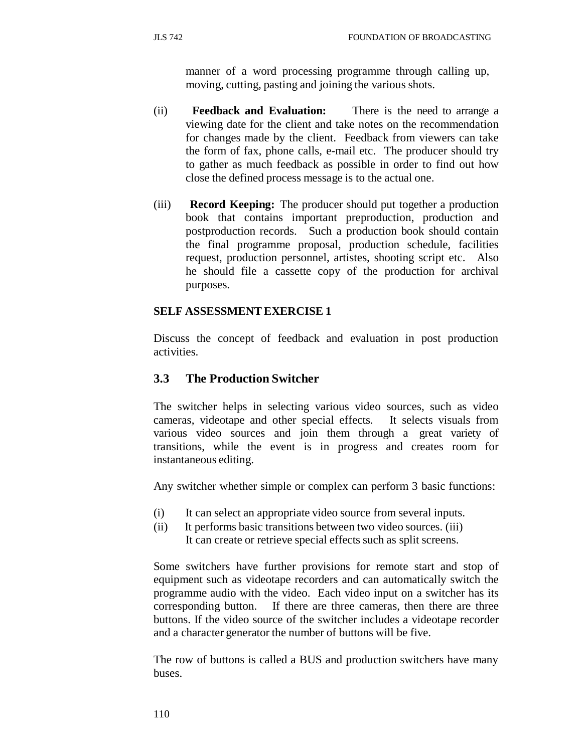manner of a word processing programme through calling up, moving, cutting, pasting and joining the various shots.

- (ii) **Feedback and Evaluation:** There is the need to arrange a viewing date for the client and take notes on the recommendation for changes made by the client. Feedback from viewers can take the form of fax, phone calls, e-mail etc. The producer should try to gather as much feedback as possible in order to find out how close the defined process message is to the actual one.
- (iii) **Record Keeping:** The producer should put together a production book that contains important preproduction, production and postproduction records. Such a production book should contain the final programme proposal, production schedule, facilities request, production personnel, artistes, shooting script etc. Also he should file a cassette copy of the production for archival purposes.

## **SELF ASSESSMENT EXERCISE 1**

Discuss the concept of feedback and evaluation in post production activities.

## **3.3 The Production Switcher**

The switcher helps in selecting various video sources, such as video cameras, videotape and other special effects. It selects visuals from various video sources and join them through a great variety of transitions, while the event is in progress and creates room for instantaneous editing.

Any switcher whether simple or complex can perform 3 basic functions:

- (i) It can select an appropriate video source from several inputs.
- (ii) It performs basic transitions between two video sources. (iii) It can create or retrieve special effects such as split screens.

Some switchers have further provisions for remote start and stop of equipment such as videotape recorders and can automatically switch the programme audio with the video. Each video input on a switcher has its corresponding button. If there are three cameras, then there are three buttons. If the video source of the switcher includes a videotape recorder and a character generator the number of buttons will be five.

The row of buttons is called a BUS and production switchers have many buses.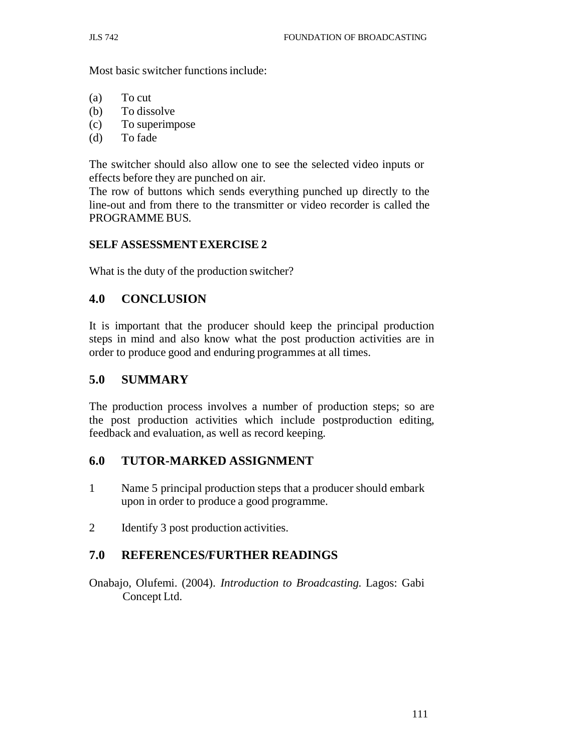Most basic switcher functions include:

- (a) To cut
- (b) To dissolve
- (c) To superimpose
- (d) To fade

The switcher should also allow one to see the selected video inputs or effects before they are punched on air.

The row of buttons which sends everything punched up directly to the line-out and from there to the transmitter or video recorder is called the PROGRAMME BUS.

## **SELF ASSESSMENT EXERCISE 2**

What is the duty of the production switcher?

## **4.0 CONCLUSION**

It is important that the producer should keep the principal production steps in mind and also know what the post production activities are in order to produce good and enduring programmes at all times.

## **5.0 SUMMARY**

The production process involves a number of production steps; so are the post production activities which include postproduction editing, feedback and evaluation, as well as record keeping.

## **6.0 TUTOR-MARKED ASSIGNMENT**

- 1 Name 5 principal production steps that a producer should embark upon in order to produce a good programme.
- 2 Identify 3 post production activities.

## **7.0 REFERENCES/FURTHER READINGS**

Onabajo, Olufemi. (2004). *Introduction to Broadcasting.* Lagos: Gabi Concept Ltd.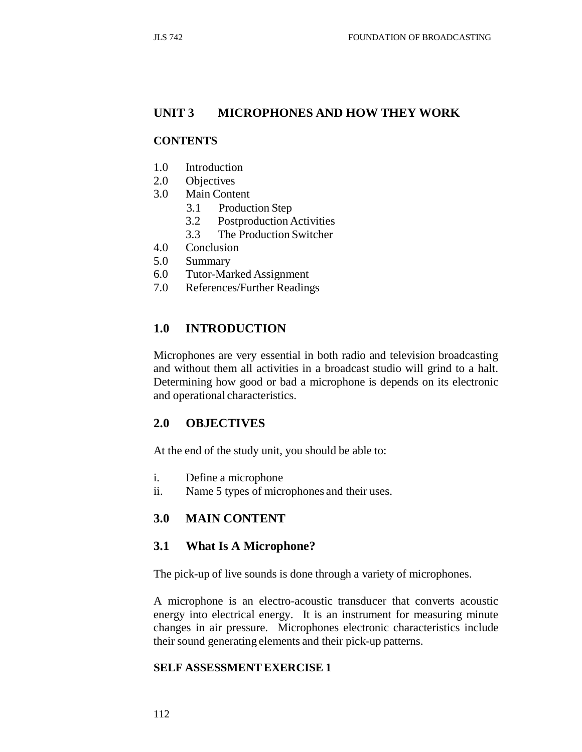## **UNIT 3 MICROPHONES AND HOW THEY WORK**

### **CONTENTS**

- 1.0 Introduction
- 2.0 Objectives
- 3.0 Main Content
	- 3.1 Production Step
	- 3.2 Postproduction Activities
	- 3.3 The Production Switcher
- 4.0 Conclusion
- 5.0 Summary
- 6.0 Tutor-Marked Assignment
- 7.0 References/Further Readings

### **1.0 INTRODUCTION**

Microphones are very essential in both radio and television broadcasting and without them all activities in a broadcast studio will grind to a halt. Determining how good or bad a microphone is depends on its electronic and operational characteristics.

### **2.0 OBJECTIVES**

At the end of the study unit, you should be able to:

- i. Define a microphone
- ii. Name 5 types of microphones and their uses.

### **3.0 MAIN CONTENT**

#### **3.1 What Is A Microphone?**

The pick-up of live sounds is done through a variety of microphones.

A microphone is an electro-acoustic transducer that converts acoustic energy into electrical energy. It is an instrument for measuring minute changes in air pressure. Microphones electronic characteristics include their sound generating elements and their pick-up patterns.

#### **SELF ASSESSMENT EXERCISE 1**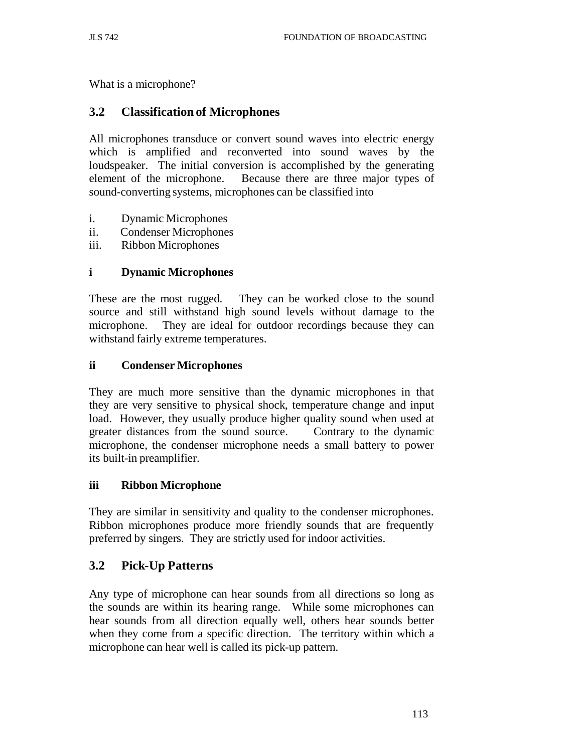What is a microphone?

## **3.2 Classification of Microphones**

All microphones transduce or convert sound waves into electric energy which is amplified and reconverted into sound waves by the loudspeaker. The initial conversion is accomplished by the generating element of the microphone. Because there are three major types of sound-converting systems, microphones can be classified into

- i. Dynamic Microphones
- ii. Condenser Microphones
- iii. Ribbon Microphones

## **i Dynamic Microphones**

These are the most rugged. They can be worked close to the sound source and still withstand high sound levels without damage to the microphone. They are ideal for outdoor recordings because they can withstand fairly extreme temperatures.

### **ii Condenser Microphones**

They are much more sensitive than the dynamic microphones in that they are very sensitive to physical shock, temperature change and input load. However, they usually produce higher quality sound when used at greater distances from the sound source. Contrary to the dynamic microphone, the condenser microphone needs a small battery to power its built-in preamplifier.

### **iii Ribbon Microphone**

They are similar in sensitivity and quality to the condenser microphones. Ribbon microphones produce more friendly sounds that are frequently preferred by singers. They are strictly used for indoor activities.

## **3.2 Pick-Up Patterns**

Any type of microphone can hear sounds from all directions so long as the sounds are within its hearing range. While some microphones can hear sounds from all direction equally well, others hear sounds better when they come from a specific direction. The territory within which a microphone can hear well is called its pick-up pattern.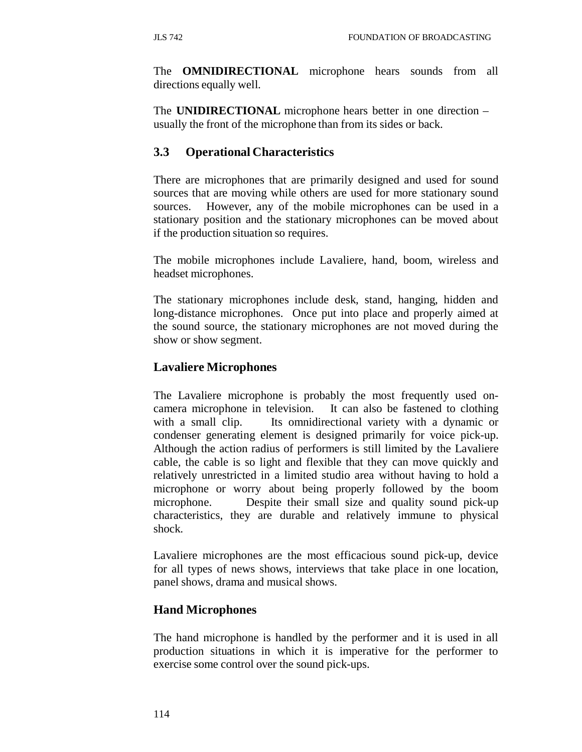The **OMNIDIRECTIONAL** microphone hears sounds from all directions equally well.

The **UNIDIRECTIONAL** microphone hears better in one direction – usually the front of the microphone than from its sides or back.

# **3.3 Operational Characteristics**

There are microphones that are primarily designed and used for sound sources that are moving while others are used for more stationary sound sources. However, any of the mobile microphones can be used in a stationary position and the stationary microphones can be moved about if the production situation so requires.

The mobile microphones include Lavaliere, hand, boom, wireless and headset microphones.

The stationary microphones include desk, stand, hanging, hidden and long-distance microphones. Once put into place and properly aimed at the sound source, the stationary microphones are not moved during the show or show segment.

## **Lavaliere Microphones**

The Lavaliere microphone is probably the most frequently used oncamera microphone in television. It can also be fastened to clothing with a small clip. Its omnidirectional variety with a dynamic or condenser generating element is designed primarily for voice pick-up. Although the action radius of performers is still limited by the Lavaliere cable, the cable is so light and flexible that they can move quickly and relatively unrestricted in a limited studio area without having to hold a microphone or worry about being properly followed by the boom microphone. Despite their small size and quality sound pick-up characteristics, they are durable and relatively immune to physical shock.

Lavaliere microphones are the most efficacious sound pick-up, device for all types of news shows, interviews that take place in one location, panel shows, drama and musical shows.

## **Hand Microphones**

The hand microphone is handled by the performer and it is used in all production situations in which it is imperative for the performer to exercise some control over the sound pick-ups.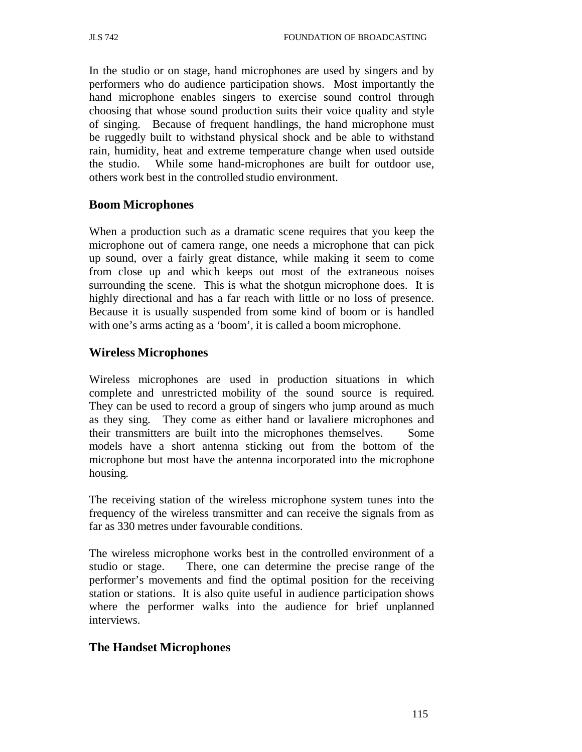In the studio or on stage, hand microphones are used by singers and by performers who do audience participation shows. Most importantly the hand microphone enables singers to exercise sound control through choosing that whose sound production suits their voice quality and style of singing. Because of frequent handlings, the hand microphone must be ruggedly built to withstand physical shock and be able to withstand rain, humidity, heat and extreme temperature change when used outside the studio. While some hand-microphones are built for outdoor use, others work best in the controlled studio environment.

### **Boom Microphones**

When a production such as a dramatic scene requires that you keep the microphone out of camera range, one needs a microphone that can pick up sound, over a fairly great distance, while making it seem to come from close up and which keeps out most of the extraneous noises surrounding the scene. This is what the shotgun microphone does. It is highly directional and has a far reach with little or no loss of presence. Because it is usually suspended from some kind of boom or is handled with one's arms acting as a 'boom', it is called a boom microphone.

### **Wireless Microphones**

Wireless microphones are used in production situations in which complete and unrestricted mobility of the sound source is required. They can be used to record a group of singers who jump around as much as they sing. They come as either hand or lavaliere microphones and their transmitters are built into the microphones themselves. Some models have a short antenna sticking out from the bottom of the microphone but most have the antenna incorporated into the microphone housing.

The receiving station of the wireless microphone system tunes into the frequency of the wireless transmitter and can receive the signals from as far as 330 metres under favourable conditions.

The wireless microphone works best in the controlled environment of a studio or stage. There, one can determine the precise range of the performer's movements and find the optimal position for the receiving station or stations. It is also quite useful in audience participation shows where the performer walks into the audience for brief unplanned interviews.

### **The Handset Microphones**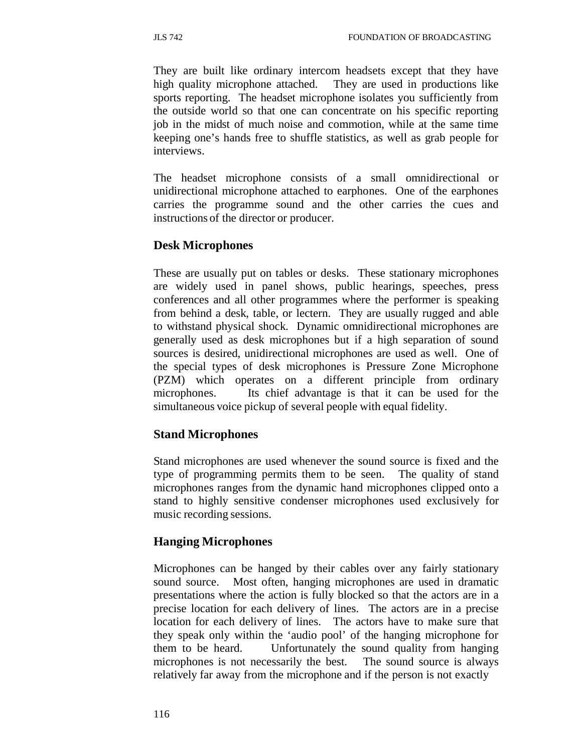They are built like ordinary intercom headsets except that they have high quality microphone attached. They are used in productions like sports reporting. The headset microphone isolates you sufficiently from the outside world so that one can concentrate on his specific reporting job in the midst of much noise and commotion, while at the same time keeping one's hands free to shuffle statistics, as well as grab people for interviews.

The headset microphone consists of a small omnidirectional or unidirectional microphone attached to earphones. One of the earphones carries the programme sound and the other carries the cues and instructions of the director or producer.

## **Desk Microphones**

These are usually put on tables or desks. These stationary microphones are widely used in panel shows, public hearings, speeches, press conferences and all other programmes where the performer is speaking from behind a desk, table, or lectern. They are usually rugged and able to withstand physical shock. Dynamic omnidirectional microphones are generally used as desk microphones but if a high separation of sound sources is desired, unidirectional microphones are used as well. One of the special types of desk microphones is Pressure Zone Microphone (PZM) which operates on a different principle from ordinary microphones. Its chief advantage is that it can be used for the simultaneous voice pickup of several people with equal fidelity.

## **Stand Microphones**

Stand microphones are used whenever the sound source is fixed and the type of programming permits them to be seen. The quality of stand microphones ranges from the dynamic hand microphones clipped onto a stand to highly sensitive condenser microphones used exclusively for music recording sessions.

### **Hanging Microphones**

Microphones can be hanged by their cables over any fairly stationary sound source. Most often, hanging microphones are used in dramatic presentations where the action is fully blocked so that the actors are in a precise location for each delivery of lines. The actors are in a precise location for each delivery of lines. The actors have to make sure that they speak only within the 'audio pool' of the hanging microphone for them to be heard. Unfortunately the sound quality from hanging microphones is not necessarily the best. The sound source is always relatively far away from the microphone and if the person is not exactly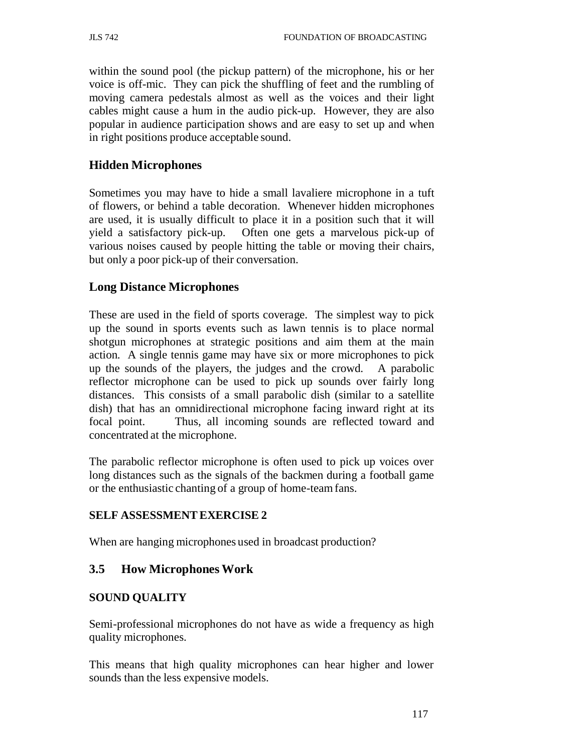within the sound pool (the pickup pattern) of the microphone, his or her voice is off-mic. They can pick the shuffling of feet and the rumbling of moving camera pedestals almost as well as the voices and their light cables might cause a hum in the audio pick-up. However, they are also popular in audience participation shows and are easy to set up and when in right positions produce acceptable sound.

## **Hidden Microphones**

Sometimes you may have to hide a small lavaliere microphone in a tuft of flowers, or behind a table decoration. Whenever hidden microphones are used, it is usually difficult to place it in a position such that it will yield a satisfactory pick-up. Often one gets a marvelous pick-up of various noises caused by people hitting the table or moving their chairs, but only a poor pick-up of their conversation.

### **Long Distance Microphones**

These are used in the field of sports coverage. The simplest way to pick up the sound in sports events such as lawn tennis is to place normal shotgun microphones at strategic positions and aim them at the main action. A single tennis game may have six or more microphones to pick up the sounds of the players, the judges and the crowd. A parabolic reflector microphone can be used to pick up sounds over fairly long distances. This consists of a small parabolic dish (similar to a satellite dish) that has an omnidirectional microphone facing inward right at its focal point. Thus, all incoming sounds are reflected toward and concentrated at the microphone.

The parabolic reflector microphone is often used to pick up voices over long distances such as the signals of the backmen during a football game or the enthusiastic chanting of a group of home-team fans.

### **SELF ASSESSMENT EXERCISE 2**

When are hanging microphones used in broadcast production?

### **3.5 How Microphones Work**

### **SOUND QUALITY**

Semi-professional microphones do not have as wide a frequency as high quality microphones.

This means that high quality microphones can hear higher and lower sounds than the less expensive models.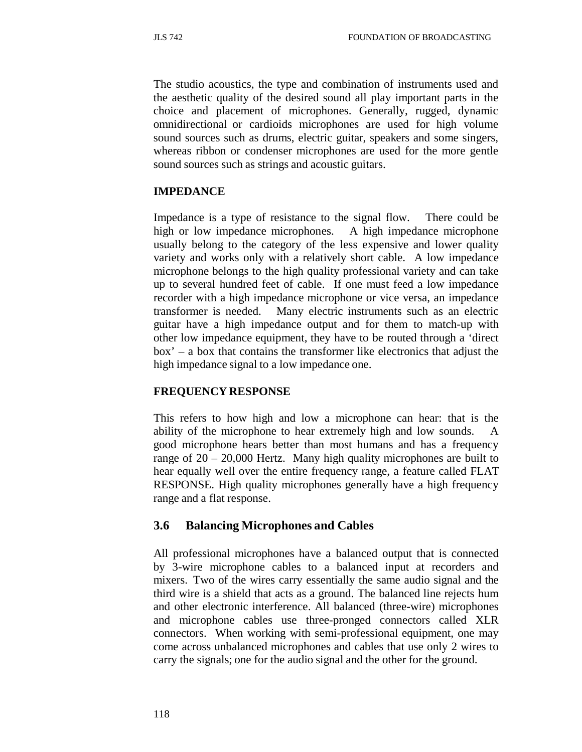The studio acoustics, the type and combination of instruments used and the aesthetic quality of the desired sound all play important parts in the choice and placement of microphones. Generally, rugged, dynamic omnidirectional or cardioids microphones are used for high volume sound sources such as drums, electric guitar, speakers and some singers, whereas ribbon or condenser microphones are used for the more gentle sound sources such as strings and acoustic guitars.

## **IMPEDANCE**

Impedance is a type of resistance to the signal flow. There could be high or low impedance microphones. A high impedance microphone usually belong to the category of the less expensive and lower quality variety and works only with a relatively short cable. A low impedance microphone belongs to the high quality professional variety and can take up to several hundred feet of cable. If one must feed a low impedance recorder with a high impedance microphone or vice versa, an impedance transformer is needed. Many electric instruments such as an electric guitar have a high impedance output and for them to match-up with other low impedance equipment, they have to be routed through a 'direct box' – a box that contains the transformer like electronics that adjust the high impedance signal to a low impedance one.

### **FREQUENCY RESPONSE**

This refers to how high and low a microphone can hear: that is the ability of the microphone to hear extremely high and low sounds. A good microphone hears better than most humans and has a frequency range of 20 – 20,000 Hertz. Many high quality microphones are built to hear equally well over the entire frequency range, a feature called FLAT RESPONSE. High quality microphones generally have a high frequency range and a flat response.

## **3.6 Balancing Microphones and Cables**

All professional microphones have a balanced output that is connected by 3-wire microphone cables to a balanced input at recorders and mixers. Two of the wires carry essentially the same audio signal and the third wire is a shield that acts as a ground. The balanced line rejects hum and other electronic interference. All balanced (three-wire) microphones and microphone cables use three-pronged connectors called XLR connectors. When working with semi-professional equipment, one may come across unbalanced microphones and cables that use only 2 wires to carry the signals; one for the audio signal and the other for the ground.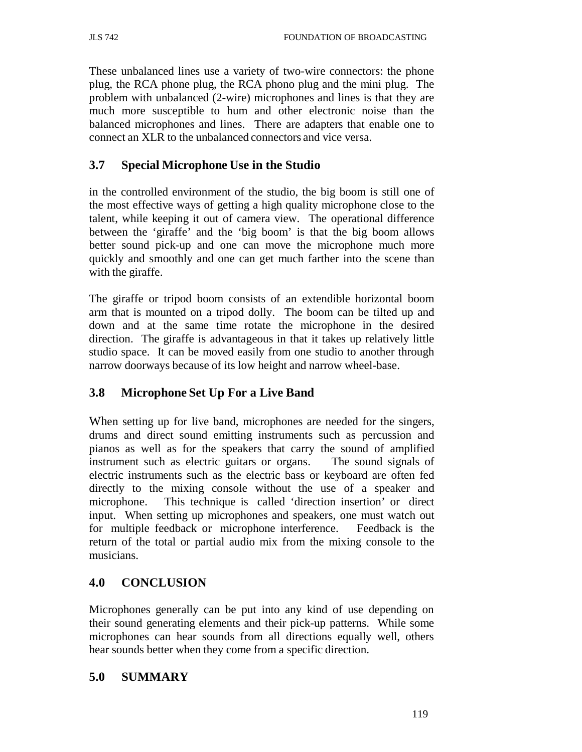These unbalanced lines use a variety of two-wire connectors: the phone plug, the RCA phone plug, the RCA phono plug and the mini plug. The problem with unbalanced (2-wire) microphones and lines is that they are much more susceptible to hum and other electronic noise than the balanced microphones and lines. There are adapters that enable one to connect an XLR to the unbalanced connectors and vice versa.

## **3.7 Special Microphone Use in the Studio**

in the controlled environment of the studio, the big boom is still one of the most effective ways of getting a high quality microphone close to the talent, while keeping it out of camera view. The operational difference between the 'giraffe' and the 'big boom' is that the big boom allows better sound pick-up and one can move the microphone much more quickly and smoothly and one can get much farther into the scene than with the giraffe.

The giraffe or tripod boom consists of an extendible horizontal boom arm that is mounted on a tripod dolly. The boom can be tilted up and down and at the same time rotate the microphone in the desired direction. The giraffe is advantageous in that it takes up relatively little studio space. It can be moved easily from one studio to another through narrow doorways because of its low height and narrow wheel-base.

## **3.8 Microphone Set Up For a Live Band**

When setting up for live band, microphones are needed for the singers, drums and direct sound emitting instruments such as percussion and pianos as well as for the speakers that carry the sound of amplified instrument such as electric guitars or organs. The sound signals of electric instruments such as the electric bass or keyboard are often fed directly to the mixing console without the use of a speaker and microphone. This technique is called 'direction insertion' or direct input. When setting up microphones and speakers, one must watch out for multiple feedback or microphone interference. Feedback is the return of the total or partial audio mix from the mixing console to the musicians.

## **4.0 CONCLUSION**

Microphones generally can be put into any kind of use depending on their sound generating elements and their pick-up patterns. While some microphones can hear sounds from all directions equally well, others hear sounds better when they come from a specific direction.

### **5.0 SUMMARY**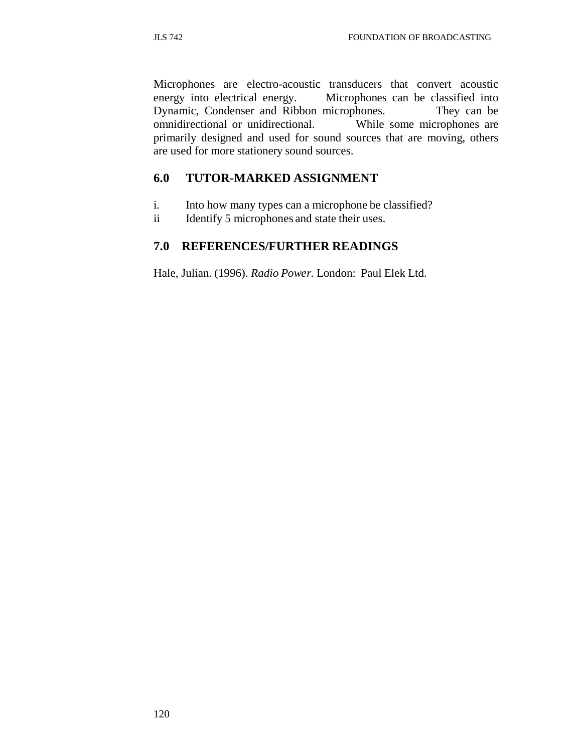Microphones are electro-acoustic transducers that convert acoustic energy into electrical energy. Microphones can be classified into Dynamic, Condenser and Ribbon microphones. They can be omnidirectional or unidirectional. While some microphones are primarily designed and used for sound sources that are moving, others are used for more stationery sound sources.

## **6.0 TUTOR-MARKED ASSIGNMENT**

- i. Into how many types can a microphone be classified?
- ii Identify 5 microphones and state their uses.

# **7.0 REFERENCES/FURTHER READINGS**

Hale, Julian. (1996). *Radio Power.* London: Paul Elek Ltd.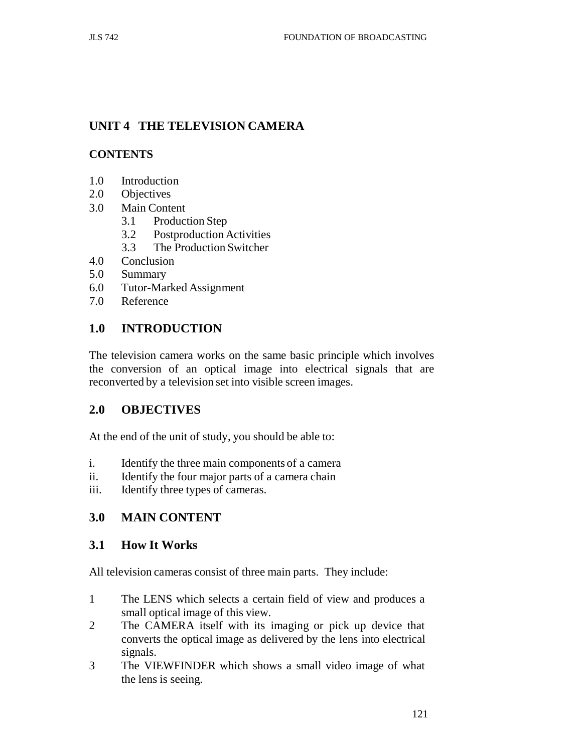# **UNIT 4 THE TELEVISION CAMERA**

## **CONTENTS**

- 1.0 Introduction
- 2.0 Objectives
- 3.0 Main Content
	- 3.1 Production Step
	- 3.2 Postproduction Activities
	- 3.3 The Production Switcher
- 4.0 Conclusion
- 5.0 Summary
- 6.0 Tutor-Marked Assignment
- 7.0 Reference

## **1.0 INTRODUCTION**

The television camera works on the same basic principle which involves the conversion of an optical image into electrical signals that are reconverted by a television set into visible screen images.

## **2.0 OBJECTIVES**

At the end of the unit of study, you should be able to:

- i. Identify the three main components of a camera
- ii. Identify the four major parts of a camera chain
- iii. Identify three types of cameras.

## **3.0 MAIN CONTENT**

### **3.1 How It Works**

All television cameras consist of three main parts. They include:

- 1 The LENS which selects a certain field of view and produces a small optical image of this view.
- 2 The CAMERA itself with its imaging or pick up device that converts the optical image as delivered by the lens into electrical signals.
- 3 The VIEWFINDER which shows a small video image of what the lens is seeing.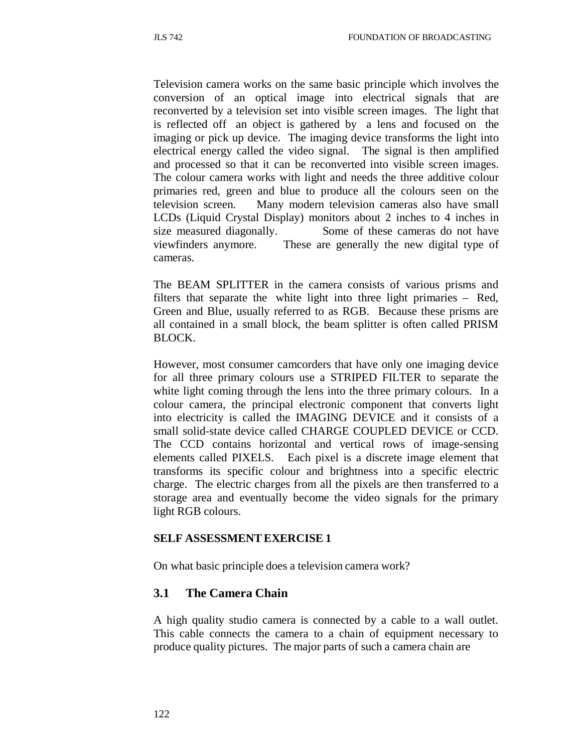Television camera works on the same basic principle which involves the conversion of an optical image into electrical signals that are reconverted by a television set into visible screen images. The light that is reflected off an object is gathered by a lens and focused on the imaging or pick up device. The imaging device transforms the light into electrical energy called the video signal. The signal is then amplified and processed so that it can be reconverted into visible screen images. The colour camera works with light and needs the three additive colour primaries red, green and blue to produce all the colours seen on the television screen. Many modern television cameras also have small LCDs (Liquid Crystal Display) monitors about 2 inches to 4 inches in size measured diagonally. Some of these cameras do not have viewfinders anymore. These are generally the new digital type of cameras.

The BEAM SPLITTER in the camera consists of various prisms and filters that separate the white light into three light primaries – Red, Green and Blue, usually referred to as RGB. Because these prisms are all contained in a small block, the beam splitter is often called PRISM BLOCK.

However, most consumer camcorders that have only one imaging device for all three primary colours use a STRIPED FILTER to separate the white light coming through the lens into the three primary colours. In a colour camera, the principal electronic component that converts light into electricity is called the IMAGING DEVICE and it consists of a small solid-state device called CHARGE COUPLED DEVICE or CCD. The CCD contains horizontal and vertical rows of image-sensing elements called PIXELS. Each pixel is a discrete image element that transforms its specific colour and brightness into a specific electric charge. The electric charges from all the pixels are then transferred to a storage area and eventually become the video signals for the primary light RGB colours.

#### **SELF ASSESSMENT EXERCISE 1**

On what basic principle does a television camera work?

### **3.1 The Camera Chain**

A high quality studio camera is connected by a cable to a wall outlet. This cable connects the camera to a chain of equipment necessary to produce quality pictures. The major parts of such a camera chain are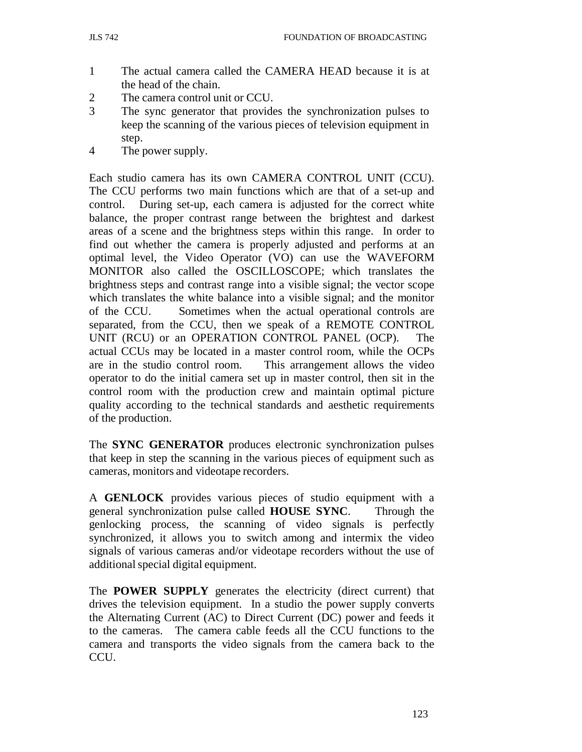- 1 The actual camera called the CAMERA HEAD because it is at the head of the chain.
- 2 The camera control unit or CCU.
- 3 The sync generator that provides the synchronization pulses to keep the scanning of the various pieces of television equipment in step.
- 4 The power supply.

Each studio camera has its own CAMERA CONTROL UNIT (CCU). The CCU performs two main functions which are that of a set-up and control. During set-up, each camera is adjusted for the correct white balance, the proper contrast range between the brightest and darkest areas of a scene and the brightness steps within this range. In order to find out whether the camera is properly adjusted and performs at an optimal level, the Video Operator (VO) can use the WAVEFORM MONITOR also called the OSCILLOSCOPE; which translates the brightness steps and contrast range into a visible signal; the vector scope which translates the white balance into a visible signal; and the monitor of the CCU. Sometimes when the actual operational controls are separated, from the CCU, then we speak of a REMOTE CONTROL UNIT (RCU) or an OPERATION CONTROL PANEL (OCP). The actual CCUs may be located in a master control room, while the OCPs are in the studio control room. This arrangement allows the video operator to do the initial camera set up in master control, then sit in the control room with the production crew and maintain optimal picture quality according to the technical standards and aesthetic requirements of the production.

The **SYNC GENERATOR** produces electronic synchronization pulses that keep in step the scanning in the various pieces of equipment such as cameras, monitors and videotape recorders.

A **GENLOCK** provides various pieces of studio equipment with a general synchronization pulse called **HOUSE SYNC**. Through the genlocking process, the scanning of video signals is perfectly synchronized, it allows you to switch among and intermix the video signals of various cameras and/or videotape recorders without the use of additional special digital equipment.

The **POWER SUPPLY** generates the electricity (direct current) that drives the television equipment. In a studio the power supply converts the Alternating Current (AC) to Direct Current (DC) power and feeds it to the cameras. The camera cable feeds all the CCU functions to the camera and transports the video signals from the camera back to the CCU.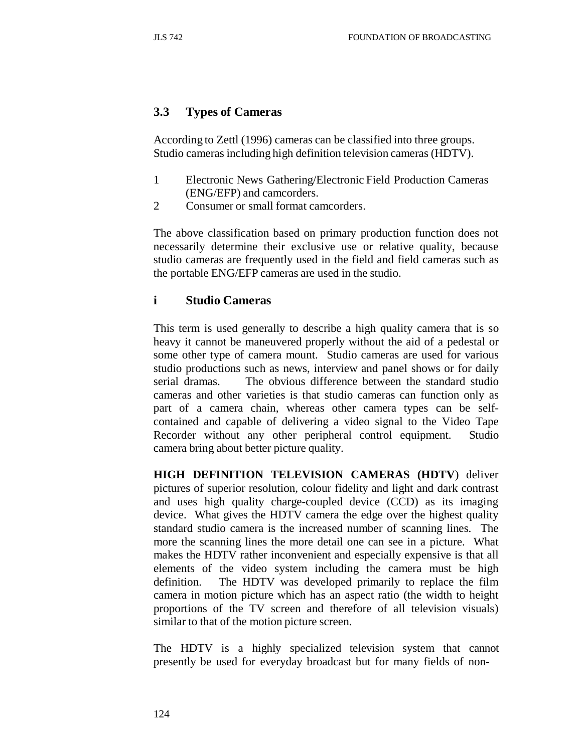### **3.3 Types of Cameras**

According to Zettl (1996) cameras can be classified into three groups. Studio cameras including high definition television cameras (HDTV).

- 1 Electronic News Gathering/Electronic Field Production Cameras (ENG/EFP) and camcorders.
- 2 Consumer or small format camcorders.

The above classification based on primary production function does not necessarily determine their exclusive use or relative quality, because studio cameras are frequently used in the field and field cameras such as the portable ENG/EFP cameras are used in the studio.

### **i Studio Cameras**

This term is used generally to describe a high quality camera that is so heavy it cannot be maneuvered properly without the aid of a pedestal or some other type of camera mount. Studio cameras are used for various studio productions such as news, interview and panel shows or for daily serial dramas. The obvious difference between the standard studio cameras and other varieties is that studio cameras can function only as part of a camera chain, whereas other camera types can be selfcontained and capable of delivering a video signal to the Video Tape Recorder without any other peripheral control equipment. Studio camera bring about better picture quality.

**HIGH DEFINITION TELEVISION CAMERAS (HDTV**) deliver pictures of superior resolution, colour fidelity and light and dark contrast and uses high quality charge-coupled device (CCD) as its imaging device. What gives the HDTV camera the edge over the highest quality standard studio camera is the increased number of scanning lines. The more the scanning lines the more detail one can see in a picture. What makes the HDTV rather inconvenient and especially expensive is that all elements of the video system including the camera must be high definition. The HDTV was developed primarily to replace the film camera in motion picture which has an aspect ratio (the width to height proportions of the TV screen and therefore of all television visuals) similar to that of the motion picture screen.

The HDTV is a highly specialized television system that cannot presently be used for everyday broadcast but for many fields of non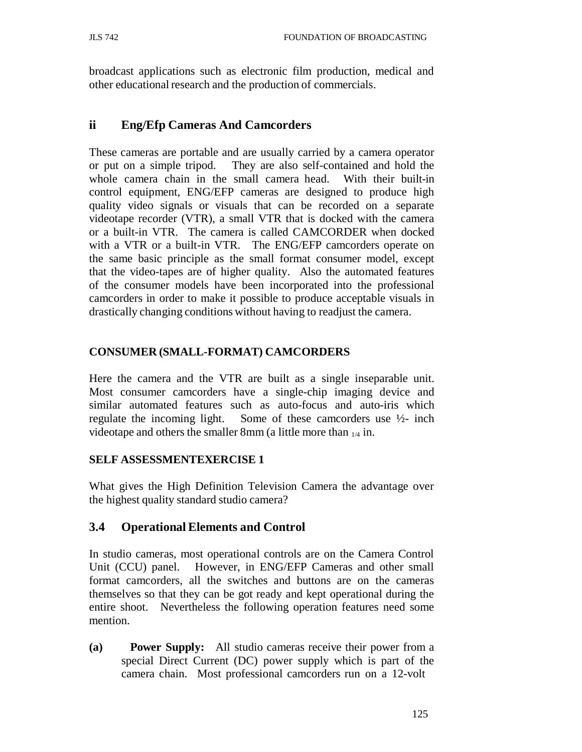broadcast applications such as electronic film production, medical and other educational research and the production of commercials.

## **ii Eng/Efp Cameras And Camcorders**

These cameras are portable and are usually carried by a camera operator or put on a simple tripod. They are also self-contained and hold the whole camera chain in the small camera head. With their built-in control equipment, ENG/EFP cameras are designed to produce high quality video signals or visuals that can be recorded on a separate videotape recorder (VTR), a small VTR that is docked with the camera or a built-in VTR. The camera is called CAMCORDER when docked with a VTR or a built-in VTR. The ENG/EFP camcorders operate on the same basic principle as the small format consumer model, except that the video-tapes are of higher quality. Also the automated features of the consumer models have been incorporated into the professional camcorders in order to make it possible to produce acceptable visuals in drastically changing conditions without having to readjust the camera.

## **CONSUMER (SMALL-FORMAT) CAMCORDERS**

Here the camera and the VTR are built as a single inseparable unit. Most consumer camcorders have a single-chip imaging device and similar automated features such as auto-focus and auto-iris which regulate the incoming light. Some of these camcorders use ½- inch videotape and others the smaller 8mm (a little more than  $_{1/4}$  in.

### **SELF ASSESSMENTEXERCISE 1**

What gives the High Definition Television Camera the advantage over the highest quality standard studio camera?

## **3.4 Operational Elements and Control**

In studio cameras, most operational controls are on the Camera Control Unit (CCU) panel. However, in ENG/EFP Cameras and other small format camcorders, all the switches and buttons are on the cameras themselves so that they can be got ready and kept operational during the entire shoot. Nevertheless the following operation features need some mention.

**(a) Power Supply:** All studio cameras receive their power from a special Direct Current (DC) power supply which is part of the camera chain. Most professional camcorders run on a 12-volt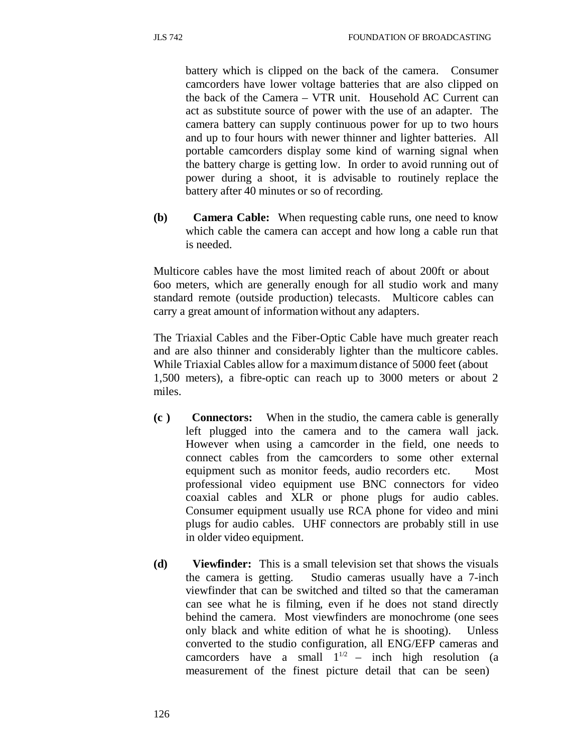battery which is clipped on the back of the camera. Consumer camcorders have lower voltage batteries that are also clipped on the back of the Camera – VTR unit. Household AC Current can act as substitute source of power with the use of an adapter. The camera battery can supply continuous power for up to two hours and up to four hours with newer thinner and lighter batteries. All portable camcorders display some kind of warning signal when the battery charge is getting low. In order to avoid running out of power during a shoot, it is advisable to routinely replace the battery after 40 minutes or so of recording.

**(b) Camera Cable:** When requesting cable runs, one need to know which cable the camera can accept and how long a cable run that is needed.

Multicore cables have the most limited reach of about 200ft or about 6oo meters, which are generally enough for all studio work and many standard remote (outside production) telecasts. Multicore cables can carry a great amount of information without any adapters.

The Triaxial Cables and the Fiber-Optic Cable have much greater reach and are also thinner and considerably lighter than the multicore cables. While Triaxial Cables allow for a maximum distance of 5000 feet (about 1,500 meters), a fibre-optic can reach up to 3000 meters or about 2 miles.

- **(c ) Connectors:** When in the studio, the camera cable is generally left plugged into the camera and to the camera wall jack. However when using a camcorder in the field, one needs to connect cables from the camcorders to some other external equipment such as monitor feeds, audio recorders etc. Most professional video equipment use BNC connectors for video coaxial cables and XLR or phone plugs for audio cables. Consumer equipment usually use RCA phone for video and mini plugs for audio cables. UHF connectors are probably still in use in older video equipment.
- **(d) Viewfinder:** This is a small television set that shows the visuals the camera is getting. Studio cameras usually have a 7-inch viewfinder that can be switched and tilted so that the cameraman can see what he is filming, even if he does not stand directly behind the camera. Most viewfinders are monochrome (one sees only black and white edition of what he is shooting). Unless converted to the studio configuration, all ENG/EFP cameras and camcorders have a small  $1^{1/2}$  – inch high resolution (a measurement of the finest picture detail that can be seen)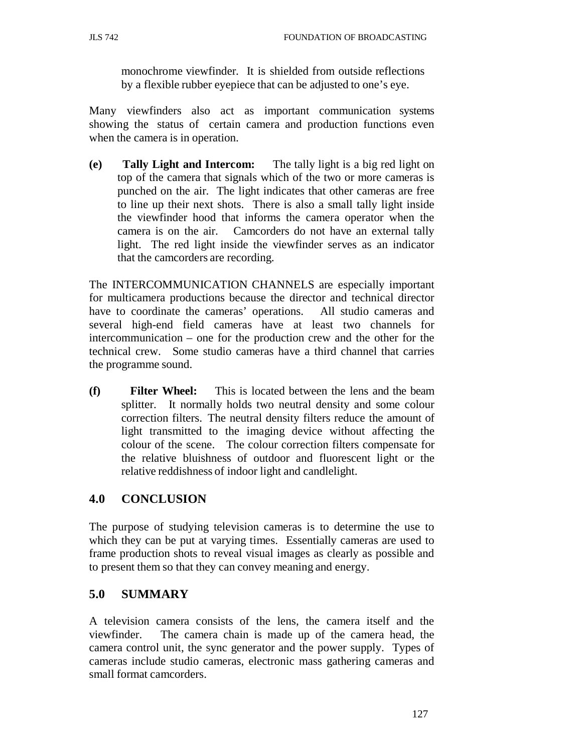monochrome viewfinder. It is shielded from outside reflections by a flexible rubber eyepiece that can be adjusted to one's eye.

Many viewfinders also act as important communication systems showing the status of certain camera and production functions even when the camera is in operation.

**(e) Tally Light and Intercom:** The tally light is a big red light on top of the camera that signals which of the two or more cameras is punched on the air. The light indicates that other cameras are free to line up their next shots. There is also a small tally light inside the viewfinder hood that informs the camera operator when the camera is on the air. Camcorders do not have an external tally light. The red light inside the viewfinder serves as an indicator that the camcorders are recording.

The INTERCOMMUNICATION CHANNELS are especially important for multicamera productions because the director and technical director have to coordinate the cameras' operations. All studio cameras and several high-end field cameras have at least two channels for intercommunication – one for the production crew and the other for the technical crew. Some studio cameras have a third channel that carries the programme sound.

**(f) Filter Wheel:** This is located between the lens and the beam splitter. It normally holds two neutral density and some colour correction filters. The neutral density filters reduce the amount of light transmitted to the imaging device without affecting the colour of the scene. The colour correction filters compensate for the relative bluishness of outdoor and fluorescent light or the relative reddishness of indoor light and candlelight.

## **4.0 CONCLUSION**

The purpose of studying television cameras is to determine the use to which they can be put at varying times. Essentially cameras are used to frame production shots to reveal visual images as clearly as possible and to present them so that they can convey meaning and energy.

## **5.0 SUMMARY**

A television camera consists of the lens, the camera itself and the viewfinder. The camera chain is made up of the camera head, the camera control unit, the sync generator and the power supply. Types of cameras include studio cameras, electronic mass gathering cameras and small format camcorders.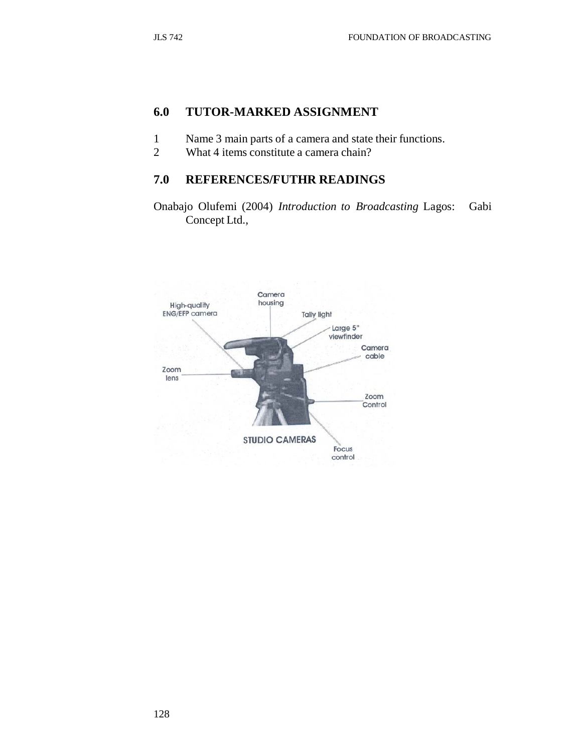# **6.0 TUTOR-MARKED ASSIGNMENT**

- 1 Name 3 main parts of a camera and state their functions.
- 2 What 4 items constitute a camera chain?

### **7.0 REFERENCES/FUTHR READINGS**

Onabajo Olufemi (2004) *Introduction to Broadcasting* Lagos: Gabi Concept Ltd.,

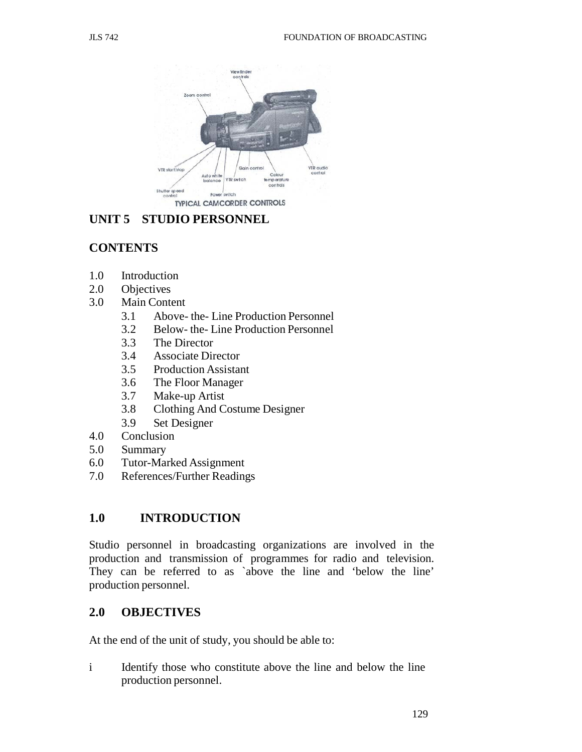

# **UNIT 5 STUDIO PERSONNEL**

# **CONTENTS**

- 1.0 Introduction
- 2.0 Objectives
- 3.0 Main Content
	- 3.1 Above- the- Line Production Personnel
	- 3.2 Below- the- Line Production Personnel
	- 3.3 The Director
	- 3.4 Associate Director
	- 3.5 Production Assistant
	- 3.6 The Floor Manager
	- 3.7 Make-up Artist
	- 3.8 Clothing And Costume Designer
	- 3.9 Set Designer
- 4.0 Conclusion
- 5.0 Summary
- 6.0 Tutor-Marked Assignment
- 7.0 References/Further Readings

## **1.0 INTRODUCTION**

Studio personnel in broadcasting organizations are involved in the production and transmission of programmes for radio and television. They can be referred to as `above the line and 'below the line' production personnel.

## **2.0 OBJECTIVES**

At the end of the unit of study, you should be able to:

i Identify those who constitute above the line and below the line production personnel.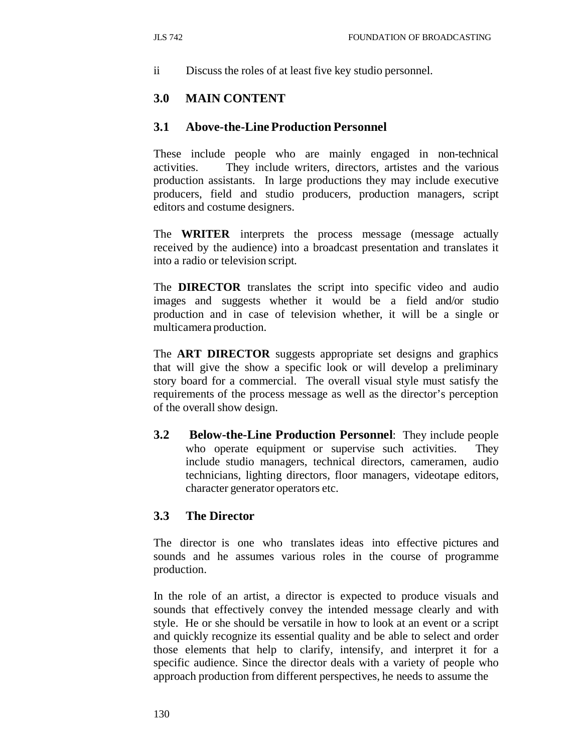ii Discuss the roles of at least five key studio personnel.

## **3.0 MAIN CONTENT**

### **3.1 Above-the-Line Production Personnel**

These include people who are mainly engaged in non-technical activities. They include writers, directors, artistes and the various production assistants. In large productions they may include executive producers, field and studio producers, production managers, script editors and costume designers.

The **WRITER** interprets the process message (message actually received by the audience) into a broadcast presentation and translates it into a radio or television script.

The **DIRECTOR** translates the script into specific video and audio images and suggests whether it would be a field and/or studio production and in case of television whether, it will be a single or multicamera production.

The **ART DIRECTOR** suggests appropriate set designs and graphics that will give the show a specific look or will develop a preliminary story board for a commercial. The overall visual style must satisfy the requirements of the process message as well as the director's perception of the overall show design.

**3.2 Below-the-Line Production Personnel**: They include people who operate equipment or supervise such activities. They include studio managers, technical directors, cameramen, audio technicians, lighting directors, floor managers, videotape editors, character generator operators etc.

### **3.3 The Director**

The director is one who translates ideas into effective pictures and sounds and he assumes various roles in the course of programme production.

In the role of an artist, a director is expected to produce visuals and sounds that effectively convey the intended message clearly and with style. He or she should be versatile in how to look at an event or a script and quickly recognize its essential quality and be able to select and order those elements that help to clarify, intensify, and interpret it for a specific audience. Since the director deals with a variety of people who approach production from different perspectives, he needs to assume the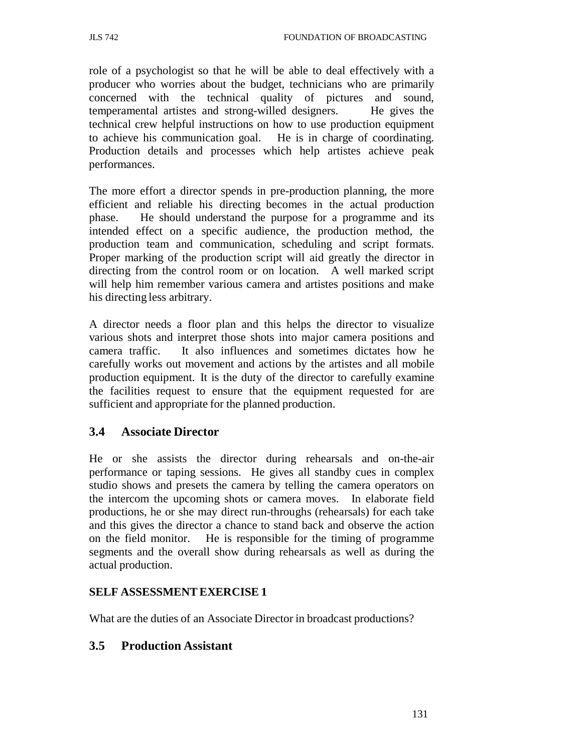role of a psychologist so that he will be able to deal effectively with a producer who worries about the budget, technicians who are primarily concerned with the technical quality of pictures and sound, temperamental artistes and strong-willed designers. He gives the technical crew helpful instructions on how to use production equipment to achieve his communication goal. He is in charge of coordinating. Production details and processes which help artistes achieve peak performances.

The more effort a director spends in pre-production planning, the more efficient and reliable his directing becomes in the actual production phase. He should understand the purpose for a programme and its intended effect on a specific audience, the production method, the production team and communication, scheduling and script formats. Proper marking of the production script will aid greatly the director in directing from the control room or on location. A well marked script will help him remember various camera and artistes positions and make his directing less arbitrary.

A director needs a floor plan and this helps the director to visualize various shots and interpret those shots into major camera positions and camera traffic. It also influences and sometimes dictates how he carefully works out movement and actions by the artistes and all mobile production equipment. It is the duty of the director to carefully examine the facilities request to ensure that the equipment requested for are sufficient and appropriate for the planned production.

## **3.4 Associate Director**

He or she assists the director during rehearsals and on-the-air performance or taping sessions. He gives all standby cues in complex studio shows and presets the camera by telling the camera operators on the intercom the upcoming shots or camera moves. In elaborate field productions, he or she may direct run-throughs (rehearsals) for each take and this gives the director a chance to stand back and observe the action on the field monitor. He is responsible for the timing of programme segments and the overall show during rehearsals as well as during the actual production.

### **SELF ASSESSMENT EXERCISE 1**

What are the duties of an Associate Director in broadcast productions?

### **3.5 Production Assistant**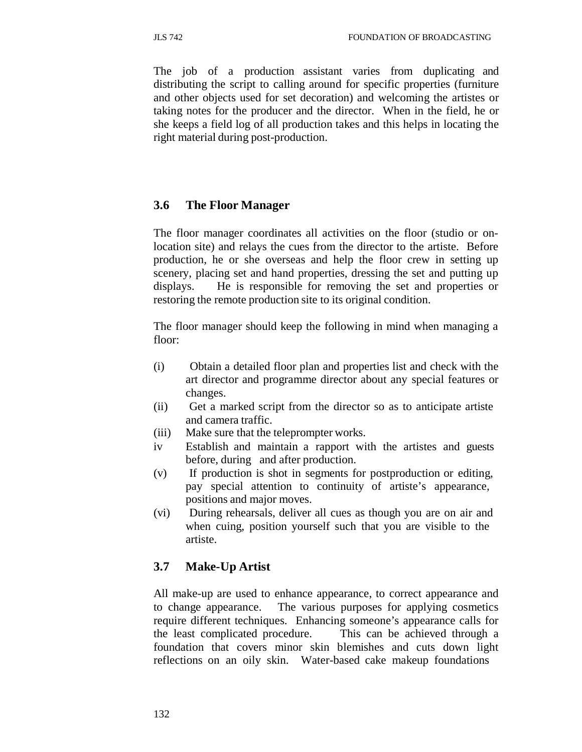The job of a production assistant varies from duplicating and distributing the script to calling around for specific properties (furniture and other objects used for set decoration) and welcoming the artistes or taking notes for the producer and the director. When in the field, he or she keeps a field log of all production takes and this helps in locating the right material during post-production.

### **3.6 The Floor Manager**

The floor manager coordinates all activities on the floor (studio or onlocation site) and relays the cues from the director to the artiste. Before production, he or she overseas and help the floor crew in setting up scenery, placing set and hand properties, dressing the set and putting up displays. He is responsible for removing the set and properties or restoring the remote production site to its original condition.

The floor manager should keep the following in mind when managing a floor:

- (i) Obtain a detailed floor plan and properties list and check with the art director and programme director about any special features or changes.
- (ii) Get a marked script from the director so as to anticipate artiste and camera traffic.
- (iii) Make sure that the teleprompter works.
- iv Establish and maintain a rapport with the artistes and guests before, during and after production.
- (v) If production is shot in segments for postproduction or editing, pay special attention to continuity of artiste's appearance, positions and major moves.
- (vi) During rehearsals, deliver all cues as though you are on air and when cuing, position yourself such that you are visible to the artiste.

### **3.7 Make-Up Artist**

All make-up are used to enhance appearance, to correct appearance and to change appearance. The various purposes for applying cosmetics require different techniques. Enhancing someone's appearance calls for the least complicated procedure. This can be achieved through a foundation that covers minor skin blemishes and cuts down light reflections on an oily skin. Water-based cake makeup foundations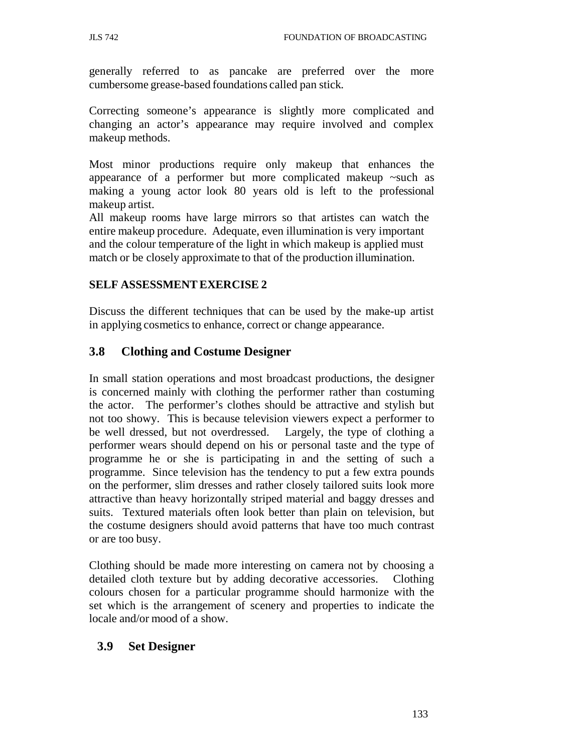generally referred to as pancake are preferred over the more cumbersome grease-based foundations called pan stick.

Correcting someone's appearance is slightly more complicated and changing an actor's appearance may require involved and complex makeup methods.

Most minor productions require only makeup that enhances the appearance of a performer but more complicated makeup ~such as making a young actor look 80 years old is left to the professional makeup artist.

All makeup rooms have large mirrors so that artistes can watch the entire makeup procedure. Adequate, even illumination is very important and the colour temperature of the light in which makeup is applied must match or be closely approximate to that of the production illumination.

#### **SELF ASSESSMENT EXERCISE 2**

Discuss the different techniques that can be used by the make-up artist in applying cosmetics to enhance, correct or change appearance.

# **3.8 Clothing and Costume Designer**

In small station operations and most broadcast productions, the designer is concerned mainly with clothing the performer rather than costuming the actor. The performer's clothes should be attractive and stylish but not too showy. This is because television viewers expect a performer to be well dressed, but not overdressed. Largely, the type of clothing a performer wears should depend on his or personal taste and the type of programme he or she is participating in and the setting of such a programme. Since television has the tendency to put a few extra pounds on the performer, slim dresses and rather closely tailored suits look more attractive than heavy horizontally striped material and baggy dresses and suits. Textured materials often look better than plain on television, but the costume designers should avoid patterns that have too much contrast or are too busy.

Clothing should be made more interesting on camera not by choosing a detailed cloth texture but by adding decorative accessories. Clothing colours chosen for a particular programme should harmonize with the set which is the arrangement of scenery and properties to indicate the locale and/or mood of a show.

## **3.9 Set Designer**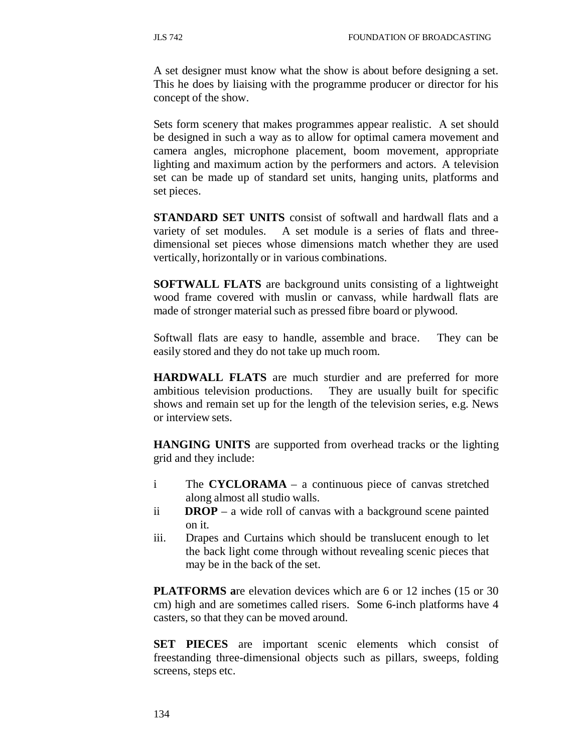A set designer must know what the show is about before designing a set. This he does by liaising with the programme producer or director for his concept of the show.

Sets form scenery that makes programmes appear realistic. A set should be designed in such a way as to allow for optimal camera movement and camera angles, microphone placement, boom movement, appropriate lighting and maximum action by the performers and actors. A television set can be made up of standard set units, hanging units, platforms and set pieces.

**STANDARD SET UNITS** consist of softwall and hardwall flats and a variety of set modules. A set module is a series of flats and threedimensional set pieces whose dimensions match whether they are used vertically, horizontally or in various combinations.

**SOFTWALL FLATS** are background units consisting of a lightweight wood frame covered with muslin or canvass, while hardwall flats are made of stronger material such as pressed fibre board or plywood.

Softwall flats are easy to handle, assemble and brace. They can be easily stored and they do not take up much room.

**HARDWALL FLATS** are much sturdier and are preferred for more ambitious television productions. They are usually built for specific shows and remain set up for the length of the television series, e.g. News or interview sets.

**HANGING UNITS** are supported from overhead tracks or the lighting grid and they include:

- i The **CYCLORAMA**  a continuous piece of canvas stretched along almost all studio walls.
- ii **DROP**  a wide roll of canvas with a background scene painted on it.
- iii. Drapes and Curtains which should be translucent enough to let the back light come through without revealing scenic pieces that may be in the back of the set.

**PLATFORMS a**re elevation devices which are 6 or 12 inches (15 or 30 cm) high and are sometimes called risers. Some 6-inch platforms have 4 casters, so that they can be moved around.

**SET PIECES** are important scenic elements which consist of freestanding three-dimensional objects such as pillars, sweeps, folding screens, steps etc.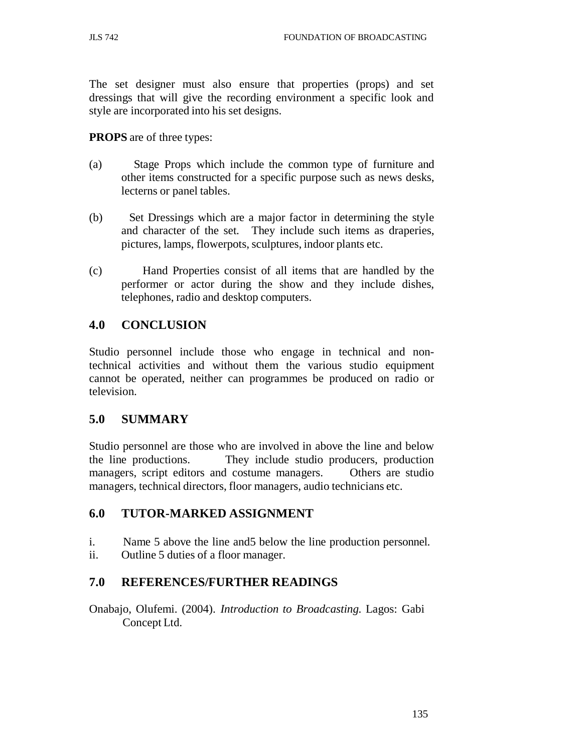The set designer must also ensure that properties (props) and set dressings that will give the recording environment a specific look and style are incorporated into his set designs.

**PROPS** are of three types:

- (a) Stage Props which include the common type of furniture and other items constructed for a specific purpose such as news desks, lecterns or panel tables.
- (b) Set Dressings which are a major factor in determining the style and character of the set. They include such items as draperies, pictures, lamps, flowerpots, sculptures, indoor plants etc.
- (c) Hand Properties consist of all items that are handled by the performer or actor during the show and they include dishes, telephones, radio and desktop computers.

## **4.0 CONCLUSION**

Studio personnel include those who engage in technical and nontechnical activities and without them the various studio equipment cannot be operated, neither can programmes be produced on radio or television.

## **5.0 SUMMARY**

Studio personnel are those who are involved in above the line and below the line productions. They include studio producers, production managers, script editors and costume managers. Others are studio managers, technical directors, floor managers, audio technicians etc.

## **6.0 TUTOR-MARKED ASSIGNMENT**

- i. Name 5 above the line and5 below the line production personnel.
- ii. Outline 5 duties of a floor manager.

## **7.0 REFERENCES/FURTHER READINGS**

Onabajo, Olufemi. (2004). *Introduction to Broadcasting.* Lagos: Gabi Concept Ltd.